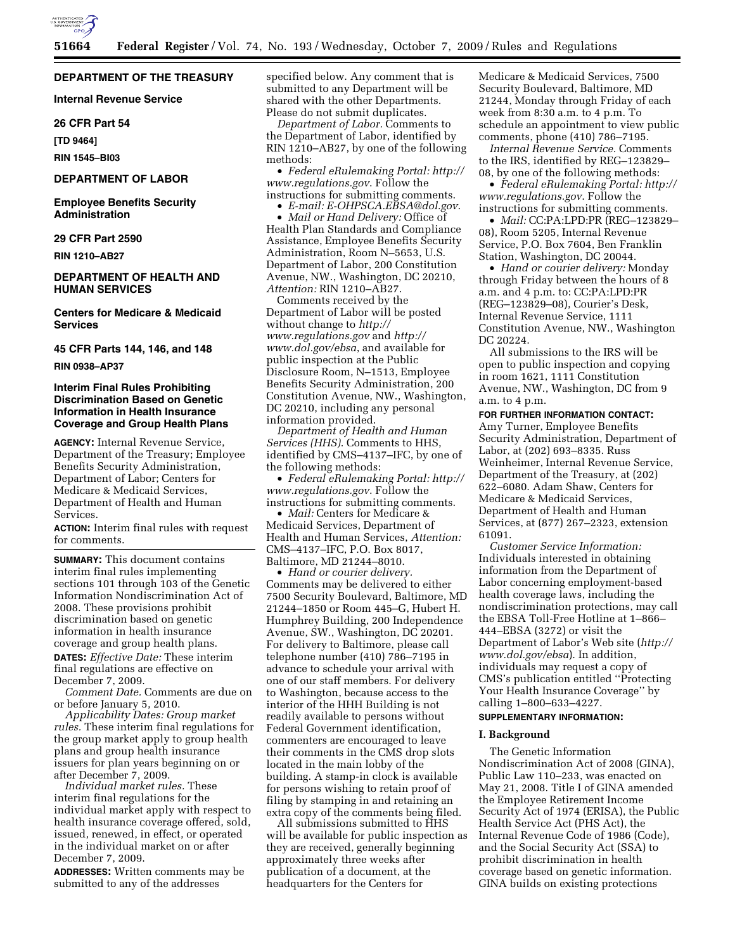

# **DEPARTMENT OF THE TREASURY**

**Internal Revenue Service** 

#### **26 CFR Part 54**

**[TD 9464]** 

**RIN 1545–BI03** 

# **DEPARTMENT OF LABOR**

**Employee Benefits Security Administration** 

# **29 CFR Part 2590**

**RIN 1210–AB27** 

# **DEPARTMENT OF HEALTH AND HUMAN SERVICES**

**Centers for Medicare & Medicaid Services** 

# **45 CFR Parts 144, 146, and 148**

**RIN 0938–AP37** 

# **Interim Final Rules Prohibiting Discrimination Based on Genetic Information in Health Insurance Coverage and Group Health Plans**

**AGENCY:** Internal Revenue Service, Department of the Treasury; Employee Benefits Security Administration, Department of Labor; Centers for Medicare & Medicaid Services, Department of Health and Human Services.

**ACTION:** Interim final rules with request for comments.

**SUMMARY:** This document contains interim final rules implementing sections 101 through 103 of the Genetic Information Nondiscrimination Act of 2008. These provisions prohibit discrimination based on genetic information in health insurance coverage and group health plans. **DATES:** *Effective Date:* These interim final regulations are effective on December 7, 2009.

*Comment Date.* Comments are due on or before January 5, 2010.

*Applicability Dates: Group market rules.* These interim final regulations for the group market apply to group health plans and group health insurance issuers for plan years beginning on or after December 7, 2009.

*Individual market rules.* These interim final regulations for the individual market apply with respect to health insurance coverage offered, sold, issued, renewed, in effect, or operated in the individual market on or after December 7, 2009.

**ADDRESSES:** Written comments may be submitted to any of the addresses

specified below. Any comment that is submitted to any Department will be shared with the other Departments. Please do not submit duplicates.

*Department of Labor.* Comments to the Department of Labor, identified by RIN 1210–AB27, by one of the following methods:

• *Federal eRulemaking Portal: http:// www.regulations.gov*. Follow the instructions for submitting comments.

• *E-mail: E-OHPSCA.EBSA@dol.gov*.

• *Mail or Hand Delivery:* Office of Health Plan Standards and Compliance Assistance, Employee Benefits Security Administration, Room N–5653, U.S. Department of Labor, 200 Constitution Avenue, NW., Washington, DC 20210, *Attention:* RIN 1210–AB27.

Comments received by the Department of Labor will be posted without change to *http:// www.regulations.gov* and *http:// www.dol.gov/ebsa*, and available for public inspection at the Public Disclosure Room, N–1513, Employee Benefits Security Administration, 200 Constitution Avenue, NW., Washington, DC 20210, including any personal information provided.

*Department of Health and Human Services (HHS)*. Comments to HHS, identified by CMS–4137–IFC, by one of the following methods:

• *Federal eRulemaking Portal: http:// www.regulations.gov*. Follow the instructions for submitting comments.

• *Mail:* Centers for Medicare & Medicaid Services, Department of Health and Human Services, *Attention:*  CMS–4137–IFC, P.O. Box 8017, Baltimore, MD 21244–8010.

• *Hand or courier delivery.*  Comments may be delivered to either 7500 Security Boulevard, Baltimore, MD 21244–1850 or Room 445–G, Hubert H. Humphrey Building, 200 Independence Avenue, SW., Washington, DC 20201. For delivery to Baltimore, please call telephone number (410) 786–7195 in advance to schedule your arrival with one of our staff members. For delivery to Washington, because access to the interior of the HHH Building is not readily available to persons without Federal Government identification, commenters are encouraged to leave their comments in the CMS drop slots located in the main lobby of the building. A stamp-in clock is available for persons wishing to retain proof of filing by stamping in and retaining an extra copy of the comments being filed.

All submissions submitted to HHS will be available for public inspection as they are received, generally beginning approximately three weeks after publication of a document, at the headquarters for the Centers for

Medicare & Medicaid Services, 7500 Security Boulevard, Baltimore, MD 21244, Monday through Friday of each week from 8:30 a.m. to 4 p.m. To schedule an appointment to view public comments, phone (410) 786–7195.

*Internal Revenue Service.* Comments to the IRS, identified by REG–123829– 08, by one of the following methods:

• *Federal eRulemaking Portal: http:// www.regulations.gov*. Follow the instructions for submitting comments.

• *Mail:* CC:PA:LPD:PR (REG–123829– 08), Room 5205, Internal Revenue Service, P.O. Box 7604, Ben Franklin Station, Washington, DC 20044.

• *Hand or courier delivery:* Monday through Friday between the hours of 8 a.m. and 4 p.m. to: CC:PA:LPD:PR (REG–123829–08), Courier's Desk, Internal Revenue Service, 1111 Constitution Avenue, NW., Washington DC 20224.

All submissions to the IRS will be open to public inspection and copying in room 1621, 1111 Constitution Avenue, NW., Washington, DC from 9 a.m. to 4 p.m.

**FOR FURTHER INFORMATION CONTACT:**  Amy Turner, Employee Benefits Security Administration, Department of Labor, at (202) 693–8335. Russ Weinheimer, Internal Revenue Service, Department of the Treasury, at (202) 622–6080. Adam Shaw, Centers for Medicare & Medicaid Services, Department of Health and Human Services, at (877) 267–2323, extension 61091.

*Customer Service Information:*  Individuals interested in obtaining information from the Department of Labor concerning employment-based health coverage laws, including the nondiscrimination protections, may call the EBSA Toll-Free Hotline at 1–866– 444–EBSA (3272) or visit the Department of Labor's Web site (*http:// www.dol.gov/ebsa*). In addition, individuals may request a copy of CMS's publication entitled ''Protecting Your Health Insurance Coverage'' by calling 1–800–633–4227.

#### **SUPPLEMENTARY INFORMATION:**

### **I. Background**

The Genetic Information Nondiscrimination Act of 2008 (GINA), Public Law 110–233, was enacted on May 21, 2008. Title I of GINA amended the Employee Retirement Income Security Act of 1974 (ERISA), the Public Health Service Act (PHS Act), the Internal Revenue Code of 1986 (Code), and the Social Security Act (SSA) to prohibit discrimination in health coverage based on genetic information. GINA builds on existing protections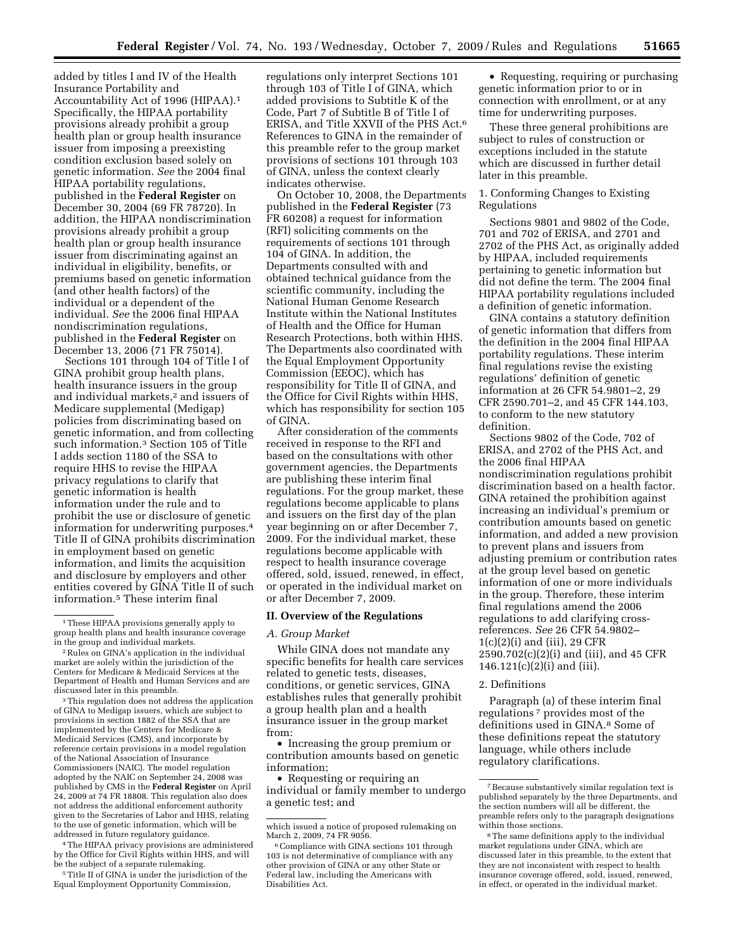added by titles I and IV of the Health Insurance Portability and Accountability Act of 1996 (HIPAA).1 Specifically, the HIPAA portability provisions already prohibit a group health plan or group health insurance issuer from imposing a preexisting condition exclusion based solely on genetic information. *See* the 2004 final HIPAA portability regulations, published in the **Federal Register** on December 30, 2004 (69 FR 78720). In addition, the HIPAA nondiscrimination provisions already prohibit a group health plan or group health insurance issuer from discriminating against an individual in eligibility, benefits, or premiums based on genetic information (and other health factors) of the individual or a dependent of the individual. *See* the 2006 final HIPAA nondiscrimination regulations, published in the **Federal Register** on December 13, 2006 (71 FR 75014).

Sections 101 through 104 of Title I of GINA prohibit group health plans, health insurance issuers in the group and individual markets,<sup>2</sup> and issuers of Medicare supplemental (Medigap) policies from discriminating based on genetic information, and from collecting such information.3 Section 105 of Title I adds section 1180 of the SSA to require HHS to revise the HIPAA privacy regulations to clarify that genetic information is health information under the rule and to prohibit the use or disclosure of genetic information for underwriting purposes.4 Title II of GINA prohibits discrimination in employment based on genetic information, and limits the acquisition and disclosure by employers and other entities covered by GINA Title II of such information.5 These interim final

3This regulation does not address the application of GINA to Medigap issuers, which are subject to provisions in section 1882 of the SSA that are implemented by the Centers for Medicare & Medicaid Services (CMS), and incorporate by reference certain provisions in a model regulation of the National Association of Insurance Commissioners (NAIC). The model regulation adopted by the NAIC on September 24, 2008 was published by CMS in the **Federal Register** on April 24, 2009 at 74 FR 18808. This regulation also does not address the additional enforcement authority given to the Secretaries of Labor and HHS, relating to the use of genetic information, which will be addressed in future regulatory guidance.

4The HIPAA privacy provisions are administered by the Office for Civil Rights within HHS, and will be the subject of a separate rulemaking.

5Title II of GINA is under the jurisdiction of the Equal Employment Opportunity Commission,

regulations only interpret Sections 101 through 103 of Title I of GINA, which added provisions to Subtitle K of the Code, Part 7 of Subtitle B of Title I of ERISA, and Title XXVII of the PHS Act.6 References to GINA in the remainder of this preamble refer to the group market provisions of sections 101 through 103 of GINA, unless the context clearly indicates otherwise.

On October 10, 2008, the Departments published in the **Federal Register** (73 FR 60208) a request for information (RFI) soliciting comments on the requirements of sections 101 through 104 of GINA. In addition, the Departments consulted with and obtained technical guidance from the scientific community, including the National Human Genome Research Institute within the National Institutes of Health and the Office for Human Research Protections, both within HHS. The Departments also coordinated with the Equal Employment Opportunity Commission (EEOC), which has responsibility for Title II of GINA, and the Office for Civil Rights within HHS, which has responsibility for section 105 of GINA.

After consideration of the comments received in response to the RFI and based on the consultations with other government agencies, the Departments are publishing these interim final regulations. For the group market, these regulations become applicable to plans and issuers on the first day of the plan year beginning on or after December 7, 2009. For the individual market, these regulations become applicable with respect to health insurance coverage offered, sold, issued, renewed, in effect, or operated in the individual market on or after December 7, 2009.

### **II. Overview of the Regulations**

#### *A. Group Market*

While GINA does not mandate any specific benefits for health care services related to genetic tests, diseases, conditions, or genetic services, GINA establishes rules that generally prohibit a group health plan and a health insurance issuer in the group market from:

• Increasing the group premium or contribution amounts based on genetic information;

• Requesting or requiring an individual or family member to undergo a genetic test; and

• Requesting, requiring or purchasing genetic information prior to or in connection with enrollment, or at any time for underwriting purposes.

These three general prohibitions are subject to rules of construction or exceptions included in the statute which are discussed in further detail later in this preamble.

1. Conforming Changes to Existing Regulations

Sections 9801 and 9802 of the Code, 701 and 702 of ERISA, and 2701 and 2702 of the PHS Act, as originally added by HIPAA, included requirements pertaining to genetic information but did not define the term. The 2004 final HIPAA portability regulations included a definition of genetic information.

GINA contains a statutory definition of genetic information that differs from the definition in the 2004 final HIPAA portability regulations. These interim final regulations revise the existing regulations' definition of genetic information at 26 CFR 54.9801–2, 29 CFR 2590.701–2, and 45 CFR 144.103, to conform to the new statutory definition.

Sections 9802 of the Code, 702 of

ERISA, and 2702 of the PHS Act, and the 2006 final HIPAA nondiscrimination regulations prohibit discrimination based on a health factor. GINA retained the prohibition against increasing an individual's premium or contribution amounts based on genetic information, and added a new provision to prevent plans and issuers from adjusting premium or contribution rates at the group level based on genetic information of one or more individuals in the group. Therefore, these interim final regulations amend the 2006 regulations to add clarifying crossreferences. *See* 26 CFR 54.9802– 1(c)(2)(i) and (iii), 29 CFR 2590.702(c)(2)(i) and (iii), and 45 CFR 146.121(c)(2)(i) and (iii).

### 2. Definitions

Paragraph (a) of these interim final regulations 7 provides most of the definitions used in GINA.<sup>8</sup> Some of these definitions repeat the statutory language, while others include regulatory clarifications.

<sup>1</sup>These HIPAA provisions generally apply to group health plans and health insurance coverage in the group and individual markets.

<sup>2</sup>Rules on GINA's application in the individual market are solely within the jurisdiction of the Centers for Medicare & Medicaid Services at the Department of Health and Human Services and are discussed later in this preamble.

which issued a notice of proposed rulemaking on<br>March 2, 2009, 74 FR 9056.

<sup>&</sup>lt;sup>6</sup> Compliance with GINA sections 101 through 103 is not determinative of compliance with any other provision of GINA or any other State or Federal law, including the Americans with Disabilities Act.

<sup>7</sup>Because substantively similar regulation text is published separately by the three Departments, and the section numbers will all be different, the preamble refers only to the paragraph designations within those sections.

<sup>8</sup>The same definitions apply to the individual market regulations under GINA, which are discussed later in this preamble, to the extent that they are not inconsistent with respect to health insurance coverage offered, sold, issued, renewed, in effect, or operated in the individual market.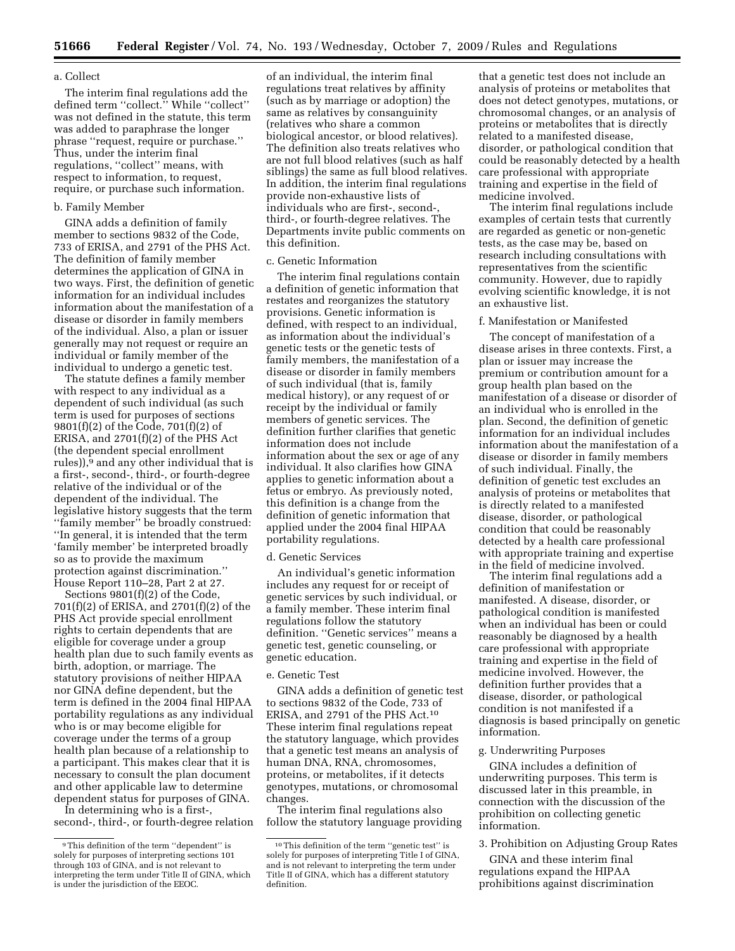### a. Collect

The interim final regulations add the defined term ''collect.'' While ''collect'' was not defined in the statute, this term was added to paraphrase the longer phrase ''request, require or purchase.'' Thus, under the interim final regulations, ''collect'' means, with respect to information, to request, require, or purchase such information.

#### b. Family Member

GINA adds a definition of family member to sections 9832 of the Code, 733 of ERISA, and 2791 of the PHS Act. The definition of family member determines the application of GINA in two ways. First, the definition of genetic information for an individual includes information about the manifestation of a disease or disorder in family members of the individual. Also, a plan or issuer generally may not request or require an individual or family member of the individual to undergo a genetic test.

The statute defines a family member with respect to any individual as a dependent of such individual (as such term is used for purposes of sections 9801(f)(2) of the Code, 701(f)(2) of ERISA, and 2701(f)(2) of the PHS Act (the dependent special enrollment rules)),<sup>9</sup> and any other individual that is a first-, second-, third-, or fourth-degree relative of the individual or of the dependent of the individual. The legislative history suggests that the term ''family member'' be broadly construed: ''In general, it is intended that the term 'family member' be interpreted broadly so as to provide the maximum protection against discrimination.'' House Report 110–28, Part 2 at 27.

Sections 9801(f)(2) of the Code, 701(f)(2) of ERISA, and 2701(f)(2) of the PHS Act provide special enrollment rights to certain dependents that are eligible for coverage under a group health plan due to such family events as birth, adoption, or marriage. The statutory provisions of neither HIPAA nor GINA define dependent, but the term is defined in the 2004 final HIPAA portability regulations as any individual who is or may become eligible for coverage under the terms of a group health plan because of a relationship to a participant. This makes clear that it is necessary to consult the plan document and other applicable law to determine dependent status for purposes of GINA.

In determining who is a first-, second-, third-, or fourth-degree relation of an individual, the interim final regulations treat relatives by affinity (such as by marriage or adoption) the same as relatives by consanguinity (relatives who share a common biological ancestor, or blood relatives). The definition also treats relatives who are not full blood relatives (such as half siblings) the same as full blood relatives. In addition, the interim final regulations provide non-exhaustive lists of individuals who are first-, second-, third-, or fourth-degree relatives. The Departments invite public comments on this definition.

# c. Genetic Information

The interim final regulations contain a definition of genetic information that restates and reorganizes the statutory provisions. Genetic information is defined, with respect to an individual, as information about the individual's genetic tests or the genetic tests of family members, the manifestation of a disease or disorder in family members of such individual (that is, family medical history), or any request of or receipt by the individual or family members of genetic services. The definition further clarifies that genetic information does not include information about the sex or age of any individual. It also clarifies how GINA applies to genetic information about a fetus or embryo. As previously noted, this definition is a change from the definition of genetic information that applied under the 2004 final HIPAA portability regulations.

#### d. Genetic Services

An individual's genetic information includes any request for or receipt of genetic services by such individual, or a family member. These interim final regulations follow the statutory definition. ''Genetic services'' means a genetic test, genetic counseling, or genetic education.

#### e. Genetic Test

GINA adds a definition of genetic test to sections 9832 of the Code, 733 of ERISA, and 2791 of the PHS Act.10 These interim final regulations repeat the statutory language, which provides that a genetic test means an analysis of human DNA, RNA, chromosomes, proteins, or metabolites, if it detects genotypes, mutations, or chromosomal changes.

The interim final regulations also follow the statutory language providing

that a genetic test does not include an analysis of proteins or metabolites that does not detect genotypes, mutations, or chromosomal changes, or an analysis of proteins or metabolites that is directly related to a manifested disease, disorder, or pathological condition that could be reasonably detected by a health care professional with appropriate training and expertise in the field of medicine involved.

The interim final regulations include examples of certain tests that currently are regarded as genetic or non-genetic tests, as the case may be, based on research including consultations with representatives from the scientific community. However, due to rapidly evolving scientific knowledge, it is not an exhaustive list.

#### f. Manifestation or Manifested

The concept of manifestation of a disease arises in three contexts. First, a plan or issuer may increase the premium or contribution amount for a group health plan based on the manifestation of a disease or disorder of an individual who is enrolled in the plan. Second, the definition of genetic information for an individual includes information about the manifestation of a disease or disorder in family members of such individual. Finally, the definition of genetic test excludes an analysis of proteins or metabolites that is directly related to a manifested disease, disorder, or pathological condition that could be reasonably detected by a health care professional with appropriate training and expertise in the field of medicine involved.

The interim final regulations add a definition of manifestation or manifested. A disease, disorder, or pathological condition is manifested when an individual has been or could reasonably be diagnosed by a health care professional with appropriate training and expertise in the field of medicine involved. However, the definition further provides that a disease, disorder, or pathological condition is not manifested if a diagnosis is based principally on genetic information.

### g. Underwriting Purposes

GINA includes a definition of underwriting purposes. This term is discussed later in this preamble, in connection with the discussion of the prohibition on collecting genetic information.

#### 3. Prohibition on Adjusting Group Rates

GINA and these interim final regulations expand the HIPAA prohibitions against discrimination

<sup>9</sup>This definition of the term ''dependent'' is solely for purposes of interpreting sections 101 through 103 of GINA, and is not relevant to interpreting the term under Title II of GINA, which is under the jurisdiction of the EEOC.

<sup>10</sup>This definition of the term ''genetic test'' is solely for purposes of interpreting Title I of GINA, and is not relevant to interpreting the term under Title II of GINA, which has a different statutory definition.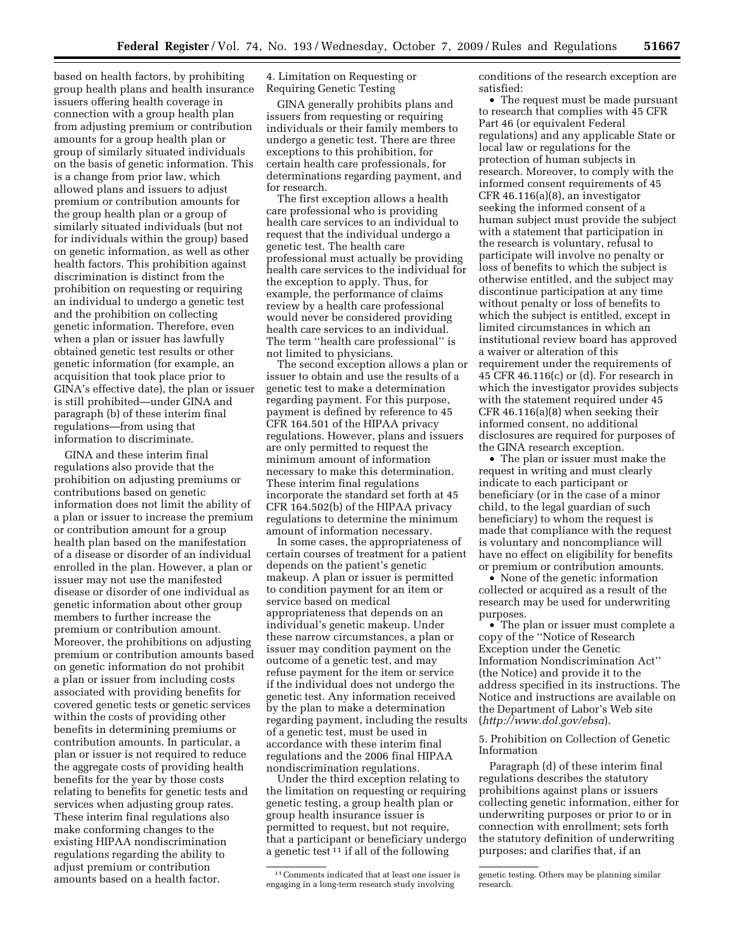based on health factors, by prohibiting group health plans and health insurance issuers offering health coverage in connection with a group health plan from adjusting premium or contribution amounts for a group health plan or group of similarly situated individuals on the basis of genetic information. This is a change from prior law, which allowed plans and issuers to adjust premium or contribution amounts for the group health plan or a group of similarly situated individuals (but not for individuals within the group) based on genetic information, as well as other health factors. This prohibition against discrimination is distinct from the prohibition on requesting or requiring an individual to undergo a genetic test and the prohibition on collecting genetic information. Therefore, even when a plan or issuer has lawfully obtained genetic test results or other genetic information (for example, an acquisition that took place prior to GINA's effective date), the plan or issuer is still prohibited—under GINA and paragraph (b) of these interim final regulations—from using that information to discriminate.

GINA and these interim final regulations also provide that the prohibition on adjusting premiums or contributions based on genetic information does not limit the ability of a plan or issuer to increase the premium or contribution amount for a group health plan based on the manifestation of a disease or disorder of an individual enrolled in the plan. However, a plan or issuer may not use the manifested disease or disorder of one individual as genetic information about other group members to further increase the premium or contribution amount. Moreover, the prohibitions on adjusting premium or contribution amounts based on genetic information do not prohibit a plan or issuer from including costs associated with providing benefits for covered genetic tests or genetic services within the costs of providing other benefits in determining premiums or contribution amounts. In particular, a plan or issuer is not required to reduce the aggregate costs of providing health benefits for the year by those costs relating to benefits for genetic tests and services when adjusting group rates. These interim final regulations also make conforming changes to the existing HIPAA nondiscrimination regulations regarding the ability to adjust premium or contribution amounts based on a health factor.

4. Limitation on Requesting or Requiring Genetic Testing

GINA generally prohibits plans and issuers from requesting or requiring individuals or their family members to undergo a genetic test. There are three exceptions to this prohibition, for certain health care professionals, for determinations regarding payment, and for research.

The first exception allows a health care professional who is providing health care services to an individual to request that the individual undergo a genetic test. The health care professional must actually be providing health care services to the individual for the exception to apply. Thus, for example, the performance of claims review by a health care professional would never be considered providing health care services to an individual. The term ''health care professional'' is not limited to physicians.

The second exception allows a plan or issuer to obtain and use the results of a genetic test to make a determination regarding payment. For this purpose, payment is defined by reference to 45 CFR 164.501 of the HIPAA privacy regulations. However, plans and issuers are only permitted to request the minimum amount of information necessary to make this determination. These interim final regulations incorporate the standard set forth at 45 CFR 164.502(b) of the HIPAA privacy regulations to determine the minimum amount of information necessary.

In some cases, the appropriateness of certain courses of treatment for a patient depends on the patient's genetic makeup. A plan or issuer is permitted to condition payment for an item or service based on medical appropriateness that depends on an individual's genetic makeup. Under these narrow circumstances, a plan or issuer may condition payment on the outcome of a genetic test, and may refuse payment for the item or service if the individual does not undergo the genetic test. Any information received by the plan to make a determination regarding payment, including the results of a genetic test, must be used in accordance with these interim final regulations and the 2006 final HIPAA nondiscrimination regulations.

Under the third exception relating to the limitation on requesting or requiring genetic testing, a group health plan or group health insurance issuer is permitted to request, but not require, that a participant or beneficiary undergo a genetic test  $11$  if all of the following

conditions of the research exception are satisfied:

• The request must be made pursuant to research that complies with 45 CFR Part 46 (or equivalent Federal regulations) and any applicable State or local law or regulations for the protection of human subjects in research. Moreover, to comply with the informed consent requirements of 45 CFR 46.116(a)(8), an investigator seeking the informed consent of a human subject must provide the subject with a statement that participation in the research is voluntary, refusal to participate will involve no penalty or loss of benefits to which the subject is otherwise entitled, and the subject may discontinue participation at any time without penalty or loss of benefits to which the subject is entitled, except in limited circumstances in which an institutional review board has approved a waiver or alteration of this requirement under the requirements of 45 CFR 46.116(c) or (d). For research in which the investigator provides subjects with the statement required under 45 CFR 46.116(a)(8) when seeking their informed consent, no additional disclosures are required for purposes of the GINA research exception.

• The plan or issuer must make the request in writing and must clearly indicate to each participant or beneficiary (or in the case of a minor child, to the legal guardian of such beneficiary) to whom the request is made that compliance with the request is voluntary and noncompliance will have no effect on eligibility for benefits or premium or contribution amounts.

• None of the genetic information collected or acquired as a result of the research may be used for underwriting purposes.

• The plan or issuer must complete a copy of the ''Notice of Research Exception under the Genetic Information Nondiscrimination Act'' (the Notice) and provide it to the address specified in its instructions. The Notice and instructions are available on the Department of Labor's Web site (*http://www.dol.gov/ebsa*).

5. Prohibition on Collection of Genetic Information

Paragraph (d) of these interim final regulations describes the statutory prohibitions against plans or issuers collecting genetic information, either for underwriting purposes or prior to or in connection with enrollment; sets forth the statutory definition of underwriting purposes; and clarifies that, if an

<sup>11</sup>Comments indicated that at least one issuer is engaging in a long-term research study involving

genetic testing. Others may be planning similar research.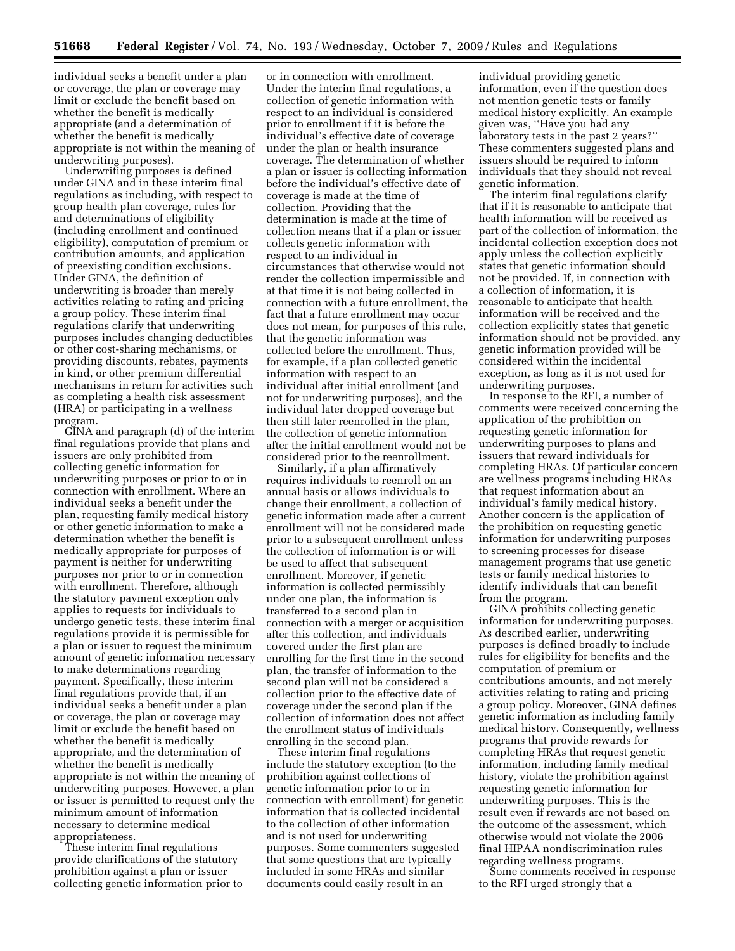individual seeks a benefit under a plan or coverage, the plan or coverage may limit or exclude the benefit based on whether the benefit is medically appropriate (and a determination of whether the benefit is medically appropriate is not within the meaning of underwriting purposes).

Underwriting purposes is defined under GINA and in these interim final regulations as including, with respect to group health plan coverage, rules for and determinations of eligibility (including enrollment and continued eligibility), computation of premium or contribution amounts, and application of preexisting condition exclusions. Under GINA, the definition of underwriting is broader than merely activities relating to rating and pricing a group policy. These interim final regulations clarify that underwriting purposes includes changing deductibles or other cost-sharing mechanisms, or providing discounts, rebates, payments in kind, or other premium differential mechanisms in return for activities such as completing a health risk assessment (HRA) or participating in a wellness program.

GINA and paragraph (d) of the interim final regulations provide that plans and issuers are only prohibited from collecting genetic information for underwriting purposes or prior to or in connection with enrollment. Where an individual seeks a benefit under the plan, requesting family medical history or other genetic information to make a determination whether the benefit is medically appropriate for purposes of payment is neither for underwriting purposes nor prior to or in connection with enrollment. Therefore, although the statutory payment exception only applies to requests for individuals to undergo genetic tests, these interim final regulations provide it is permissible for a plan or issuer to request the minimum amount of genetic information necessary to make determinations regarding payment. Specifically, these interim final regulations provide that, if an individual seeks a benefit under a plan or coverage, the plan or coverage may limit or exclude the benefit based on whether the benefit is medically appropriate, and the determination of whether the benefit is medically appropriate is not within the meaning of underwriting purposes. However, a plan or issuer is permitted to request only the minimum amount of information necessary to determine medical appropriateness.

These interim final regulations provide clarifications of the statutory prohibition against a plan or issuer collecting genetic information prior to

or in connection with enrollment. Under the interim final regulations, a collection of genetic information with respect to an individual is considered prior to enrollment if it is before the individual's effective date of coverage under the plan or health insurance coverage. The determination of whether a plan or issuer is collecting information before the individual's effective date of coverage is made at the time of collection. Providing that the determination is made at the time of collection means that if a plan or issuer collects genetic information with respect to an individual in circumstances that otherwise would not render the collection impermissible and at that time it is not being collected in connection with a future enrollment, the fact that a future enrollment may occur does not mean, for purposes of this rule, that the genetic information was collected before the enrollment. Thus, for example, if a plan collected genetic information with respect to an individual after initial enrollment (and not for underwriting purposes), and the individual later dropped coverage but then still later reenrolled in the plan, the collection of genetic information after the initial enrollment would not be considered prior to the reenrollment.

Similarly, if a plan affirmatively requires individuals to reenroll on an annual basis or allows individuals to change their enrollment, a collection of genetic information made after a current enrollment will not be considered made prior to a subsequent enrollment unless the collection of information is or will be used to affect that subsequent enrollment. Moreover, if genetic information is collected permissibly under one plan, the information is transferred to a second plan in connection with a merger or acquisition after this collection, and individuals covered under the first plan are enrolling for the first time in the second plan, the transfer of information to the second plan will not be considered a collection prior to the effective date of coverage under the second plan if the collection of information does not affect the enrollment status of individuals enrolling in the second plan.

These interim final regulations include the statutory exception (to the prohibition against collections of genetic information prior to or in connection with enrollment) for genetic information that is collected incidental to the collection of other information and is not used for underwriting purposes. Some commenters suggested that some questions that are typically included in some HRAs and similar documents could easily result in an

individual providing genetic information, even if the question does not mention genetic tests or family medical history explicitly. An example given was, ''Have you had any laboratory tests in the past 2 years?'' These commenters suggested plans and issuers should be required to inform individuals that they should not reveal genetic information.

The interim final regulations clarify that if it is reasonable to anticipate that health information will be received as part of the collection of information, the incidental collection exception does not apply unless the collection explicitly states that genetic information should not be provided. If, in connection with a collection of information, it is reasonable to anticipate that health information will be received and the collection explicitly states that genetic information should not be provided, any genetic information provided will be considered within the incidental exception, as long as it is not used for underwriting purposes.

In response to the RFI, a number of comments were received concerning the application of the prohibition on requesting genetic information for underwriting purposes to plans and issuers that reward individuals for completing HRAs. Of particular concern are wellness programs including HRAs that request information about an individual's family medical history. Another concern is the application of the prohibition on requesting genetic information for underwriting purposes to screening processes for disease management programs that use genetic tests or family medical histories to identify individuals that can benefit from the program.

GINA prohibits collecting genetic information for underwriting purposes. As described earlier, underwriting purposes is defined broadly to include rules for eligibility for benefits and the computation of premium or contributions amounts, and not merely activities relating to rating and pricing a group policy. Moreover, GINA defines genetic information as including family medical history. Consequently, wellness programs that provide rewards for completing HRAs that request genetic information, including family medical history, violate the prohibition against requesting genetic information for underwriting purposes. This is the result even if rewards are not based on the outcome of the assessment, which otherwise would not violate the 2006 final HIPAA nondiscrimination rules regarding wellness programs.

Some comments received in response to the RFI urged strongly that a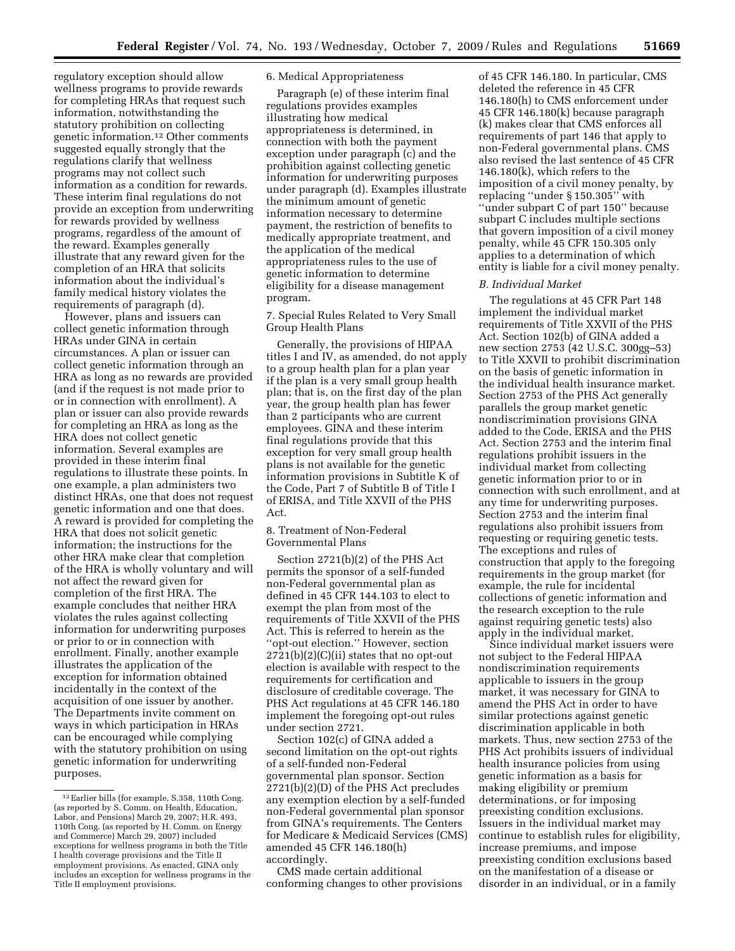regulatory exception should allow wellness programs to provide rewards for completing HRAs that request such information, notwithstanding the statutory prohibition on collecting genetic information.12 Other comments suggested equally strongly that the regulations clarify that wellness programs may not collect such information as a condition for rewards. These interim final regulations do not provide an exception from underwriting for rewards provided by wellness programs, regardless of the amount of the reward. Examples generally illustrate that any reward given for the completion of an HRA that solicits information about the individual's family medical history violates the requirements of paragraph (d).

However, plans and issuers can collect genetic information through HRAs under GINA in certain circumstances. A plan or issuer can collect genetic information through an HRA as long as no rewards are provided (and if the request is not made prior to or in connection with enrollment). A plan or issuer can also provide rewards for completing an HRA as long as the HRA does not collect genetic information. Several examples are provided in these interim final regulations to illustrate these points. In one example, a plan administers two distinct HRAs, one that does not request genetic information and one that does. A reward is provided for completing the HRA that does not solicit genetic information; the instructions for the other HRA make clear that completion of the HRA is wholly voluntary and will not affect the reward given for completion of the first HRA. The example concludes that neither HRA violates the rules against collecting information for underwriting purposes or prior to or in connection with enrollment. Finally, another example illustrates the application of the exception for information obtained incidentally in the context of the acquisition of one issuer by another. The Departments invite comment on ways in which participation in HRAs can be encouraged while complying with the statutory prohibition on using genetic information for underwriting purposes.

### 6. Medical Appropriateness

Paragraph (e) of these interim final regulations provides examples illustrating how medical appropriateness is determined, in connection with both the payment exception under paragraph (c) and the prohibition against collecting genetic information for underwriting purposes under paragraph (d). Examples illustrate the minimum amount of genetic information necessary to determine payment, the restriction of benefits to medically appropriate treatment, and the application of the medical appropriateness rules to the use of genetic information to determine eligibility for a disease management program.

### 7. Special Rules Related to Very Small Group Health Plans

Generally, the provisions of HIPAA titles I and IV, as amended, do not apply to a group health plan for a plan year if the plan is a very small group health plan; that is, on the first day of the plan year, the group health plan has fewer than 2 participants who are current employees. GINA and these interim final regulations provide that this exception for very small group health plans is not available for the genetic information provisions in Subtitle K of the Code, Part 7 of Subtitle B of Title I of ERISA, and Title XXVII of the PHS Act.

# 8. Treatment of Non-Federal Governmental Plans

Section 2721(b)(2) of the PHS Act permits the sponsor of a self-funded non-Federal governmental plan as defined in 45 CFR 144.103 to elect to exempt the plan from most of the requirements of Title XXVII of the PHS Act. This is referred to herein as the ''opt-out election.'' However, section  $2721(b)(2)(C)(ii)$  states that no opt-out election is available with respect to the requirements for certification and disclosure of creditable coverage. The PHS Act regulations at 45 CFR 146.180 implement the foregoing opt-out rules under section 2721.

Section 102(c) of GINA added a second limitation on the opt-out rights of a self-funded non-Federal governmental plan sponsor. Section 2721(b)(2)(D) of the PHS Act precludes any exemption election by a self-funded non-Federal governmental plan sponsor from GINA's requirements. The Centers for Medicare & Medicaid Services (CMS) amended 45 CFR 146.180(h) accordingly.

CMS made certain additional conforming changes to other provisions of 45 CFR 146.180. In particular, CMS deleted the reference in 45 CFR 146.180(h) to CMS enforcement under 45 CFR 146.180(k) because paragraph (k) makes clear that CMS enforces all requirements of part 146 that apply to non-Federal governmental plans. CMS also revised the last sentence of 45 CFR 146.180(k), which refers to the imposition of a civil money penalty, by replacing ''under § 150.305'' with ''under subpart C of part 150'' because subpart C includes multiple sections that govern imposition of a civil money penalty, while 45 CFR 150.305 only applies to a determination of which entity is liable for a civil money penalty.

#### *B. Individual Market*

The regulations at 45 CFR Part 148 implement the individual market requirements of Title XXVII of the PHS Act. Section 102(b) of GINA added a new section 2753 (42 U.S.C. 300gg–53) to Title XXVII to prohibit discrimination on the basis of genetic information in the individual health insurance market. Section 2753 of the PHS Act generally parallels the group market genetic nondiscrimination provisions GINA added to the Code, ERISA and the PHS Act. Section 2753 and the interim final regulations prohibit issuers in the individual market from collecting genetic information prior to or in connection with such enrollment, and at any time for underwriting purposes. Section 2753 and the interim final regulations also prohibit issuers from requesting or requiring genetic tests. The exceptions and rules of construction that apply to the foregoing requirements in the group market (for example, the rule for incidental collections of genetic information and the research exception to the rule against requiring genetic tests) also apply in the individual market.

Since individual market issuers were not subject to the Federal HIPAA nondiscrimination requirements applicable to issuers in the group market, it was necessary for GINA to amend the PHS Act in order to have similar protections against genetic discrimination applicable in both markets. Thus, new section 2753 of the PHS Act prohibits issuers of individual health insurance policies from using genetic information as a basis for making eligibility or premium determinations, or for imposing preexisting condition exclusions. Issuers in the individual market may continue to establish rules for eligibility, increase premiums, and impose preexisting condition exclusions based on the manifestation of a disease or disorder in an individual, or in a family

<sup>12</sup>Earlier bills (for example, S.358, 110th Cong. (as reported by S. Comm. on Health, Education, Labor, and Pensions) March 29, 2007; H.R. 493, 110th Cong. (as reported by H. Comm. on Energy and Commerce) March 29, 2007) included exceptions for wellness programs in both the Title I health coverage provisions and the Title II employment provisions. As enacted, GINA only includes an exception for wellness programs in the Title II employment provisions.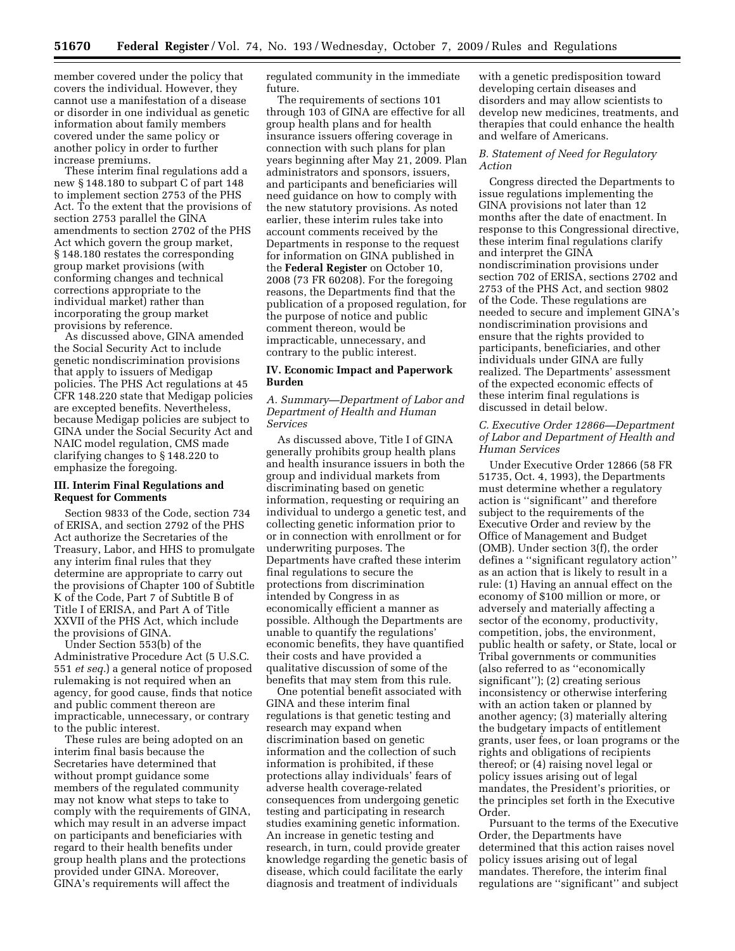member covered under the policy that covers the individual. However, they cannot use a manifestation of a disease or disorder in one individual as genetic information about family members covered under the same policy or another policy in order to further increase premiums.

These interim final regulations add a new § 148.180 to subpart C of part 148 to implement section 2753 of the PHS Act. To the extent that the provisions of section 2753 parallel the GINA amendments to section 2702 of the PHS Act which govern the group market, § 148.180 restates the corresponding group market provisions (with conforming changes and technical corrections appropriate to the individual market) rather than incorporating the group market provisions by reference.

As discussed above, GINA amended the Social Security Act to include genetic nondiscrimination provisions that apply to issuers of Medigap policies. The PHS Act regulations at 45 CFR 148.220 state that Medigap policies are excepted benefits. Nevertheless, because Medigap policies are subject to GINA under the Social Security Act and NAIC model regulation, CMS made clarifying changes to § 148.220 to emphasize the foregoing.

### **III. Interim Final Regulations and Request for Comments**

Section 9833 of the Code, section 734 of ERISA, and section 2792 of the PHS Act authorize the Secretaries of the Treasury, Labor, and HHS to promulgate any interim final rules that they determine are appropriate to carry out the provisions of Chapter 100 of Subtitle K of the Code, Part 7 of Subtitle B of Title I of ERISA, and Part A of Title XXVII of the PHS Act, which include the provisions of GINA.

Under Section 553(b) of the Administrative Procedure Act (5 U.S.C. 551 *et seq.*) a general notice of proposed rulemaking is not required when an agency, for good cause, finds that notice and public comment thereon are impracticable, unnecessary, or contrary to the public interest.

These rules are being adopted on an interim final basis because the Secretaries have determined that without prompt guidance some members of the regulated community may not know what steps to take to comply with the requirements of GINA, which may result in an adverse impact on participants and beneficiaries with regard to their health benefits under group health plans and the protections provided under GINA. Moreover, GINA's requirements will affect the

regulated community in the immediate future.

The requirements of sections 101 through 103 of GINA are effective for all group health plans and for health insurance issuers offering coverage in connection with such plans for plan years beginning after May 21, 2009. Plan administrators and sponsors, issuers, and participants and beneficiaries will need guidance on how to comply with the new statutory provisions. As noted earlier, these interim rules take into account comments received by the Departments in response to the request for information on GINA published in the **Federal Register** on October 10, 2008 (73 FR 60208). For the foregoing reasons, the Departments find that the publication of a proposed regulation, for the purpose of notice and public comment thereon, would be impracticable, unnecessary, and contrary to the public interest.

### **IV. Economic Impact and Paperwork Burden**

### *A. Summary—Department of Labor and Department of Health and Human Services*

As discussed above, Title I of GINA generally prohibits group health plans and health insurance issuers in both the group and individual markets from discriminating based on genetic information, requesting or requiring an individual to undergo a genetic test, and collecting genetic information prior to or in connection with enrollment or for underwriting purposes. The Departments have crafted these interim final regulations to secure the protections from discrimination intended by Congress in as economically efficient a manner as possible. Although the Departments are unable to quantify the regulations' economic benefits, they have quantified their costs and have provided a qualitative discussion of some of the benefits that may stem from this rule.

One potential benefit associated with GINA and these interim final regulations is that genetic testing and research may expand when discrimination based on genetic information and the collection of such information is prohibited, if these protections allay individuals' fears of adverse health coverage-related consequences from undergoing genetic testing and participating in research studies examining genetic information. An increase in genetic testing and research, in turn, could provide greater knowledge regarding the genetic basis of disease, which could facilitate the early diagnosis and treatment of individuals

with a genetic predisposition toward developing certain diseases and disorders and may allow scientists to develop new medicines, treatments, and therapies that could enhance the health and welfare of Americans.

#### *B. Statement of Need for Regulatory Action*

Congress directed the Departments to issue regulations implementing the GINA provisions not later than 12 months after the date of enactment. In response to this Congressional directive, these interim final regulations clarify and interpret the GINA nondiscrimination provisions under section 702 of ERISA, sections 2702 and 2753 of the PHS Act, and section 9802 of the Code. These regulations are needed to secure and implement GINA's nondiscrimination provisions and ensure that the rights provided to participants, beneficiaries, and other individuals under GINA are fully realized. The Departments' assessment of the expected economic effects of these interim final regulations is discussed in detail below.

### *C. Executive Order 12866—Department of Labor and Department of Health and Human Services*

Under Executive Order 12866 (58 FR 51735, Oct. 4, 1993), the Departments must determine whether a regulatory action is ''significant'' and therefore subject to the requirements of the Executive Order and review by the Office of Management and Budget (OMB). Under section 3(f), the order defines a ''significant regulatory action'' as an action that is likely to result in a rule: (1) Having an annual effect on the economy of \$100 million or more, or adversely and materially affecting a sector of the economy, productivity, competition, jobs, the environment, public health or safety, or State, local or Tribal governments or communities (also referred to as ''economically significant''); (2) creating serious inconsistency or otherwise interfering with an action taken or planned by another agency; (3) materially altering the budgetary impacts of entitlement grants, user fees, or loan programs or the rights and obligations of recipients thereof; or (4) raising novel legal or policy issues arising out of legal mandates, the President's priorities, or the principles set forth in the Executive Order.

Pursuant to the terms of the Executive Order, the Departments have determined that this action raises novel policy issues arising out of legal mandates. Therefore, the interim final regulations are ''significant'' and subject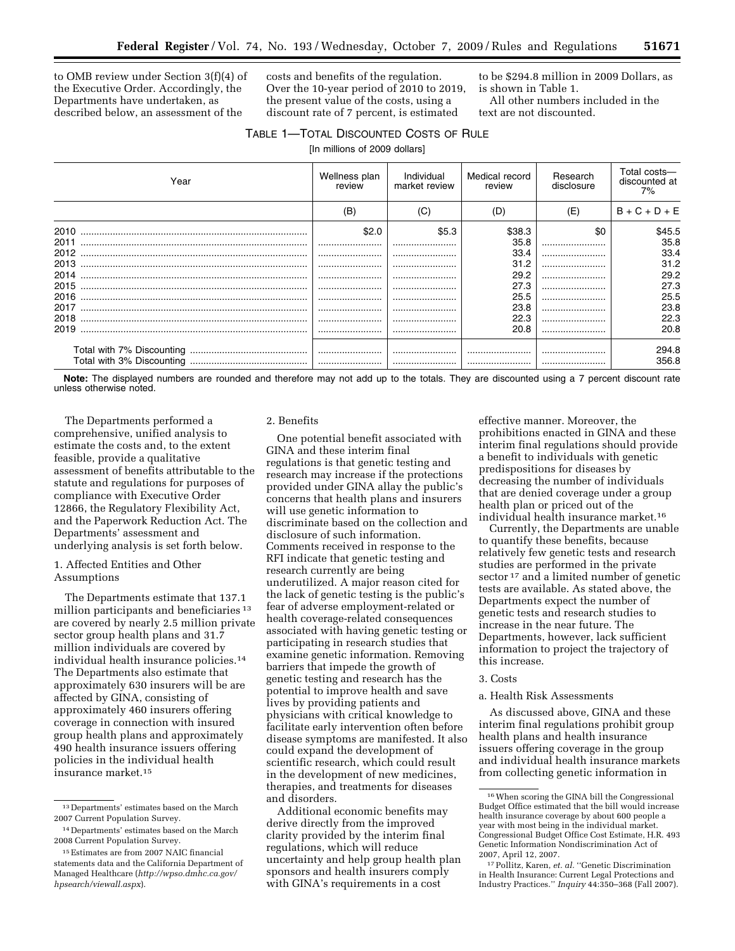to OMB review under Section 3(f)(4) of the Executive Order. Accordingly, the Departments have undertaken, as described below, an assessment of the

costs and benefits of the regulation. Over the 10-year period of 2010 to 2019, the present value of the costs, using a discount rate of 7 percent, is estimated

to be \$294.8 million in 2009 Dollars, as is shown in Table 1.

All other numbers included in the text are not discounted.

### TABLE 1—TOTAL DISCOUNTED COSTS OF RULE

[In millions of 2009 dollars]

| Year | Wellness plan<br>review | Individual<br>market review | Medical record<br>review | Research<br>disclosure | Total costs—<br>discounted at<br>7% |
|------|-------------------------|-----------------------------|--------------------------|------------------------|-------------------------------------|
|      | (B)                     | (C)                         | (D)                      | (E)                    | $B + C + D + E$                     |
| 2010 | \$2.0                   | \$5.3                       | \$38.3                   | \$0                    | \$45.5                              |
| 2011 |                         |                             | 35.8                     |                        | 35.8                                |
| 2012 |                         |                             | 33.4                     |                        | 33.4                                |
| 2013 |                         |                             | 31.2                     |                        | 31.2                                |
| 2014 |                         |                             | 29.2                     |                        | 29.2                                |
| 2015 |                         |                             | 27.3                     |                        | 27.3                                |
| 2016 |                         |                             | 25.5                     |                        | 25.5                                |
| 2017 |                         |                             | 23.8                     |                        | 23.8                                |
| 2018 |                         |                             | 22.3                     |                        | 22.3                                |
| 2019 |                         |                             | 20.8                     |                        | 20.8                                |
|      |                         |                             |                          |                        | 294.8<br>356.8                      |
|      |                         |                             |                          |                        |                                     |

**Note:** The displayed numbers are rounded and therefore may not add up to the totals. They are discounted using a 7 percent discount rate unless otherwise noted.

The Departments performed a comprehensive, unified analysis to estimate the costs and, to the extent feasible, provide a qualitative assessment of benefits attributable to the statute and regulations for purposes of compliance with Executive Order 12866, the Regulatory Flexibility Act, and the Paperwork Reduction Act. The Departments' assessment and underlying analysis is set forth below.

1. Affected Entities and Other Assumptions

The Departments estimate that 137.1 million participants and beneficiaries 13 are covered by nearly 2.5 million private sector group health plans and 31.7 million individuals are covered by individual health insurance policies.14 The Departments also estimate that approximately 630 insurers will be are affected by GINA, consisting of approximately 460 insurers offering coverage in connection with insured group health plans and approximately 490 health insurance issuers offering policies in the individual health insurance market.15

### 2. Benefits

One potential benefit associated with GINA and these interim final regulations is that genetic testing and research may increase if the protections provided under GINA allay the public's concerns that health plans and insurers will use genetic information to discriminate based on the collection and disclosure of such information. Comments received in response to the RFI indicate that genetic testing and research currently are being underutilized. A major reason cited for the lack of genetic testing is the public's fear of adverse employment-related or health coverage-related consequences associated with having genetic testing or participating in research studies that examine genetic information. Removing barriers that impede the growth of genetic testing and research has the potential to improve health and save lives by providing patients and physicians with critical knowledge to facilitate early intervention often before disease symptoms are manifested. It also could expand the development of scientific research, which could result in the development of new medicines, therapies, and treatments for diseases and disorders.

Additional economic benefits may derive directly from the improved clarity provided by the interim final regulations, which will reduce uncertainty and help group health plan sponsors and health insurers comply with GINA's requirements in a cost

effective manner. Moreover, the prohibitions enacted in GINA and these interim final regulations should provide a benefit to individuals with genetic predispositions for diseases by decreasing the number of individuals that are denied coverage under a group health plan or priced out of the individual health insurance market.16

Currently, the Departments are unable to quantify these benefits, because relatively few genetic tests and research studies are performed in the private sector<sup>17</sup> and a limited number of genetic tests are available. As stated above, the Departments expect the number of genetic tests and research studies to increase in the near future. The Departments, however, lack sufficient information to project the trajectory of this increase.

#### 3. Costs

#### a. Health Risk Assessments

As discussed above, GINA and these interim final regulations prohibit group health plans and health insurance issuers offering coverage in the group and individual health insurance markets from collecting genetic information in

<sup>13</sup> Departments' estimates based on the March 2007 Current Population Survey.

<sup>14</sup> Departments' estimates based on the March 2008 Current Population Survey.

<sup>15</sup>Estimates are from 2007 NAIC financial statements data and the California Department of Managed Healthcare (*http://wpso.dmhc.ca.gov/ hpsearch/viewall.aspx*).

<sup>16</sup>When scoring the GINA bill the Congressional Budget Office estimated that the bill would increase health insurance coverage by about 600 people a year with most being in the individual market. Congressional Budget Office Cost Estimate, H.R. 493 Genetic Information Nondiscrimination Act of 2007, April 12, 2007.

<sup>&</sup>lt;sup>17</sup> Pollitz, Karen, *et. al.* "Genetic Discrimination in Health Insurance: Current Legal Protections and Industry Practices.'' *Inquiry* 44:350–368 (Fall 2007).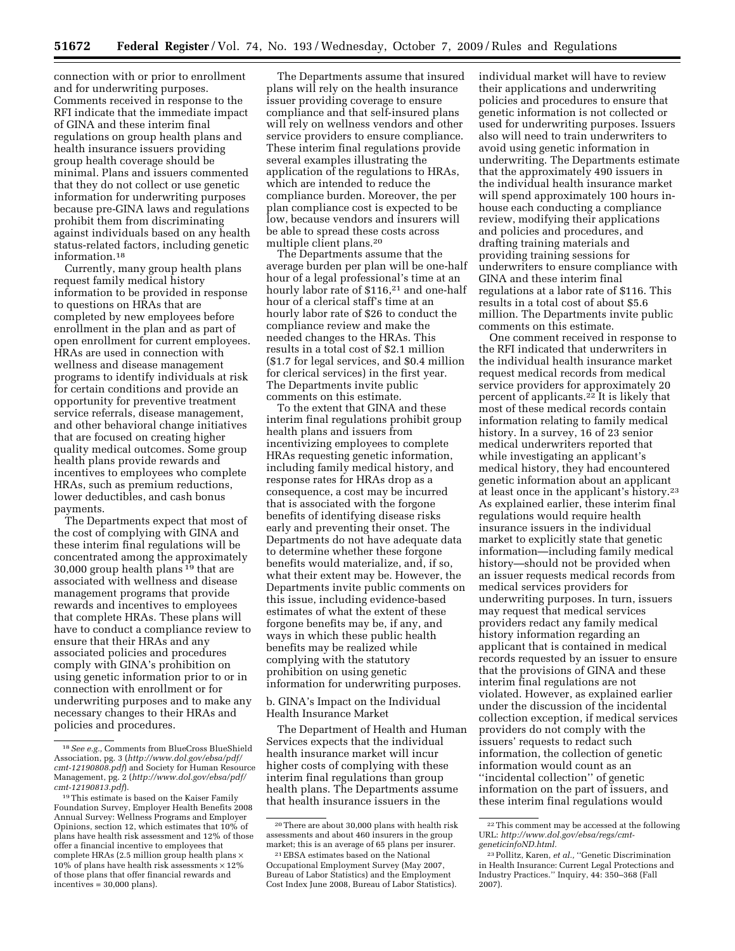connection with or prior to enrollment and for underwriting purposes. Comments received in response to the RFI indicate that the immediate impact of GINA and these interim final regulations on group health plans and health insurance issuers providing group health coverage should be minimal. Plans and issuers commented that they do not collect or use genetic information for underwriting purposes because pre-GINA laws and regulations prohibit them from discriminating against individuals based on any health status-related factors, including genetic information.18

Currently, many group health plans request family medical history information to be provided in response to questions on HRAs that are completed by new employees before enrollment in the plan and as part of open enrollment for current employees. HRAs are used in connection with wellness and disease management programs to identify individuals at risk for certain conditions and provide an opportunity for preventive treatment service referrals, disease management, and other behavioral change initiatives that are focused on creating higher quality medical outcomes. Some group health plans provide rewards and incentives to employees who complete HRAs, such as premium reductions, lower deductibles, and cash bonus payments.

The Departments expect that most of the cost of complying with GINA and these interim final regulations will be concentrated among the approximately 30,000 group health plans 19 that are associated with wellness and disease management programs that provide rewards and incentives to employees that complete HRAs. These plans will have to conduct a compliance review to ensure that their HRAs and any associated policies and procedures comply with GINA's prohibition on using genetic information prior to or in connection with enrollment or for underwriting purposes and to make any necessary changes to their HRAs and policies and procedures.

The Departments assume that insured plans will rely on the health insurance issuer providing coverage to ensure compliance and that self-insured plans will rely on wellness vendors and other service providers to ensure compliance. These interim final regulations provide several examples illustrating the application of the regulations to HRAs, which are intended to reduce the compliance burden. Moreover, the per plan compliance cost is expected to be low, because vendors and insurers will be able to spread these costs across multiple client plans.20

The Departments assume that the average burden per plan will be one-half hour of a legal professional's time at an hourly labor rate of \$116,<sup>21</sup> and one-half hour of a clerical staff's time at an hourly labor rate of \$26 to conduct the compliance review and make the needed changes to the HRAs. This results in a total cost of \$2.1 million (\$1.7 for legal services, and \$0.4 million for clerical services) in the first year. The Departments invite public comments on this estimate.

To the extent that GINA and these interim final regulations prohibit group health plans and issuers from incentivizing employees to complete HRAs requesting genetic information, including family medical history, and response rates for HRAs drop as a consequence, a cost may be incurred that is associated with the forgone benefits of identifying disease risks early and preventing their onset. The Departments do not have adequate data to determine whether these forgone benefits would materialize, and, if so, what their extent may be. However, the Departments invite public comments on this issue, including evidence-based estimates of what the extent of these forgone benefits may be, if any, and ways in which these public health benefits may be realized while complying with the statutory prohibition on using genetic information for underwriting purposes.

b. GINA's Impact on the Individual Health Insurance Market

The Department of Health and Human Services expects that the individual health insurance market will incur higher costs of complying with these interim final regulations than group health plans. The Departments assume that health insurance issuers in the

individual market will have to review their applications and underwriting policies and procedures to ensure that genetic information is not collected or used for underwriting purposes. Issuers also will need to train underwriters to avoid using genetic information in underwriting. The Departments estimate that the approximately 490 issuers in the individual health insurance market will spend approximately 100 hours inhouse each conducting a compliance review, modifying their applications and policies and procedures, and drafting training materials and providing training sessions for underwriters to ensure compliance with GINA and these interim final regulations at a labor rate of \$116. This results in a total cost of about \$5.6 million. The Departments invite public comments on this estimate.

One comment received in response to the RFI indicated that underwriters in the individual health insurance market request medical records from medical service providers for approximately 20 percent of applicants.<sup>22</sup> It is likely that most of these medical records contain information relating to family medical history. In a survey, 16 of 23 senior medical underwriters reported that while investigating an applicant's medical history, they had encountered genetic information about an applicant at least once in the applicant's history.23 As explained earlier, these interim final regulations would require health insurance issuers in the individual market to explicitly state that genetic information—including family medical history—should not be provided when an issuer requests medical records from medical services providers for underwriting purposes. In turn, issuers may request that medical services providers redact any family medical history information regarding an applicant that is contained in medical records requested by an issuer to ensure that the provisions of GINA and these interim final regulations are not violated. However, as explained earlier under the discussion of the incidental collection exception, if medical services providers do not comply with the issuers' requests to redact such information, the collection of genetic information would count as an ''incidental collection'' of genetic information on the part of issuers, and these interim final regulations would

<sup>18</sup>*See e.g.,* Comments from BlueCross BlueShield Association, pg. 3 (*http://www.dol.gov/ebsa/pdf/ cmt-12190808.pdf*) and Society for Human Resource Management, pg. 2 (*http://www.dol.gov/ebsa/pdf/ cmt-12190813.pdf*).

<sup>19</sup>This estimate is based on the Kaiser Family Foundation Survey, Employer Health Benefits 2008 Annual Survey: Wellness Programs and Employer Opinions, section 12, which estimates that 10% of plans have health risk assessment and 12% of those offer a financial incentive to employees that complete HRAs (2.5 million group health plans  $\times$ 10% of plans have health risk assessments  $\times$  12% of those plans that offer financial rewards and incentives = 30,000 plans).

<sup>20</sup>There are about 30,000 plans with health risk assessments and about 460 insurers in the group market; this is an average of 65 plans per insurer.

<sup>21</sup>EBSA estimates based on the National Occupational Employment Survey (May 2007, Bureau of Labor Statistics) and the Employment Cost Index June 2008, Bureau of Labor Statistics).

<sup>22</sup>This comment may be accessed at the following URL: *http://www.dol.gov/ebsa/regs/cmtgeneticinfoND.html.* 

<sup>23</sup>Pollitz, Karen, *et al.,* ''Genetic Discrimination in Health Insurance: Current Legal Protections and Industry Practices.'' Inquiry, 44: 350–368 (Fall 2007).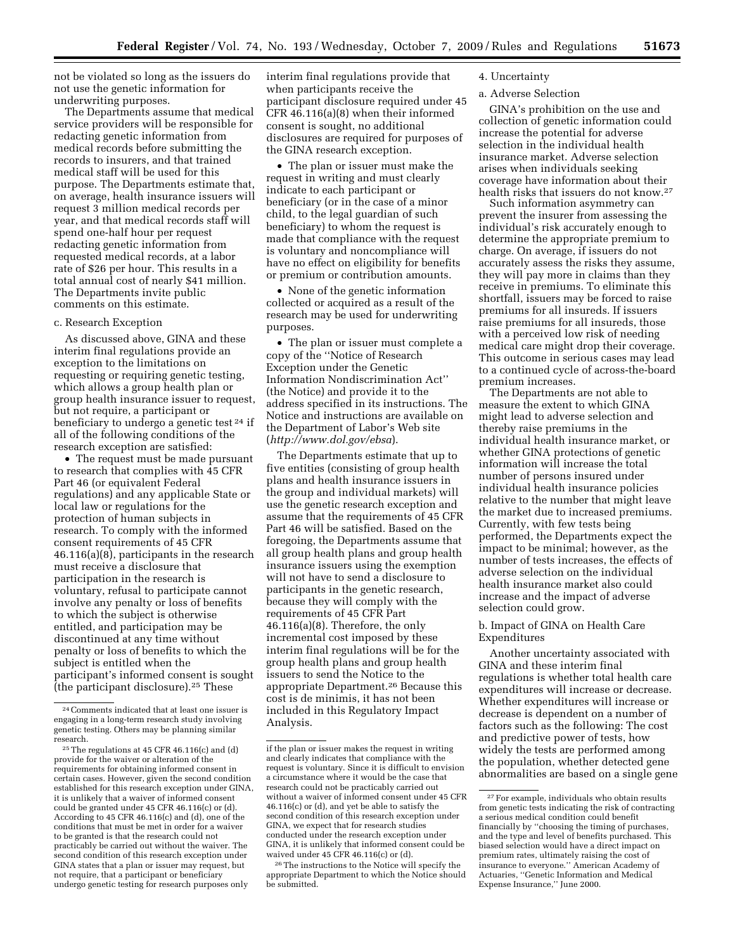not be violated so long as the issuers do not use the genetic information for underwriting purposes.

The Departments assume that medical service providers will be responsible for redacting genetic information from medical records before submitting the records to insurers, and that trained medical staff will be used for this purpose. The Departments estimate that, on average, health insurance issuers will request 3 million medical records per year, and that medical records staff will spend one-half hour per request redacting genetic information from requested medical records, at a labor rate of \$26 per hour. This results in a total annual cost of nearly \$41 million. The Departments invite public comments on this estimate.

### c. Research Exception

As discussed above, GINA and these interim final regulations provide an exception to the limitations on requesting or requiring genetic testing, which allows a group health plan or group health insurance issuer to request, but not require, a participant or beneficiary to undergo a genetic test <sup>24</sup> if all of the following conditions of the research exception are satisfied:

• The request must be made pursuant to research that complies with 45 CFR Part 46 (or equivalent Federal regulations) and any applicable State or local law or regulations for the protection of human subjects in research. To comply with the informed consent requirements of 45 CFR 46.116(a)(8), participants in the research must receive a disclosure that participation in the research is voluntary, refusal to participate cannot involve any penalty or loss of benefits to which the subject is otherwise entitled, and participation may be discontinued at any time without penalty or loss of benefits to which the subject is entitled when the participant's informed consent is sought (the participant disclosure).25 These

interim final regulations provide that when participants receive the participant disclosure required under 45 CFR 46.116(a)(8) when their informed consent is sought, no additional disclosures are required for purposes of the GINA research exception.

• The plan or issuer must make the request in writing and must clearly indicate to each participant or beneficiary (or in the case of a minor child, to the legal guardian of such beneficiary) to whom the request is made that compliance with the request is voluntary and noncompliance will have no effect on eligibility for benefits or premium or contribution amounts.

• None of the genetic information collected or acquired as a result of the research may be used for underwriting purposes.

• The plan or issuer must complete a copy of the ''Notice of Research Exception under the Genetic Information Nondiscrimination Act'' (the Notice) and provide it to the address specified in its instructions. The Notice and instructions are available on the Department of Labor's Web site (*http://www.dol.gov/ebsa*).

The Departments estimate that up to five entities (consisting of group health plans and health insurance issuers in the group and individual markets) will use the genetic research exception and assume that the requirements of 45 CFR Part 46 will be satisfied. Based on the foregoing, the Departments assume that all group health plans and group health insurance issuers using the exemption will not have to send a disclosure to participants in the genetic research, because they will comply with the requirements of 45 CFR Part 46.116(a)(8). Therefore, the only incremental cost imposed by these interim final regulations will be for the group health plans and group health issuers to send the Notice to the appropriate Department.26 Because this cost is de minimis, it has not been included in this Regulatory Impact Analysis.

# 4. Uncertainty

# a. Adverse Selection

GINA's prohibition on the use and collection of genetic information could increase the potential for adverse selection in the individual health insurance market. Adverse selection arises when individuals seeking coverage have information about their health risks that issuers do not know.27

Such information asymmetry can prevent the insurer from assessing the individual's risk accurately enough to determine the appropriate premium to charge. On average, if issuers do not accurately assess the risks they assume, they will pay more in claims than they receive in premiums. To eliminate this shortfall, issuers may be forced to raise premiums for all insureds. If issuers raise premiums for all insureds, those with a perceived low risk of needing medical care might drop their coverage. This outcome in serious cases may lead to a continued cycle of across-the-board premium increases.

The Departments are not able to measure the extent to which GINA might lead to adverse selection and thereby raise premiums in the individual health insurance market, or whether GINA protections of genetic information will increase the total number of persons insured under individual health insurance policies relative to the number that might leave the market due to increased premiums. Currently, with few tests being performed, the Departments expect the impact to be minimal; however, as the number of tests increases, the effects of adverse selection on the individual health insurance market also could increase and the impact of adverse selection could grow.

### b. Impact of GINA on Health Care Expenditures

Another uncertainty associated with GINA and these interim final regulations is whether total health care expenditures will increase or decrease. Whether expenditures will increase or decrease is dependent on a number of factors such as the following: The cost and predictive power of tests, how widely the tests are performed among the population, whether detected gene abnormalities are based on a single gene

<sup>24</sup>Comments indicated that at least one issuer is engaging in a long-term research study involving genetic testing. Others may be planning similar research.

<sup>25</sup>The regulations at 45 CFR 46.116(c) and (d) provide for the waiver or alteration of the requirements for obtaining informed consent in certain cases. However, given the second condition established for this research exception under GINA, it is unlikely that a waiver of informed consent could be granted under 45 CFR 46.116(c) or (d). According to 45 CFR 46.116(c) and (d), one of the conditions that must be met in order for a waiver to be granted is that the research could not practicably be carried out without the waiver. The second condition of this research exception under GINA states that a plan or issuer may request, but not require, that a participant or beneficiary undergo genetic testing for research purposes only

if the plan or issuer makes the request in writing and clearly indicates that compliance with the request is voluntary. Since it is difficult to envision a circumstance where it would be the case that research could not be practicably carried out without a waiver of informed consent under 45 CFR 46.116(c) or (d), and yet be able to satisfy the second condition of this research exception under GINA, we expect that for research studies conducted under the research exception under GINA, it is unlikely that informed consent could be waived under 45 CFR 46.116(c) or (d).

<sup>26</sup>The instructions to the Notice will specify the appropriate Department to which the Notice should be submitted.

<sup>27</sup>For example, individuals who obtain results from genetic tests indicating the risk of contracting a serious medical condition could benefit financially by ''choosing the timing of purchases, and the type and level of benefits purchased. This biased selection would have a direct impact on premium rates, ultimately raising the cost of insurance to everyone.'' American Academy of Actuaries, ''Genetic Information and Medical Expense Insurance,'' June 2000.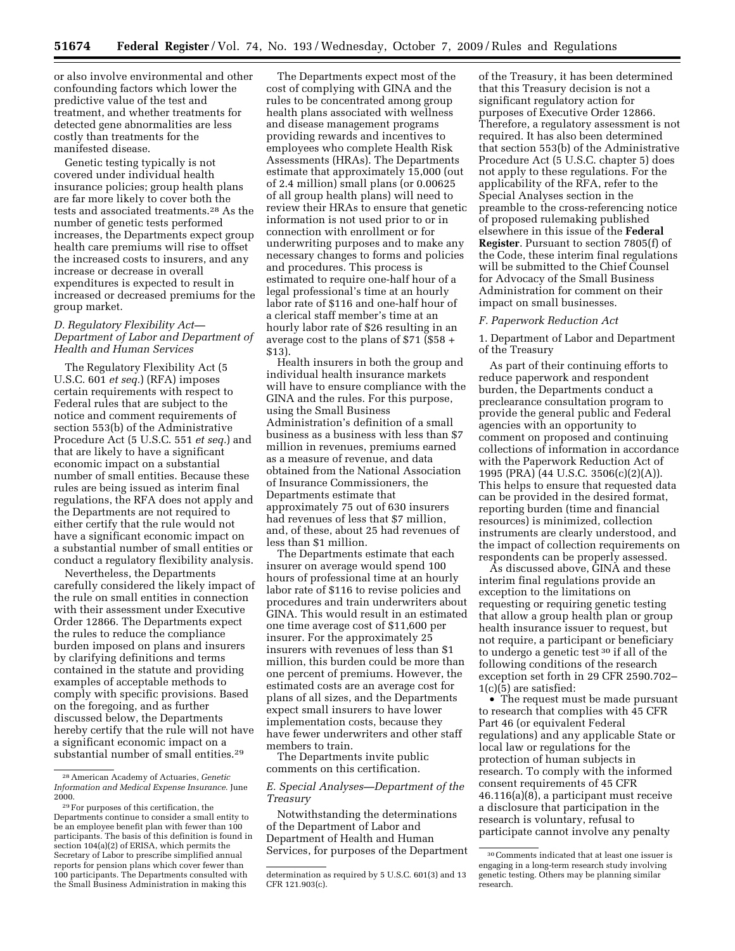or also involve environmental and other confounding factors which lower the predictive value of the test and treatment, and whether treatments for detected gene abnormalities are less costly than treatments for the manifested disease.

Genetic testing typically is not covered under individual health insurance policies; group health plans are far more likely to cover both the tests and associated treatments.28 As the number of genetic tests performed increases, the Departments expect group health care premiums will rise to offset the increased costs to insurers, and any increase or decrease in overall expenditures is expected to result in increased or decreased premiums for the group market.

### *D. Regulatory Flexibility Act— Department of Labor and Department of Health and Human Services*

The Regulatory Flexibility Act (5 U.S.C. 601 *et seq.*) (RFA) imposes certain requirements with respect to Federal rules that are subject to the notice and comment requirements of section 553(b) of the Administrative Procedure Act (5 U.S.C. 551 *et seq.*) and that are likely to have a significant economic impact on a substantial number of small entities. Because these rules are being issued as interim final regulations, the RFA does not apply and the Departments are not required to either certify that the rule would not have a significant economic impact on a substantial number of small entities or conduct a regulatory flexibility analysis.

Nevertheless, the Departments carefully considered the likely impact of the rule on small entities in connection with their assessment under Executive Order 12866. The Departments expect the rules to reduce the compliance burden imposed on plans and insurers by clarifying definitions and terms contained in the statute and providing examples of acceptable methods to comply with specific provisions. Based on the foregoing, and as further discussed below, the Departments hereby certify that the rule will not have a significant economic impact on a substantial number of small entities.29

The Departments expect most of the cost of complying with GINA and the rules to be concentrated among group health plans associated with wellness and disease management programs providing rewards and incentives to employees who complete Health Risk Assessments (HRAs). The Departments estimate that approximately 15,000 (out of 2.4 million) small plans (or 0.00625 of all group health plans) will need to review their HRAs to ensure that genetic information is not used prior to or in connection with enrollment or for underwriting purposes and to make any necessary changes to forms and policies and procedures. This process is estimated to require one-half hour of a legal professional's time at an hourly labor rate of \$116 and one-half hour of a clerical staff member's time at an hourly labor rate of \$26 resulting in an average cost to the plans of \$71 (\$58 + \$13).

Health insurers in both the group and individual health insurance markets will have to ensure compliance with the GINA and the rules. For this purpose, using the Small Business Administration's definition of a small business as a business with less than \$7 million in revenues, premiums earned as a measure of revenue, and data obtained from the National Association of Insurance Commissioners, the Departments estimate that approximately 75 out of 630 insurers had revenues of less that \$7 million, and, of these, about 25 had revenues of less than \$1 million.

The Departments estimate that each insurer on average would spend 100 hours of professional time at an hourly labor rate of \$116 to revise policies and procedures and train underwriters about GINA. This would result in an estimated one time average cost of \$11,600 per insurer. For the approximately 25 insurers with revenues of less than \$1 million, this burden could be more than one percent of premiums. However, the estimated costs are an average cost for plans of all sizes, and the Departments expect small insurers to have lower implementation costs, because they have fewer underwriters and other staff members to train.

The Departments invite public comments on this certification.

#### *E. Special Analyses—Department of the Treasury*

Notwithstanding the determinations of the Department of Labor and Department of Health and Human Services, for purposes of the Department of the Treasury, it has been determined that this Treasury decision is not a significant regulatory action for purposes of Executive Order 12866. Therefore, a regulatory assessment is not required. It has also been determined that section 553(b) of the Administrative Procedure Act (5 U.S.C. chapter 5) does not apply to these regulations. For the applicability of the RFA, refer to the Special Analyses section in the preamble to the cross-referencing notice of proposed rulemaking published elsewhere in this issue of the **Federal Register**. Pursuant to section 7805(f) of the Code, these interim final regulations will be submitted to the Chief Counsel for Advocacy of the Small Business Administration for comment on their impact on small businesses.

#### *F. Paperwork Reduction Act*

1. Department of Labor and Department of the Treasury

As part of their continuing efforts to reduce paperwork and respondent burden, the Departments conduct a preclearance consultation program to provide the general public and Federal agencies with an opportunity to comment on proposed and continuing collections of information in accordance with the Paperwork Reduction Act of 1995 (PRA) (44 U.S.C. 3506(c)(2)(A)). This helps to ensure that requested data can be provided in the desired format, reporting burden (time and financial resources) is minimized, collection instruments are clearly understood, and the impact of collection requirements on respondents can be properly assessed.

As discussed above, GINA and these interim final regulations provide an exception to the limitations on requesting or requiring genetic testing that allow a group health plan or group health insurance issuer to request, but not require, a participant or beneficiary to undergo a genetic test 30 if all of the following conditions of the research exception set forth in 29 CFR 2590.702– 1(c)(5) are satisfied:

• The request must be made pursuant to research that complies with 45 CFR Part 46 (or equivalent Federal regulations) and any applicable State or local law or regulations for the protection of human subjects in research. To comply with the informed consent requirements of 45 CFR 46.116(a)(8), a participant must receive a disclosure that participation in the research is voluntary, refusal to participate cannot involve any penalty

<sup>28</sup>American Academy of Actuaries, *Genetic Information and Medical Expense Insurance*. June 2000.

<sup>29</sup>For purposes of this certification, the Departments continue to consider a small entity to be an employee benefit plan with fewer than 100 participants. The basis of this definition is found in section 104(a)(2) of ERISA, which permits the Secretary of Labor to prescribe simplified annual reports for pension plans which cover fewer than 100 participants. The Departments consulted with the Small Business Administration in making this

determination as required by 5 U.S.C. 601(3) and 13 CFR 121.903(c).

<sup>30</sup>Comments indicated that at least one issuer is engaging in a long-term research study involving genetic testing. Others may be planning similar research.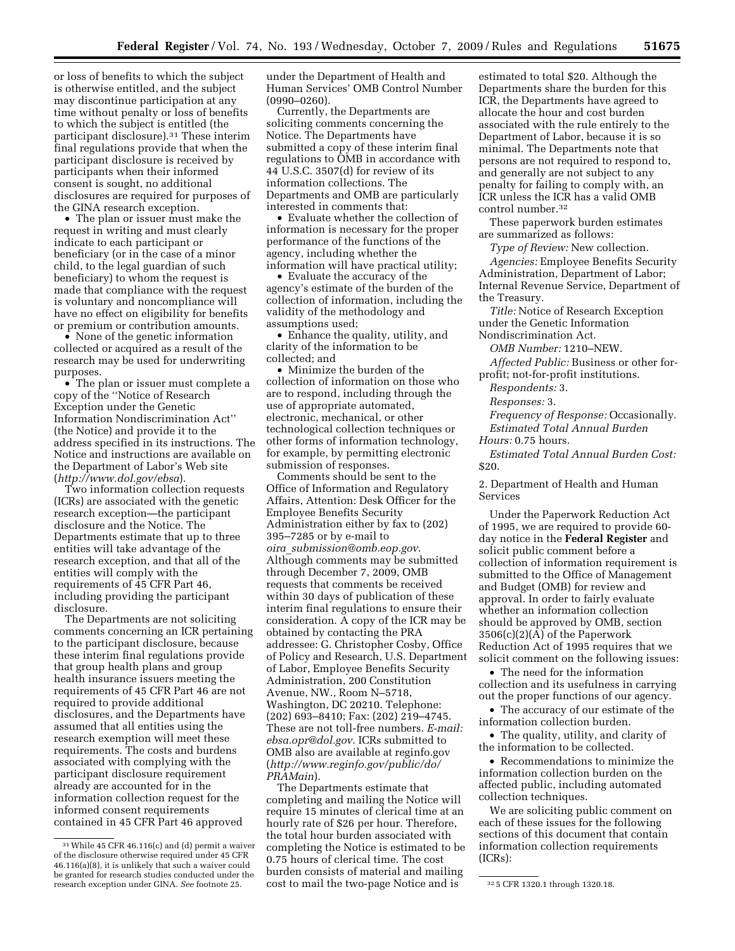or loss of benefits to which the subject is otherwise entitled, and the subject may discontinue participation at any time without penalty or loss of benefits to which the subject is entitled (the participant disclosure).31 These interim final regulations provide that when the participant disclosure is received by participants when their informed consent is sought, no additional disclosures are required for purposes of the GINA research exception.

• The plan or issuer must make the request in writing and must clearly indicate to each participant or beneficiary (or in the case of a minor child, to the legal guardian of such beneficiary) to whom the request is made that compliance with the request is voluntary and noncompliance will have no effect on eligibility for benefits or premium or contribution amounts.

• None of the genetic information collected or acquired as a result of the research may be used for underwriting purposes.

• The plan or issuer must complete a copy of the ''Notice of Research Exception under the Genetic Information Nondiscrimination Act'' (the Notice) and provide it to the address specified in its instructions. The Notice and instructions are available on the Department of Labor's Web site (*http://www.dol.gov/ebsa*).

Two information collection requests (ICRs) are associated with the genetic research exception—the participant disclosure and the Notice. The Departments estimate that up to three entities will take advantage of the research exception, and that all of the entities will comply with the requirements of 45 CFR Part 46, including providing the participant disclosure.

The Departments are not soliciting comments concerning an ICR pertaining to the participant disclosure, because these interim final regulations provide that group health plans and group health insurance issuers meeting the requirements of 45 CFR Part 46 are not required to provide additional disclosures, and the Departments have assumed that all entities using the research exemption will meet these requirements. The costs and burdens associated with complying with the participant disclosure requirement already are accounted for in the information collection request for the informed consent requirements contained in 45 CFR Part 46 approved

under the Department of Health and Human Services' OMB Control Number (0990–0260).

Currently, the Departments are soliciting comments concerning the Notice. The Departments have submitted a copy of these interim final regulations to OMB in accordance with 44 U.S.C. 3507(d) for review of its information collections. The Departments and OMB are particularly interested in comments that:

• Evaluate whether the collection of information is necessary for the proper performance of the functions of the agency, including whether the information will have practical utility;

• Evaluate the accuracy of the agency's estimate of the burden of the collection of information, including the validity of the methodology and assumptions used;

• Enhance the quality, utility, and clarity of the information to be collected; and

• Minimize the burden of the collection of information on those who are to respond, including through the use of appropriate automated, electronic, mechanical, or other technological collection techniques or other forms of information technology, for example, by permitting electronic submission of responses.

Comments should be sent to the Office of Information and Regulatory Affairs, Attention: Desk Officer for the Employee Benefits Security Administration either by fax to (202) 395–7285 or by e-mail to *oira*\_*submission@omb.eop.gov*. Although comments may be submitted through December 7, 2009, OMB requests that comments be received within 30 days of publication of these interim final regulations to ensure their consideration. A copy of the ICR may be obtained by contacting the PRA addressee: G. Christopher Cosby, Office of Policy and Research, U.S. Department of Labor, Employee Benefits Security Administration, 200 Constitution Avenue, NW., Room N–5718, Washington, DC 20210. Telephone: (202) 693–8410; Fax: (202) 219–4745. These are not toll-free numbers. *E-mail: ebsa.opr@dol.gov*. ICRs submitted to OMB also are available at reginfo.gov (*http://www.reginfo.gov/public/do/ PRAMain*).

research exception under GINA. *See* footnote 25. **323 6 CFR 1320.1 through 1320.18.**  $325$  CFR 1320.1 through 1320.18. The Departments estimate that completing and mailing the Notice will require 15 minutes of clerical time at an hourly rate of \$26 per hour. Therefore, the total hour burden associated with completing the Notice is estimated to be 0.75 hours of clerical time. The cost burden consists of material and mailing

estimated to total \$20. Although the Departments share the burden for this ICR, the Departments have agreed to allocate the hour and cost burden associated with the rule entirely to the Department of Labor, because it is so minimal. The Departments note that persons are not required to respond to, and generally are not subject to any penalty for failing to comply with, an ICR unless the ICR has a valid OMB control number.32

These paperwork burden estimates are summarized as follows:

*Type of Review:* New collection.

*Agencies:* Employee Benefits Security Administration, Department of Labor; Internal Revenue Service, Department of the Treasury.

*Title:* Notice of Research Exception under the Genetic Information Nondiscrimination Act.

*OMB Number:* 1210–NEW.

*Affected Public:* Business or other forprofit; not-for-profit institutions.

*Respondents:* 3.

*Responses:* 3.

*Frequency of Response:* Occasionally. *Estimated Total Annual Burden Hours:* 0.75 hours.

*Estimated Total Annual Burden Cost:*  \$20.

2. Department of Health and Human Services

Under the Paperwork Reduction Act of 1995, we are required to provide 60 day notice in the **Federal Register** and solicit public comment before a collection of information requirement is submitted to the Office of Management and Budget (OMB) for review and approval. In order to fairly evaluate whether an information collection should be approved by OMB, section 3506(c)(2)(A) of the Paperwork Reduction Act of 1995 requires that we solicit comment on the following issues:

• The need for the information collection and its usefulness in carrying out the proper functions of our agency.

• The accuracy of our estimate of the information collection burden.

• The quality, utility, and clarity of the information to be collected.

• Recommendations to minimize the information collection burden on the affected public, including automated collection techniques.

We are soliciting public comment on each of these issues for the following sections of this document that contain information collection requirements (ICRs):

<sup>31</sup>While 45 CFR 46.116(c) and (d) permit a waiver of the disclosure otherwise required under 45 CFR 46.116(a)(8), it is unlikely that such a waiver could be granted for research studies conducted under the research exception under GINA. See footnote 25.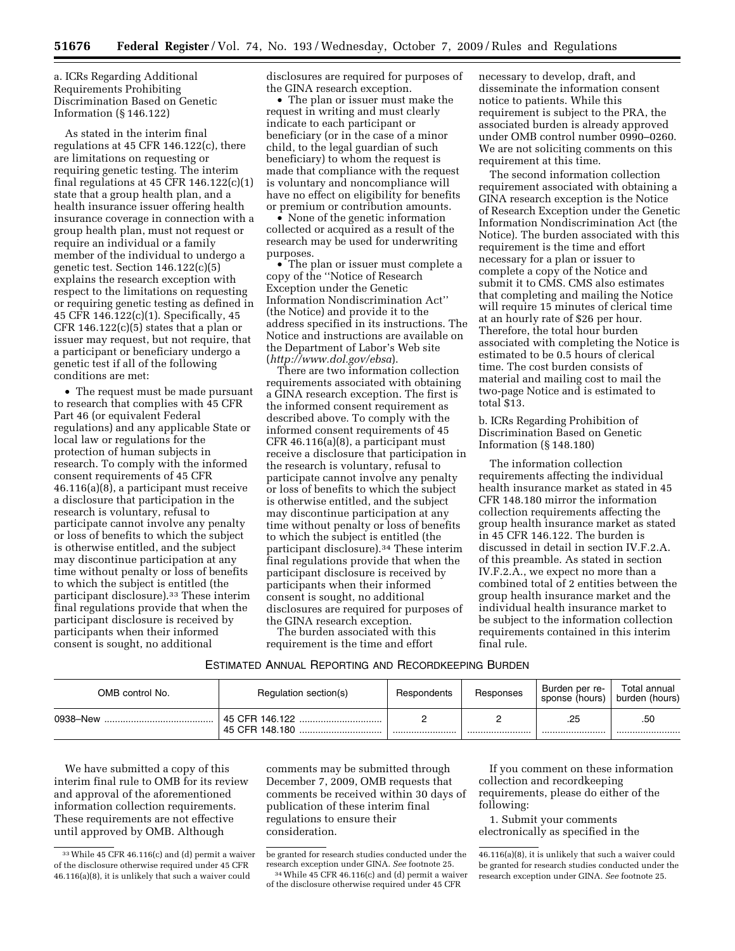a. ICRs Regarding Additional Requirements Prohibiting Discrimination Based on Genetic Information (§ 146.122)

As stated in the interim final regulations at 45 CFR 146.122(c), there are limitations on requesting or requiring genetic testing. The interim final regulations at 45 CFR 146.122(c)(1) state that a group health plan, and a health insurance issuer offering health insurance coverage in connection with a group health plan, must not request or require an individual or a family member of the individual to undergo a genetic test. Section 146.122(c)(5) explains the research exception with respect to the limitations on requesting or requiring genetic testing as defined in 45 CFR 146.122(c)(1). Specifically, 45 CFR  $146.122(c)(5)$  states that a plan or issuer may request, but not require, that a participant or beneficiary undergo a genetic test if all of the following conditions are met:

• The request must be made pursuant to research that complies with 45 CFR Part 46 (or equivalent Federal regulations) and any applicable State or local law or regulations for the protection of human subjects in research. To comply with the informed consent requirements of 45 CFR 46.116(a)(8), a participant must receive a disclosure that participation in the research is voluntary, refusal to participate cannot involve any penalty or loss of benefits to which the subject is otherwise entitled, and the subject may discontinue participation at any time without penalty or loss of benefits to which the subject is entitled (the participant disclosure).33 These interim final regulations provide that when the participant disclosure is received by participants when their informed consent is sought, no additional

disclosures are required for purposes of the GINA research exception.

• The plan or issuer must make the request in writing and must clearly indicate to each participant or beneficiary (or in the case of a minor child, to the legal guardian of such beneficiary) to whom the request is made that compliance with the request is voluntary and noncompliance will have no effect on eligibility for benefits or premium or contribution amounts.

• None of the genetic information collected or acquired as a result of the research may be used for underwriting purposes.

• The plan or issuer must complete a copy of the ''Notice of Research Exception under the Genetic Information Nondiscrimination Act'' (the Notice) and provide it to the address specified in its instructions. The Notice and instructions are available on the Department of Labor's Web site (*http://www.dol.gov/ebsa*).

There are two information collection requirements associated with obtaining a GINA research exception. The first is the informed consent requirement as described above. To comply with the informed consent requirements of 45 CFR 46.116(a)(8), a participant must receive a disclosure that participation in the research is voluntary, refusal to participate cannot involve any penalty or loss of benefits to which the subject is otherwise entitled, and the subject may discontinue participation at any time without penalty or loss of benefits to which the subject is entitled (the participant disclosure).<sup>34</sup> These interim final regulations provide that when the participant disclosure is received by participants when their informed consent is sought, no additional disclosures are required for purposes of the GINA research exception.

The burden associated with this requirement is the time and effort

necessary to develop, draft, and disseminate the information consent notice to patients. While this requirement is subject to the PRA, the associated burden is already approved under OMB control number 0990–0260. We are not soliciting comments on this requirement at this time.

The second information collection requirement associated with obtaining a GINA research exception is the Notice of Research Exception under the Genetic Information Nondiscrimination Act (the Notice). The burden associated with this requirement is the time and effort necessary for a plan or issuer to complete a copy of the Notice and submit it to CMS. CMS also estimates that completing and mailing the Notice will require 15 minutes of clerical time at an hourly rate of \$26 per hour. Therefore, the total hour burden associated with completing the Notice is estimated to be 0.5 hours of clerical time. The cost burden consists of material and mailing cost to mail the two-page Notice and is estimated to total \$13.

b. ICRs Regarding Prohibition of Discrimination Based on Genetic Information (§ 148.180)

The information collection requirements affecting the individual health insurance market as stated in 45 CFR 148.180 mirror the information collection requirements affecting the group health insurance market as stated in 45 CFR 146.122. The burden is discussed in detail in section IV.F.2.A. of this preamble. As stated in section IV.F.2.A., we expect no more than a combined total of 2 entities between the group health insurance market and the individual health insurance market to be subject to the information collection requirements contained in this interim final rule.

| ESTIMATED ANNUAL REPORTING AND RECORDKEEPING BURDEN |  |  |  |
|-----------------------------------------------------|--|--|--|
|-----------------------------------------------------|--|--|--|

| OMB control No. | Regulation section(s)              | Respondents | Responses | Burden per re-<br>sponse (hours) | Total annual<br>burden (hours) |
|-----------------|------------------------------------|-------------|-----------|----------------------------------|--------------------------------|
| 0938–New        | 45 CFR 146.122 '<br>45 CFR 148.180 |             |           | .25<br>                          | .50<br>                        |

We have submitted a copy of this interim final rule to OMB for its review and approval of the aforementioned information collection requirements. These requirements are not effective until approved by OMB. Although

comments may be submitted through December 7, 2009, OMB requests that comments be received within 30 days of publication of these interim final regulations to ensure their consideration.

If you comment on these information collection and recordkeeping requirements, please do either of the following:

1. Submit your comments electronically as specified in the

<sup>33</sup>While 45 CFR 46.116(c) and (d) permit a waiver of the disclosure otherwise required under 45 CFR 46.116(a)(8), it is unlikely that such a waiver could

be granted for research studies conducted under the research exception under GINA. *See* footnote 25.

<sup>34</sup>While 45 CFR 46.116(c) and (d) permit a waiver of the disclosure otherwise required under 45 CFR

<sup>46.116(</sup>a)(8), it is unlikely that such a waiver could be granted for research studies conducted under the research exception under GINA. *See* footnote 25.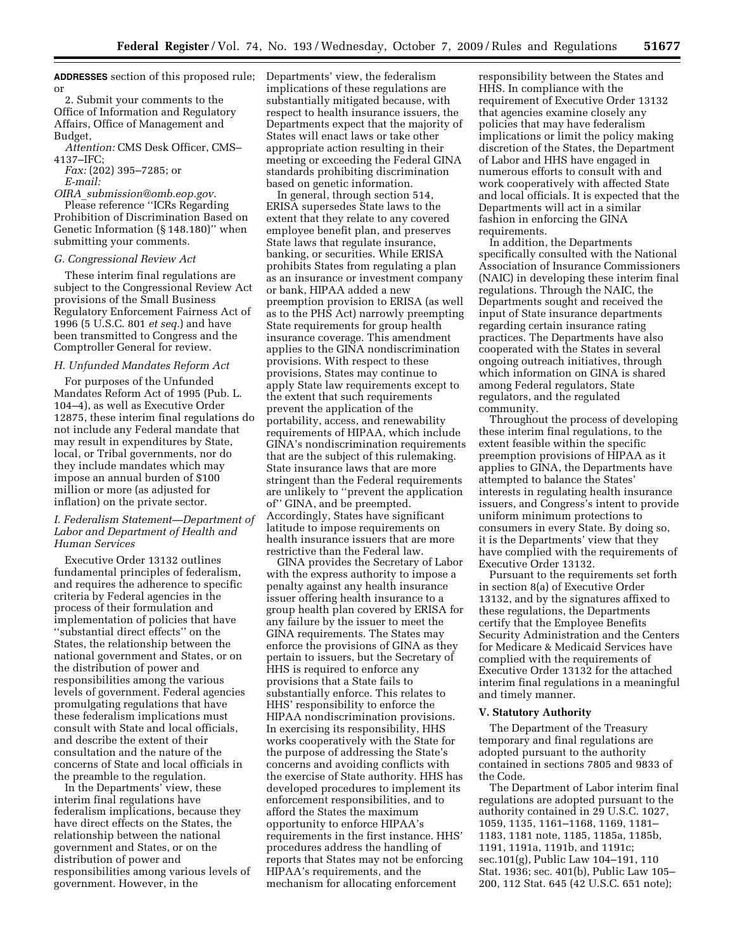**ADDRESSES** section of this proposed rule; Departments' view, the federalism or

2. Submit your comments to the Office of Information and Regulatory Affairs, Office of Management and Budget,

*Attention:* CMS Desk Officer, CMS– 4137–IFC;

#### *Fax:* (202) 395–7285; or *E-mail:*

*OIRA*\_*submission@omb.eop.gov.* 

Please reference ''ICRs Regarding Prohibition of Discrimination Based on Genetic Information (§ 148.180)'' when submitting your comments.

#### *G. Congressional Review Act*

These interim final regulations are subject to the Congressional Review Act provisions of the Small Business Regulatory Enforcement Fairness Act of 1996 (5 U.S.C. 801 *et seq.*) and have been transmitted to Congress and the Comptroller General for review.

#### *H. Unfunded Mandates Reform Act*

For purposes of the Unfunded Mandates Reform Act of 1995 (Pub. L. 104–4), as well as Executive Order 12875, these interim final regulations do not include any Federal mandate that may result in expenditures by State, local, or Tribal governments, nor do they include mandates which may impose an annual burden of \$100 million or more (as adjusted for inflation) on the private sector.

# *I. Federalism Statement—Department of Labor and Department of Health and Human Services*

Executive Order 13132 outlines fundamental principles of federalism, and requires the adherence to specific criteria by Federal agencies in the process of their formulation and implementation of policies that have ''substantial direct effects'' on the States, the relationship between the national government and States, or on the distribution of power and responsibilities among the various levels of government. Federal agencies promulgating regulations that have these federalism implications must consult with State and local officials, and describe the extent of their consultation and the nature of the concerns of State and local officials in the preamble to the regulation.

In the Departments' view, these interim final regulations have federalism implications, because they have direct effects on the States, the relationship between the national government and States, or on the distribution of power and responsibilities among various levels of government. However, in the

implications of these regulations are substantially mitigated because, with respect to health insurance issuers, the Departments expect that the majority of States will enact laws or take other appropriate action resulting in their meeting or exceeding the Federal GINA standards prohibiting discrimination based on genetic information.

In general, through section 514, ERISA supersedes State laws to the extent that they relate to any covered employee benefit plan, and preserves State laws that regulate insurance, banking, or securities. While ERISA prohibits States from regulating a plan as an insurance or investment company or bank, HIPAA added a new preemption provision to ERISA (as well as to the PHS Act) narrowly preempting State requirements for group health insurance coverage. This amendment applies to the GINA nondiscrimination provisions. With respect to these provisions, States may continue to apply State law requirements except to the extent that such requirements prevent the application of the portability, access, and renewability requirements of HIPAA, which include GINA's nondiscrimination requirements that are the subject of this rulemaking. State insurance laws that are more stringent than the Federal requirements are unlikely to ''prevent the application of'' GINA, and be preempted. Accordingly, States have significant latitude to impose requirements on health insurance issuers that are more restrictive than the Federal law.

GINA provides the Secretary of Labor with the express authority to impose a penalty against any health insurance issuer offering health insurance to a group health plan covered by ERISA for any failure by the issuer to meet the GINA requirements. The States may enforce the provisions of GINA as they pertain to issuers, but the Secretary of HHS is required to enforce any provisions that a State fails to substantially enforce. This relates to HHS' responsibility to enforce the HIPAA nondiscrimination provisions. In exercising its responsibility, HHS works cooperatively with the State for the purpose of addressing the State's concerns and avoiding conflicts with the exercise of State authority. HHS has developed procedures to implement its enforcement responsibilities, and to afford the States the maximum opportunity to enforce HIPAA's requirements in the first instance. HHS' procedures address the handling of reports that States may not be enforcing HIPAA's requirements, and the mechanism for allocating enforcement

responsibility between the States and HHS. In compliance with the requirement of Executive Order 13132 that agencies examine closely any policies that may have federalism implications or limit the policy making discretion of the States, the Department of Labor and HHS have engaged in numerous efforts to consult with and work cooperatively with affected State and local officials. It is expected that the Departments will act in a similar fashion in enforcing the GINA requirements.

In addition, the Departments specifically consulted with the National Association of Insurance Commissioners (NAIC) in developing these interim final regulations. Through the NAIC, the Departments sought and received the input of State insurance departments regarding certain insurance rating practices. The Departments have also cooperated with the States in several ongoing outreach initiatives, through which information on GINA is shared among Federal regulators, State regulators, and the regulated community.

Throughout the process of developing these interim final regulations, to the extent feasible within the specific preemption provisions of HIPAA as it applies to GINA, the Departments have attempted to balance the States' interests in regulating health insurance issuers, and Congress's intent to provide uniform minimum protections to consumers in every State. By doing so, it is the Departments' view that they have complied with the requirements of Executive Order 13132.

Pursuant to the requirements set forth in section 8(a) of Executive Order 13132, and by the signatures affixed to these regulations, the Departments certify that the Employee Benefits Security Administration and the Centers for Medicare & Medicaid Services have complied with the requirements of Executive Order 13132 for the attached interim final regulations in a meaningful and timely manner.

#### **V. Statutory Authority**

The Department of the Treasury temporary and final regulations are adopted pursuant to the authority contained in sections 7805 and 9833 of the Code.

The Department of Labor interim final regulations are adopted pursuant to the authority contained in 29 U.S.C. 1027, 1059, 1135, 1161–1168, 1169, 1181– 1183, 1181 note, 1185, 1185a, 1185b, 1191, 1191a, 1191b, and 1191c; sec.101(g), Public Law 104–191, 110 Stat. 1936; sec. 401(b), Public Law 105– 200, 112 Stat. 645 (42 U.S.C. 651 note);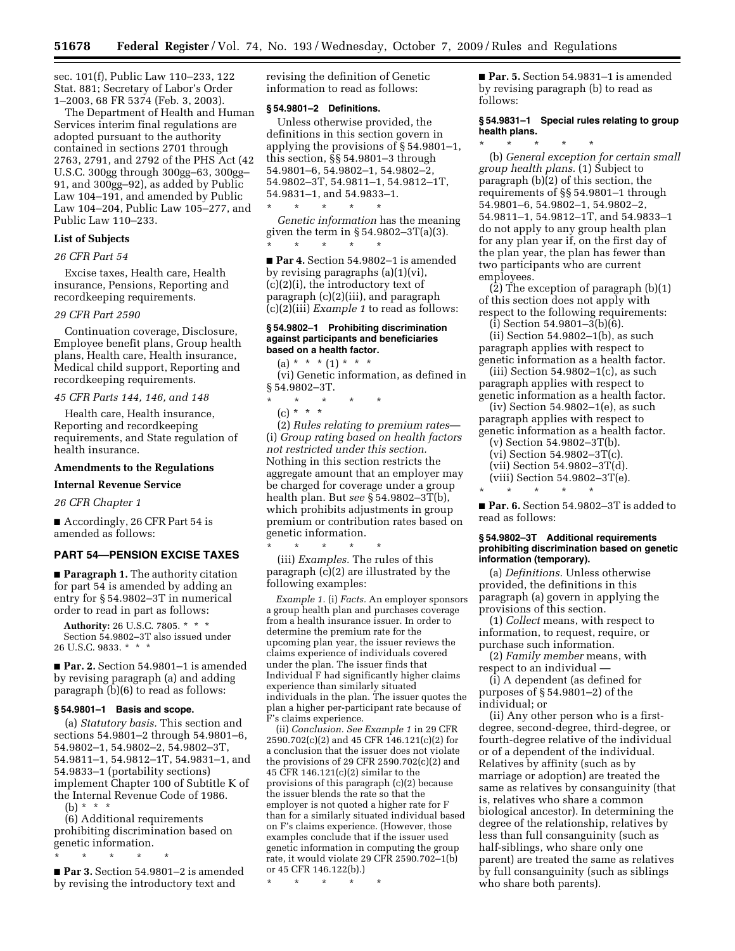sec. 101(f), Public Law 110–233, 122 Stat. 881; Secretary of Labor's Order 1–2003, 68 FR 5374 (Feb. 3, 2003).

The Department of Health and Human Services interim final regulations are adopted pursuant to the authority contained in sections 2701 through 2763, 2791, and 2792 of the PHS Act (42 U.S.C. 300gg through 300gg–63, 300gg– 91, and 300gg–92), as added by Public Law 104–191, and amended by Public Law 104–204, Public Law 105–277, and Public Law 110–233.

# **List of Subjects**

### *26 CFR Part 54*

Excise taxes, Health care, Health insurance, Pensions, Reporting and recordkeeping requirements.

### *29 CFR Part 2590*

Continuation coverage, Disclosure, Employee benefit plans, Group health plans, Health care, Health insurance, Medical child support, Reporting and recordkeeping requirements.

#### *45 CFR Parts 144, 146, and 148*

Health care, Health insurance, Reporting and recordkeeping requirements, and State regulation of health insurance.

#### **Amendments to the Regulations**

### **Internal Revenue Service**

*26 CFR Chapter 1* 

■ Accordingly, 26 CFR Part 54 is amended as follows:

### **PART 54—PENSION EXCISE TAXES**

■ **Paragraph 1.** The authority citation for part 54 is amended by adding an entry for § 54.9802–3T in numerical order to read in part as follows:

**Authority:** 26 U.S.C. 7805. \* \* \* Section 54.9802–3T also issued under 26 U.S.C. 9833. \* \* \*

■ **Par. 2.** Section 54.9801-1 is amended by revising paragraph (a) and adding paragraph (b)(6) to read as follows:

#### **§ 54.9801–1 Basis and scope.**

(a) *Statutory basis.* This section and sections 54.9801–2 through 54.9801–6, 54.9802–1, 54.9802–2, 54.9802–3T, 54.9811–1, 54.9812–1T, 54.9831–1, and 54.9833–1 (portability sections) implement Chapter 100 of Subtitle K of the Internal Revenue Code of 1986. (b)  $* * * *$ 

(6) Additional requirements prohibiting discrimination based on genetic information.

\* \* \* \* \*

■ **Par 3.** Section 54.9801–2 is amended by revising the introductory text and

revising the definition of Genetic information to read as follows:

#### **§ 54.9801–2 Definitions.**

Unless otherwise provided, the definitions in this section govern in applying the provisions of § 54.9801–1, this section, §§ 54.9801–3 through 54.9801–6, 54.9802–1, 54.9802–2, 54.9802–3T, 54.9811–1, 54.9812–1T, 54.9831–1, and 54.9833–1. \* \* \* \* \*

*Genetic information* has the meaning given the term in  $\S 54.9802 - 3T(a)(3)$ . \* \* \* \* \*

■ **Par 4.** Section 54.9802–1 is amended by revising paragraphs (a)(1)(vi), (c)(2)(i), the introductory text of paragraph (c)(2)(iii), and paragraph (c)(2)(iii) *Example 1* to read as follows:

### **§ 54.9802–1 Prohibiting discrimination against participants and beneficiaries based on a health factor.**

(a) \* \* \* (1) \* \* \* (vi) Genetic information, as defined in § 54.9802–3T.

\* \* \* \* \* (c) \* \* \*

(2) *Rules relating to premium rates*— (i) *Group rating based on health factors not restricted under this section.*  Nothing in this section restricts the aggregate amount that an employer may be charged for coverage under a group health plan. But *see* § 54.9802–3T(b), which prohibits adjustments in group premium or contribution rates based on genetic information.

\* \* \* \* \* (iii) *Examples.* The rules of this paragraph (c)(2) are illustrated by the following examples:

*Example 1.* (i) *Facts.* An employer sponsors a group health plan and purchases coverage from a health insurance issuer. In order to determine the premium rate for the upcoming plan year, the issuer reviews the claims experience of individuals covered under the plan. The issuer finds that Individual F had significantly higher claims experience than similarly situated individuals in the plan. The issuer quotes the plan a higher per-participant rate because of F's claims experience.

(ii) *Conclusion. See Example 1* in 29 CFR 2590.702(c)(2) and 45 CFR 146.121(c)(2) for a conclusion that the issuer does not violate the provisions of 29 CFR 2590.702 $(c)(2)$  and 45 CFR 146.121(c)(2) similar to the provisions of this paragraph (c)(2) because the issuer blends the rate so that the employer is not quoted a higher rate for F than for a similarly situated individual based on F's claims experience. (However, those examples conclude that if the issuer used genetic information in computing the group rate, it would violate 29 CFR 2590.702–1(b) or 45 CFR 146.122(b).)

\* \* \* \* \*

■ **Par. 5.** Section 54.9831–1 is amended by revising paragraph (b) to read as follows:

### **§ 54.9831–1 Special rules relating to group health plans.**

\* \* \* \* \*

(b) *General exception for certain small group health plans.* (1) Subject to paragraph (b)(2) of this section, the requirements of §§ 54.9801–1 through 54.9801–6, 54.9802–1, 54.9802–2, 54.9811–1, 54.9812–1T, and 54.9833–1 do not apply to any group health plan for any plan year if, on the first day of the plan year, the plan has fewer than two participants who are current employees.

 $(2)$  The exception of paragraph  $(b)(1)$ of this section does not apply with respect to the following requirements:

(i) Section 54.9801–3(b)(6).

(ii) Section 54.9802–1(b), as such paragraph applies with respect to genetic information as a health factor.

 $(iii)$  Section 54.9802-1 $(c)$ , as such paragraph applies with respect to genetic information as a health factor.

(iv) Section 54.9802–1(e), as such paragraph applies with respect to genetic information as a health factor.

(v) Section 54.9802–3T(b).

- (vi) Section 54.9802–3T(c).
- (vii) Section 54.9802–3T(d).
- (viii) Section 54.9802–3T(e).
- \* \* \* \* \*

■ **Par. 6.** Section 54.9802–3T is added to read as follows:

#### **§ 54.9802–3T Additional requirements prohibiting discrimination based on genetic information (temporary).**

(a) *Definitions.* Unless otherwise provided, the definitions in this paragraph (a) govern in applying the provisions of this section.

(1) *Collect* means, with respect to information, to request, require, or purchase such information.

(2) *Family member* means, with respect to an individual —

(i) A dependent (as defined for purposes of § 54.9801–2) of the individual; or

(ii) Any other person who is a firstdegree, second-degree, third-degree, or fourth-degree relative of the individual or of a dependent of the individual. Relatives by affinity (such as by marriage or adoption) are treated the same as relatives by consanguinity (that is, relatives who share a common biological ancestor). In determining the degree of the relationship, relatives by less than full consanguinity (such as half-siblings, who share only one parent) are treated the same as relatives by full consanguinity (such as siblings who share both parents).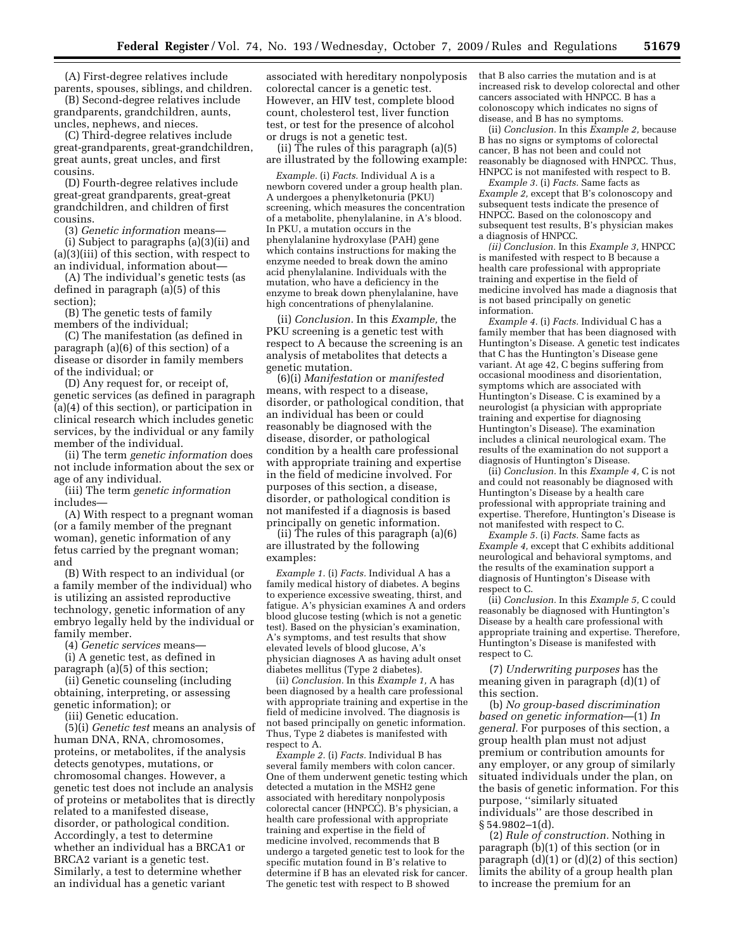(A) First-degree relatives include parents, spouses, siblings, and children.

(B) Second-degree relatives include grandparents, grandchildren, aunts, uncles, nephews, and nieces.

(C) Third-degree relatives include great-grandparents, great-grandchildren, great aunts, great uncles, and first cousins.

(D) Fourth-degree relatives include great-great grandparents, great-great grandchildren, and children of first cousins.

(3) *Genetic information* means—

(i) Subject to paragraphs (a)(3)(ii) and (a)(3)(iii) of this section, with respect to an individual, information about—

(A) The individual's genetic tests (as defined in paragraph (a)(5) of this section);

(B) The genetic tests of family members of the individual;

(C) The manifestation (as defined in paragraph (a)(6) of this section) of a disease or disorder in family members of the individual; or

(D) Any request for, or receipt of, genetic services (as defined in paragraph (a)(4) of this section), or participation in clinical research which includes genetic services, by the individual or any family member of the individual.

(ii) The term *genetic information* does not include information about the sex or age of any individual.

(iii) The term *genetic information*  includes—

(A) With respect to a pregnant woman (or a family member of the pregnant woman), genetic information of any fetus carried by the pregnant woman; and

(B) With respect to an individual (or a family member of the individual) who is utilizing an assisted reproductive technology, genetic information of any embryo legally held by the individual or family member.

(4) *Genetic services* means—

(i) A genetic test, as defined in paragraph (a)(5) of this section;

(ii) Genetic counseling (including obtaining, interpreting, or assessing genetic information); or

(iii) Genetic education.

(5)(i) *Genetic test* means an analysis of human DNA, RNA, chromosomes, proteins, or metabolites, if the analysis detects genotypes, mutations, or chromosomal changes. However, a genetic test does not include an analysis of proteins or metabolites that is directly related to a manifested disease, disorder, or pathological condition. Accordingly, a test to determine whether an individual has a BRCA1 or BRCA2 variant is a genetic test. Similarly, a test to determine whether an individual has a genetic variant

associated with hereditary nonpolyposis colorectal cancer is a genetic test. However, an HIV test, complete blood count, cholesterol test, liver function test, or test for the presence of alcohol or drugs is not a genetic test.

(ii) The rules of this paragraph (a)(5) are illustrated by the following example:

*Example.* (i) *Facts.* Individual A is a newborn covered under a group health plan. A undergoes a phenylketonuria (PKU) screening, which measures the concentration of a metabolite, phenylalanine, in A's blood. In PKU, a mutation occurs in the phenylalanine hydroxylase (PAH) gene which contains instructions for making the enzyme needed to break down the amino acid phenylalanine. Individuals with the mutation, who have a deficiency in the enzyme to break down phenylalanine, have high concentrations of phenylalanine.

(ii) *Conclusion.* In this *Example,* the PKU screening is a genetic test with respect to A because the screening is an analysis of metabolites that detects a genetic mutation.

(6)(i) *Manifestation* or *manifested*  means, with respect to a disease, disorder, or pathological condition, that an individual has been or could reasonably be diagnosed with the disease, disorder, or pathological condition by a health care professional with appropriate training and expertise in the field of medicine involved. For purposes of this section, a disease, disorder, or pathological condition is not manifested if a diagnosis is based principally on genetic information.

(ii) The rules of this paragraph (a)(6) are illustrated by the following examples:

*Example 1.* (i) *Facts.* Individual A has a family medical history of diabetes. A begins to experience excessive sweating, thirst, and fatigue. A's physician examines A and orders blood glucose testing (which is not a genetic test). Based on the physician's examination, A's symptoms, and test results that show elevated levels of blood glucose, A's physician diagnoses A as having adult onset diabetes mellitus (Type 2 diabetes).

(ii) *Conclusion.* In this *Example 1,* A has been diagnosed by a health care professional with appropriate training and expertise in the field of medicine involved. The diagnosis is not based principally on genetic information. Thus, Type 2 diabetes is manifested with respect to A.

*Example 2.* (i) *Facts.* Individual B has several family members with colon cancer. One of them underwent genetic testing which detected a mutation in the MSH2 gene associated with hereditary nonpolyposis colorectal cancer (HNPCC). B's physician, a health care professional with appropriate training and expertise in the field of medicine involved, recommends that B undergo a targeted genetic test to look for the specific mutation found in B's relative to determine if B has an elevated risk for cancer. The genetic test with respect to B showed

that B also carries the mutation and is at increased risk to develop colorectal and other cancers associated with HNPCC. B has a colonoscopy which indicates no signs of disease, and B has no symptoms.

(ii) *Conclusion.* In this *Example 2,* because B has no signs or symptoms of colorectal cancer, B has not been and could not reasonably be diagnosed with HNPCC. Thus, HNPCC is not manifested with respect to B.

*Example 3.* (i) *Facts.* Same facts as *Example 2,* except that B's colonoscopy and subsequent tests indicate the presence of HNPCC. Based on the colonoscopy and subsequent test results, B's physician makes a diagnosis of HNPCC.

*(ii) Conclusion.* In this *Example 3,* HNPCC is manifested with respect to B because a health care professional with appropriate training and expertise in the field of medicine involved has made a diagnosis that is not based principally on genetic information.

*Example 4.* (i) *Facts.* Individual C has a family member that has been diagnosed with Huntington's Disease. A genetic test indicates that C has the Huntington's Disease gene variant. At age 42, C begins suffering from occasional moodiness and disorientation, symptoms which are associated with Huntington's Disease. C is examined by a neurologist (a physician with appropriate training and expertise for diagnosing Huntington's Disease). The examination includes a clinical neurological exam. The results of the examination do not support a diagnosis of Huntington's Disease.

(ii) *Conclusion.* In this *Example 4,* C is not and could not reasonably be diagnosed with Huntington's Disease by a health care professional with appropriate training and expertise. Therefore, Huntington's Disease is not manifested with respect to C.

*Example 5.* (i) *Facts.* Same facts as *Example 4,* except that C exhibits additional neurological and behavioral symptoms, and the results of the examination support a diagnosis of Huntington's Disease with respect to C.

(ii) *Conclusion.* In this *Example 5,* C could reasonably be diagnosed with Huntington's Disease by a health care professional with appropriate training and expertise. Therefore, Huntington's Disease is manifested with respect to C.

(7) *Underwriting purposes* has the meaning given in paragraph (d)(1) of this section.

(b) *No group-based discrimination based on genetic information*—(1) *In general.* For purposes of this section, a group health plan must not adjust premium or contribution amounts for any employer, or any group of similarly situated individuals under the plan, on the basis of genetic information. For this purpose, ''similarly situated individuals'' are those described in  $§ 54.9802-1(d).$ 

(2) *Rule of construction.* Nothing in paragraph (b)(1) of this section (or in paragraph (d)(1) or (d)(2) of this section) limits the ability of a group health plan to increase the premium for an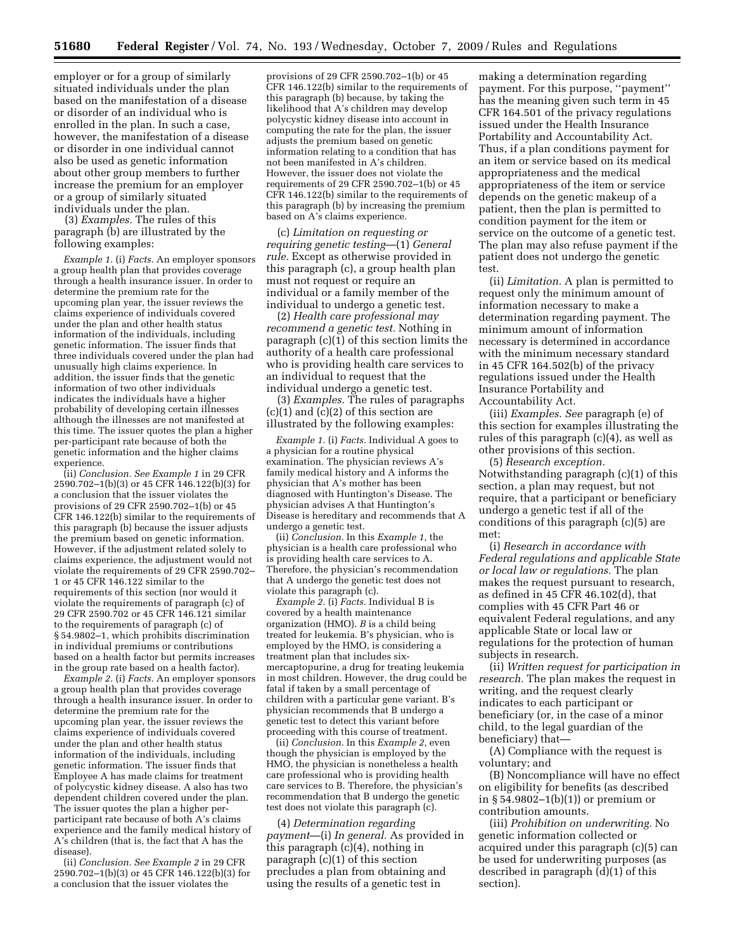employer or for a group of similarly situated individuals under the plan based on the manifestation of a disease or disorder of an individual who is enrolled in the plan. In such a case, however, the manifestation of a disease or disorder in one individual cannot also be used as genetic information about other group members to further increase the premium for an employer or a group of similarly situated individuals under the plan.

(3) *Examples.* The rules of this paragraph (b) are illustrated by the following examples:

*Example 1.* (i) *Facts.* An employer sponsors a group health plan that provides coverage through a health insurance issuer. In order to determine the premium rate for the upcoming plan year, the issuer reviews the claims experience of individuals covered under the plan and other health status information of the individuals, including genetic information. The issuer finds that three individuals covered under the plan had unusually high claims experience. In addition, the issuer finds that the genetic information of two other individuals indicates the individuals have a higher probability of developing certain illnesses although the illnesses are not manifested at this time. The issuer quotes the plan a higher per-participant rate because of both the genetic information and the higher claims experience.

(ii) *Conclusion. See Example 1* in 29 CFR 2590.702–1(b)(3) or 45 CFR 146.122(b)(3) for a conclusion that the issuer violates the provisions of 29 CFR 2590.702–1(b) or 45 CFR 146.122(b) similar to the requirements of this paragraph (b) because the issuer adjusts the premium based on genetic information. However, if the adjustment related solely to claims experience, the adjustment would not violate the requirements of 29 CFR 2590.702– 1 or 45 CFR 146.122 similar to the requirements of this section (nor would it violate the requirements of paragraph (c) of 29 CFR 2590.702 or 45 CFR 146.121 similar to the requirements of paragraph (c) of § 54.9802–1, which prohibits discrimination in individual premiums or contributions based on a health factor but permits increases in the group rate based on a health factor).

*Example 2.* (i) *Facts.* An employer sponsors a group health plan that provides coverage through a health insurance issuer. In order to determine the premium rate for the upcoming plan year, the issuer reviews the claims experience of individuals covered under the plan and other health status information of the individuals, including genetic information. The issuer finds that Employee A has made claims for treatment of polycystic kidney disease. A also has two dependent children covered under the plan. The issuer quotes the plan a higher perparticipant rate because of both A's claims experience and the family medical history of A's children (that is, the fact that A has the disease).

(ii) *Conclusion. See Example 2* in 29 CFR 2590.702–1(b)(3) or 45 CFR 146.122(b)(3) for a conclusion that the issuer violates the

provisions of 29 CFR 2590.702–1(b) or 45 CFR 146.122(b) similar to the requirements of this paragraph (b) because, by taking the likelihood that A's children may develop polycystic kidney disease into account in computing the rate for the plan, the issuer adjusts the premium based on genetic information relating to a condition that has not been manifested in A's children. However, the issuer does not violate the requirements of 29 CFR 2590.702–1(b) or 45 CFR 146.122(b) similar to the requirements of this paragraph (b) by increasing the premium based on A's claims experience.

(c) *Limitation on requesting or requiring genetic testing*—(1) *General rule.* Except as otherwise provided in this paragraph (c), a group health plan must not request or require an individual or a family member of the individual to undergo a genetic test.

(2) *Health care professional may recommend a genetic test.* Nothing in paragraph (c)(1) of this section limits the authority of a health care professional who is providing health care services to an individual to request that the individual undergo a genetic test.

(3) *Examples.* The rules of paragraphs  $(c)(1)$  and  $(c)(2)$  of this section are illustrated by the following examples:

*Example 1.* (i) *Facts.* Individual A goes to a physician for a routine physical examination. The physician reviews A's family medical history and A informs the physician that A's mother has been diagnosed with Huntington's Disease. The physician advises A that Huntington's Disease is hereditary and recommends that A undergo a genetic test.

(ii) *Conclusion.* In this *Example 1,* the physician is a health care professional who is providing health care services to A. Therefore, the physician's recommendation that A undergo the genetic test does not violate this paragraph (c).

*Example 2.* (i) *Facts.* Individual B is covered by a health maintenance organization (HMO). *B* is a child being treated for leukemia. B's physician, who is employed by the HMO, is considering a treatment plan that includes sixmercaptopurine, a drug for treating leukemia in most children. However, the drug could be fatal if taken by a small percentage of children with a particular gene variant. B's physician recommends that B undergo a genetic test to detect this variant before proceeding with this course of treatment.

(ii) *Conclusion.* In this *Example 2,* even though the physician is employed by the HMO, the physician is nonetheless a health care professional who is providing health care services to B. Therefore, the physician's recommendation that B undergo the genetic test does not violate this paragraph (c).

(4) *Determination regarding payment*—(i) *In general.* As provided in this paragraph (c)(4), nothing in paragraph  $(c)(1)$  of this section precludes a plan from obtaining and using the results of a genetic test in

making a determination regarding payment. For this purpose, ''payment'' has the meaning given such term in 45 CFR 164.501 of the privacy regulations issued under the Health Insurance Portability and Accountability Act. Thus, if a plan conditions payment for an item or service based on its medical appropriateness and the medical appropriateness of the item or service depends on the genetic makeup of a patient, then the plan is permitted to condition payment for the item or service on the outcome of a genetic test. The plan may also refuse payment if the patient does not undergo the genetic test.

(ii) *Limitation.* A plan is permitted to request only the minimum amount of information necessary to make a determination regarding payment. The minimum amount of information necessary is determined in accordance with the minimum necessary standard in 45 CFR 164.502(b) of the privacy regulations issued under the Health Insurance Portability and Accountability Act.

(iii) *Examples. See* paragraph (e) of this section for examples illustrating the rules of this paragraph (c)(4), as well as other provisions of this section.

(5) *Research exception.*  Notwithstanding paragraph (c)(1) of this section, a plan may request, but not require, that a participant or beneficiary undergo a genetic test if all of the conditions of this paragraph (c)(5) are met:

(i) *Research in accordance with Federal regulations and applicable State or local law or regulations.* The plan makes the request pursuant to research, as defined in 45 CFR 46.102(d), that complies with 45 CFR Part 46 or equivalent Federal regulations, and any applicable State or local law or regulations for the protection of human subjects in research.

(ii) *Written request for participation in research.* The plan makes the request in writing, and the request clearly indicates to each participant or beneficiary (or, in the case of a minor child, to the legal guardian of the beneficiary) that—

(A) Compliance with the request is voluntary; and

(B) Noncompliance will have no effect on eligibility for benefits (as described in § 54.9802–1(b)(1)) or premium or contribution amounts.

(iii) *Prohibition on underwriting.* No genetic information collected or acquired under this paragraph (c)(5) can be used for underwriting purposes (as described in paragraph (d)(1) of this section).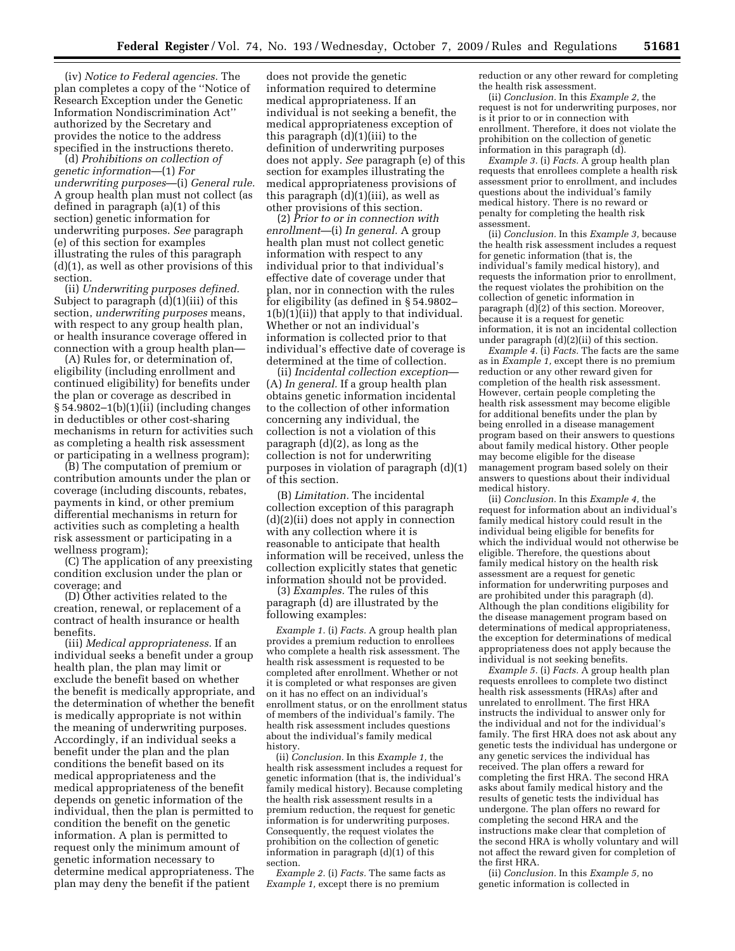(iv) *Notice to Federal agencies.* The plan completes a copy of the ''Notice of Research Exception under the Genetic Information Nondiscrimination Act'' authorized by the Secretary and provides the notice to the address specified in the instructions thereto.

(d) *Prohibitions on collection of genetic information*—(1) *For underwriting purposes*—(i) *General rule.*  A group health plan must not collect (as defined in paragraph (a)(1) of this section) genetic information for underwriting purposes. *See* paragraph (e) of this section for examples illustrating the rules of this paragraph (d)(1), as well as other provisions of this section.

(ii) *Underwriting purposes defined.*  Subject to paragraph (d)(1)(iii) of this section, *underwriting purposes* means, with respect to any group health plan, or health insurance coverage offered in connection with a group health plan—

(A) Rules for, or determination of, eligibility (including enrollment and continued eligibility) for benefits under the plan or coverage as described in § 54.9802–1(b)(1)(ii) (including changes in deductibles or other cost-sharing mechanisms in return for activities such as completing a health risk assessment or participating in a wellness program);

(B) The computation of premium or contribution amounts under the plan or coverage (including discounts, rebates, payments in kind, or other premium differential mechanisms in return for activities such as completing a health risk assessment or participating in a wellness program);

(C) The application of any preexisting condition exclusion under the plan or coverage; and

(D) Other activities related to the creation, renewal, or replacement of a contract of health insurance or health benefits.

(iii) *Medical appropriateness.* If an individual seeks a benefit under a group health plan, the plan may limit or exclude the benefit based on whether the benefit is medically appropriate, and the determination of whether the benefit is medically appropriate is not within the meaning of underwriting purposes. Accordingly, if an individual seeks a benefit under the plan and the plan conditions the benefit based on its medical appropriateness and the medical appropriateness of the benefit depends on genetic information of the individual, then the plan is permitted to condition the benefit on the genetic information. A plan is permitted to request only the minimum amount of genetic information necessary to determine medical appropriateness. The plan may deny the benefit if the patient

does not provide the genetic information required to determine medical appropriateness. If an individual is not seeking a benefit, the medical appropriateness exception of this paragraph  $(d)(1)(iii)$  to the definition of underwriting purposes does not apply. *See* paragraph (e) of this section for examples illustrating the medical appropriateness provisions of this paragraph  $(d)(1)(iii)$ , as well as other provisions of this section.

(2) *Prior to or in connection with enrollment*—(i) *In general.* A group health plan must not collect genetic information with respect to any individual prior to that individual's effective date of coverage under that plan, nor in connection with the rules for eligibility (as defined in § 54.9802– 1(b)(1)(ii)) that apply to that individual. Whether or not an individual's information is collected prior to that individual's effective date of coverage is determined at the time of collection.

(ii) *Incidental collection exception*— (A) *In general.* If a group health plan obtains genetic information incidental to the collection of other information concerning any individual, the collection is not a violation of this paragraph (d)(2), as long as the collection is not for underwriting purposes in violation of paragraph (d)(1) of this section.

(B) *Limitation.* The incidental collection exception of this paragraph (d)(2)(ii) does not apply in connection with any collection where it is reasonable to anticipate that health information will be received, unless the collection explicitly states that genetic information should not be provided.

(3) *Examples.* The rules of this paragraph (d) are illustrated by the following examples:

*Example 1.* (i) *Facts.* A group health plan provides a premium reduction to enrollees who complete a health risk assessment. The health risk assessment is requested to be completed after enrollment. Whether or not it is completed or what responses are given on it has no effect on an individual's enrollment status, or on the enrollment status of members of the individual's family. The health risk assessment includes questions about the individual's family medical history.

(ii) *Conclusion.* In this *Example 1,* the health risk assessment includes a request for genetic information (that is, the individual's family medical history). Because completing the health risk assessment results in a premium reduction, the request for genetic information is for underwriting purposes. Consequently, the request violates the prohibition on the collection of genetic information in paragraph (d)(1) of this section.

*Example 2.* (i) *Facts.* The same facts as *Example 1,* except there is no premium

reduction or any other reward for completing the health risk assessment.

(ii) *Conclusion.* In this *Example 2,* the request is not for underwriting purposes, nor is it prior to or in connection with enrollment. Therefore, it does not violate the prohibition on the collection of genetic information in this paragraph (d).

*Example 3.* (i) *Facts.* A group health plan requests that enrollees complete a health risk assessment prior to enrollment, and includes questions about the individual's family medical history. There is no reward or penalty for completing the health risk assessment.

(ii) *Conclusion.* In this *Example 3,* because the health risk assessment includes a request for genetic information (that is, the individual's family medical history), and requests the information prior to enrollment, the request violates the prohibition on the collection of genetic information in paragraph (d)(2) of this section. Moreover, because it is a request for genetic information, it is not an incidental collection under paragraph (d)(2)(ii) of this section.

*Example 4.* (i) *Facts.* The facts are the same as in *Example 1,* except there is no premium reduction or any other reward given for completion of the health risk assessment. However, certain people completing the health risk assessment may become eligible for additional benefits under the plan by being enrolled in a disease management program based on their answers to questions about family medical history. Other people may become eligible for the disease management program based solely on their answers to questions about their individual medical history.

(ii) *Conclusion.* In this *Example 4,* the request for information about an individual's family medical history could result in the individual being eligible for benefits for which the individual would not otherwise be eligible. Therefore, the questions about family medical history on the health risk assessment are a request for genetic information for underwriting purposes and are prohibited under this paragraph (d). Although the plan conditions eligibility for the disease management program based on determinations of medical appropriateness, the exception for determinations of medical appropriateness does not apply because the individual is not seeking benefits.

*Example 5.* (i) *Facts.* A group health plan requests enrollees to complete two distinct health risk assessments (HRAs) after and unrelated to enrollment. The first HRA instructs the individual to answer only for the individual and not for the individual's family. The first HRA does not ask about any genetic tests the individual has undergone or any genetic services the individual has received. The plan offers a reward for completing the first HRA. The second HRA asks about family medical history and the results of genetic tests the individual has undergone. The plan offers no reward for completing the second HRA and the instructions make clear that completion of the second HRA is wholly voluntary and will not affect the reward given for completion of the first HRA.

(ii) *Conclusion.* In this *Example 5,* no genetic information is collected in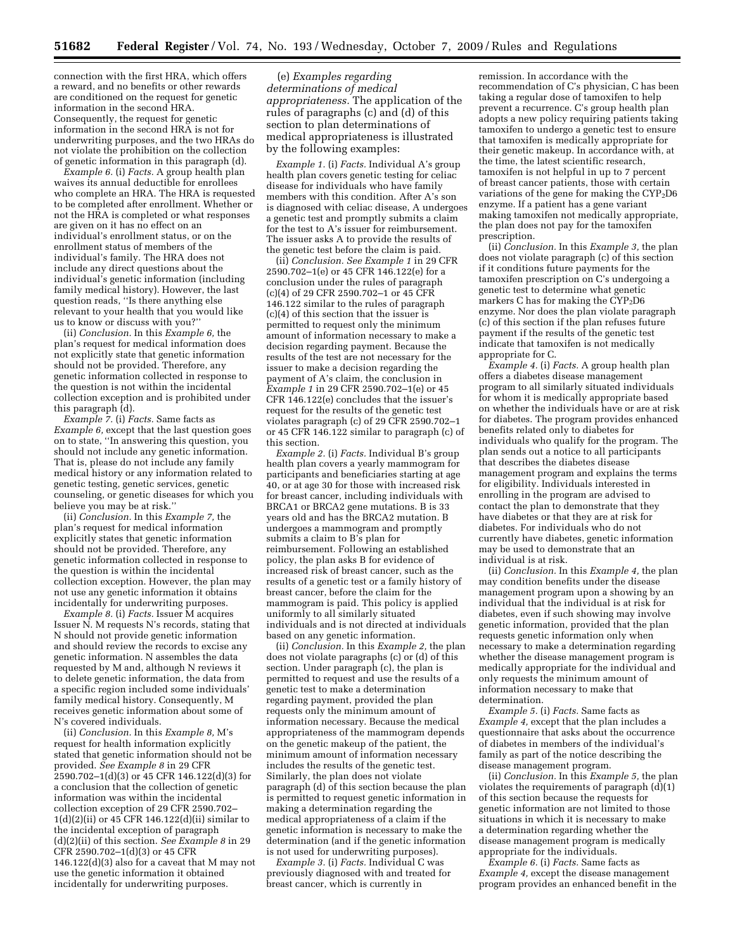connection with the first HRA, which offers a reward, and no benefits or other rewards are conditioned on the request for genetic information in the second HRA. Consequently, the request for genetic information in the second HRA is not for underwriting purposes, and the two HRAs do not violate the prohibition on the collection of genetic information in this paragraph (d).

*Example 6.* (i) *Facts.* A group health plan waives its annual deductible for enrollees who complete an HRA. The HRA is requested to be completed after enrollment. Whether or not the HRA is completed or what responses are given on it has no effect on an individual's enrollment status, or on the enrollment status of members of the individual's family. The HRA does not include any direct questions about the individual's genetic information (including family medical history). However, the last question reads, ''Is there anything else relevant to your health that you would like us to know or discuss with you?''

(ii) *Conclusion.* In this *Example 6,* the plan's request for medical information does not explicitly state that genetic information should not be provided. Therefore, any genetic information collected in response to the question is not within the incidental collection exception and is prohibited under this paragraph (d).

*Example 7.* (i) *Facts.* Same facts as *Example 6,* except that the last question goes on to state, ''In answering this question, you should not include any genetic information. That is, please do not include any family medical history or any information related to genetic testing, genetic services, genetic counseling, or genetic diseases for which you believe you may be at risk.''

(ii) *Conclusion.* In this *Example 7,* the plan's request for medical information explicitly states that genetic information should not be provided. Therefore, any genetic information collected in response to the question is within the incidental collection exception. However, the plan may not use any genetic information it obtains incidentally for underwriting purposes.

*Example 8.* (i) *Facts.* Issuer M acquires Issuer N. M requests N's records, stating that N should not provide genetic information and should review the records to excise any genetic information. N assembles the data requested by M and, although N reviews it to delete genetic information, the data from a specific region included some individuals' family medical history. Consequently, M receives genetic information about some of N's covered individuals.

(ii) *Conclusion.* In this *Example 8,* M's request for health information explicitly stated that genetic information should not be provided. *See Example 8* in 29 CFR 2590.702–1(d)(3) or 45 CFR 146.122(d)(3) for a conclusion that the collection of genetic information was within the incidental collection exception of 29 CFR 2590.702– 1(d)(2)(ii) or 45 CFR 146.122(d)(ii) similar to the incidental exception of paragraph (d)(2)(ii) of this section. *See Example 8* in 29 CFR 2590.702–1(d)(3) or 45 CFR 146.122(d)(3) also for a caveat that M may not use the genetic information it obtained incidentally for underwriting purposes.

(e) *Examples regarding determinations of medical appropriateness.* The application of the rules of paragraphs (c) and (d) of this section to plan determinations of medical appropriateness is illustrated by the following examples:

*Example 1.* (i) *Facts.* Individual A's group health plan covers genetic testing for celiac disease for individuals who have family members with this condition. After A's son is diagnosed with celiac disease, A undergoes a genetic test and promptly submits a claim for the test to A's issuer for reimbursement. The issuer asks A to provide the results of the genetic test before the claim is paid.

(ii) *Conclusion. See Example 1* in 29 CFR 2590.702–1(e) or 45 CFR 146.122(e) for a conclusion under the rules of paragraph (c)(4) of 29 CFR 2590.702–1 or 45 CFR 146.122 similar to the rules of paragraph (c)(4) of this section that the issuer is permitted to request only the minimum amount of information necessary to make a decision regarding payment. Because the results of the test are not necessary for the issuer to make a decision regarding the payment of A's claim, the conclusion in *Example 1* in 29 CFR 2590.702–1(e) or 45 CFR 146.122(e) concludes that the issuer's request for the results of the genetic test violates paragraph (c) of 29 CFR 2590.702–1 or 45 CFR 146.122 similar to paragraph (c) of this section.

*Example 2.* (i) *Facts.* Individual B's group health plan covers a yearly mammogram for participants and beneficiaries starting at age 40, or at age 30 for those with increased risk for breast cancer, including individuals with BRCA1 or BRCA2 gene mutations. B is 33 years old and has the BRCA2 mutation. B undergoes a mammogram and promptly submits a claim to B's plan for reimbursement. Following an established policy, the plan asks B for evidence of increased risk of breast cancer, such as the results of a genetic test or a family history of breast cancer, before the claim for the mammogram is paid. This policy is applied uniformly to all similarly situated individuals and is not directed at individuals based on any genetic information.

(ii) *Conclusion.* In this *Example 2,* the plan does not violate paragraphs (c) or (d) of this section. Under paragraph (c), the plan is permitted to request and use the results of a genetic test to make a determination regarding payment, provided the plan requests only the minimum amount of information necessary. Because the medical appropriateness of the mammogram depends on the genetic makeup of the patient, the minimum amount of information necessary includes the results of the genetic test. Similarly, the plan does not violate paragraph  $(d)$  of this section because the plan is permitted to request genetic information in making a determination regarding the medical appropriateness of a claim if the genetic information is necessary to make the determination (and if the genetic information is not used for underwriting purposes).

*Example 3.* (i) *Facts.* Individual C was previously diagnosed with and treated for breast cancer, which is currently in

remission. In accordance with the recommendation of C's physician, C has been taking a regular dose of tamoxifen to help prevent a recurrence. C's group health plan adopts a new policy requiring patients taking tamoxifen to undergo a genetic test to ensure that tamoxifen is medically appropriate for their genetic makeup. In accordance with, at the time, the latest scientific research, tamoxifen is not helpful in up to 7 percent of breast cancer patients, those with certain variations of the gene for making the CYP<sub>2</sub>D6 enzyme. If a patient has a gene variant making tamoxifen not medically appropriate, the plan does not pay for the tamoxifen prescription.

(ii) *Conclusion.* In this *Example 3,* the plan does not violate paragraph (c) of this section if it conditions future payments for the tamoxifen prescription on C's undergoing a genetic test to determine what genetic markers C has for making the CYP<sub>2</sub>D6 enzyme. Nor does the plan violate paragraph (c) of this section if the plan refuses future payment if the results of the genetic test indicate that tamoxifen is not medically appropriate for C.

*Example 4.* (i) *Facts.* A group health plan offers a diabetes disease management program to all similarly situated individuals for whom it is medically appropriate based on whether the individuals have or are at risk for diabetes. The program provides enhanced benefits related only to diabetes for individuals who qualify for the program. The plan sends out a notice to all participants that describes the diabetes disease management program and explains the terms for eligibility. Individuals interested in enrolling in the program are advised to contact the plan to demonstrate that they have diabetes or that they are at risk for diabetes. For individuals who do not currently have diabetes, genetic information may be used to demonstrate that an individual is at risk.

(ii) *Conclusion.* In this *Example 4,* the plan may condition benefits under the disease management program upon a showing by an individual that the individual is at risk for diabetes, even if such showing may involve genetic information, provided that the plan requests genetic information only when necessary to make a determination regarding whether the disease management program is medically appropriate for the individual and only requests the minimum amount of information necessary to make that determination.

*Example 5.* (i) *Facts.* Same facts as *Example 4,* except that the plan includes a questionnaire that asks about the occurrence of diabetes in members of the individual's family as part of the notice describing the disease management program.

(ii) *Conclusion.* In this *Example 5,* the plan violates the requirements of paragraph  $(d)(1)$ of this section because the requests for genetic information are not limited to those situations in which it is necessary to make a determination regarding whether the disease management program is medically appropriate for the individuals.

*Example 6.* (i) *Facts.* Same facts as *Example 4,* except the disease management program provides an enhanced benefit in the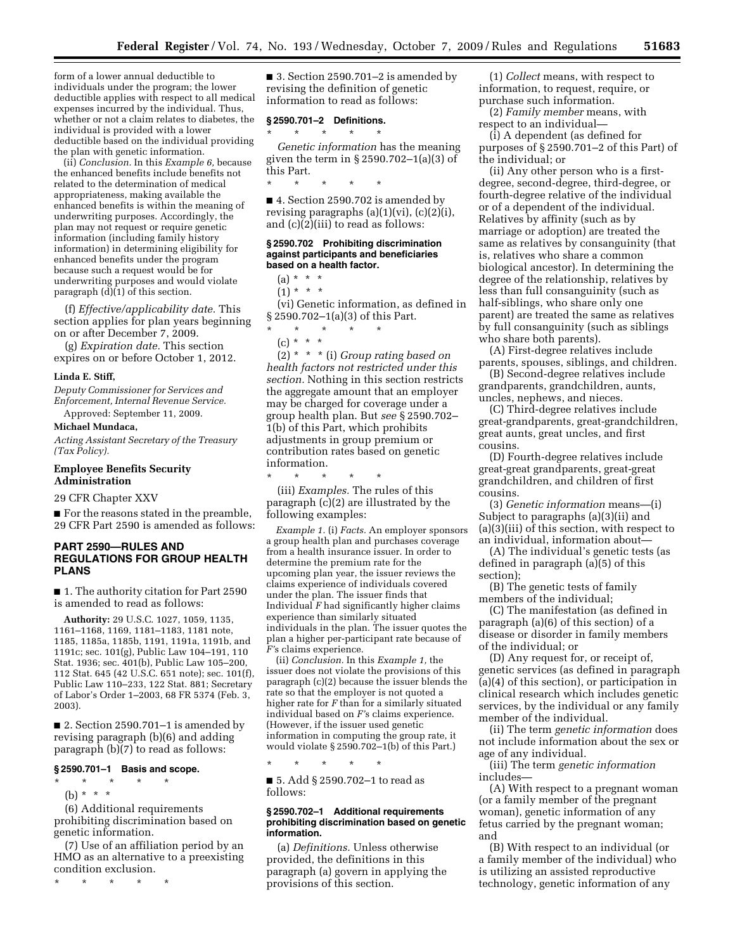form of a lower annual deductible to individuals under the program; the lower deductible applies with respect to all medical expenses incurred by the individual. Thus, whether or not a claim relates to diabetes, the individual is provided with a lower deductible based on the individual providing the plan with genetic information.

(ii) *Conclusion.* In this *Example 6,* because the enhanced benefits include benefits not related to the determination of medical appropriateness, making available the enhanced benefits is within the meaning of underwriting purposes. Accordingly, the plan may not request or require genetic information (including family history information) in determining eligibility for enhanced benefits under the program because such a request would be for underwriting purposes and would violate paragraph  $(d)(1)$  of this section.

(f) *Effective/applicability date.* This section applies for plan years beginning on or after December 7, 2009.

(g) *Expiration date.* This section expires on or before October 1, 2012.

#### **Linda E. Stiff,**

*Deputy Commissioner for Services and Enforcement, Internal Revenue Service.*  Approved: September 11, 2009.

#### **Michael Mundaca,**

*Acting Assistant Secretary of the Treasury (Tax Policy).* 

#### **Employee Benefits Security Administration**

29 CFR Chapter XXV

■ For the reasons stated in the preamble, 29 CFR Part 2590 is amended as follows:

### **PART 2590—RULES AND REGULATIONS FOR GROUP HEALTH PLANS**

■ 1. The authority citation for Part 2590 is amended to read as follows:

**Authority:** 29 U.S.C. 1027, 1059, 1135, 1161–1168, 1169, 1181–1183, 1181 note, 1185, 1185a, 1185b, 1191, 1191a, 1191b, and 1191c; sec. 101(g), Public Law 104–191, 110 Stat. 1936; sec. 401(b), Public Law 105–200, 112 Stat. 645 (42 U.S.C. 651 note); sec. 101(f), Public Law 110–233, 122 Stat. 881; Secretary of Labor's Order 1–2003, 68 FR 5374 (Feb. 3, 2003).

■ 2. Section 2590.701–1 is amended by revising paragraph (b)(6) and adding paragraph (b)(7) to read as follows:

#### **§ 2590.701–1 Basis and scope.**

\* \* \* \* \*

(b) \* \* \*

(6) Additional requirements prohibiting discrimination based on genetic information.

(7) Use of an affiliation period by an HMO as an alternative to a preexisting condition exclusion.

\* \* \* \* \*

■ 3. Section 2590.701–2 is amended by revising the definition of genetic information to read as follows:

### **§ 2590.701–2 Definitions.**

\* \* \* \* \* *Genetic information* has the meaning given the term in § 2590.702–1(a)(3) of this Part.

\* \* \* \* \* ■ 4. Section 2590.702 is amended by revising paragraphs  $(a)(1)(vi)$ ,  $(c)(2)(i)$ , and (c)(2)(iii) to read as follows:

#### **§ 2590.702 Prohibiting discrimination against participants and beneficiaries based on a health factor.**

(a) \* \* \*

 $(1) * * * *$ 

(vi) Genetic information, as defined in § 2590.702–1(a)(3) of this Part. \* \* \* \* \*

(c) \* \* \*

(2) \* \* \* (i) *Group rating based on health factors not restricted under this section.* Nothing in this section restricts the aggregate amount that an employer may be charged for coverage under a group health plan. But *see* § 2590.702– 1(b) of this Part, which prohibits adjustments in group premium or contribution rates based on genetic information.

\* \* \* \* \* (iii) *Examples.* The rules of this paragraph (c)(2) are illustrated by the following examples:

*Example 1.* (i) *Facts.* An employer sponsors a group health plan and purchases coverage from a health insurance issuer. In order to determine the premium rate for the upcoming plan year, the issuer reviews the claims experience of individuals covered under the plan. The issuer finds that Individual  $F$  had significantly higher claims experience than similarly situated individuals in the plan. The issuer quotes the plan a higher per-participant rate because of *F'*s claims experience.

(ii) *Conclusion.* In this *Example 1,* the issuer does not violate the provisions of this paragraph (c)(2) because the issuer blends the rate so that the employer is not quoted a higher rate for *F* than for a similarly situated individual based on *F'*s claims experience. (However, if the issuer used genetic information in computing the group rate, it would violate § 2590.702–1(b) of this Part.)

\* \* \* \* \*

■ 5. Add § 2590.702-1 to read as follows:

#### **§ 2590.702–1 Additional requirements prohibiting discrimination based on genetic information.**

(a) *Definitions.* Unless otherwise provided, the definitions in this paragraph (a) govern in applying the provisions of this section.

(1) *Collect* means, with respect to information, to request, require, or purchase such information.

(2) *Family member* means, with respect to an individual—

(i) A dependent (as defined for purposes of § 2590.701–2 of this Part) of the individual; or

(ii) Any other person who is a firstdegree, second-degree, third-degree, or fourth-degree relative of the individual or of a dependent of the individual. Relatives by affinity (such as by marriage or adoption) are treated the same as relatives by consanguinity (that is, relatives who share a common biological ancestor). In determining the degree of the relationship, relatives by less than full consanguinity (such as half-siblings, who share only one parent) are treated the same as relatives by full consanguinity (such as siblings who share both parents).

(A) First-degree relatives include parents, spouses, siblings, and children.

(B) Second-degree relatives include grandparents, grandchildren, aunts, uncles, nephews, and nieces.

(C) Third-degree relatives include great-grandparents, great-grandchildren, great aunts, great uncles, and first cousins.

(D) Fourth-degree relatives include great-great grandparents, great-great grandchildren, and children of first cousins.

(3) *Genetic information* means—(i) Subject to paragraphs (a)(3)(ii) and (a)(3)(iii) of this section, with respect to an individual, information about—

(A) The individual's genetic tests (as defined in paragraph (a)(5) of this section);

(B) The genetic tests of family members of the individual;

(C) The manifestation (as defined in paragraph (a)(6) of this section) of a disease or disorder in family members of the individual; or

(D) Any request for, or receipt of, genetic services (as defined in paragraph (a)(4) of this section), or participation in clinical research which includes genetic services, by the individual or any family member of the individual.

(ii) The term *genetic information* does not include information about the sex or age of any individual.

(iii) The term *genetic information*  includes—

(A) With respect to a pregnant woman (or a family member of the pregnant woman), genetic information of any fetus carried by the pregnant woman; and

(B) With respect to an individual (or a family member of the individual) who is utilizing an assisted reproductive technology, genetic information of any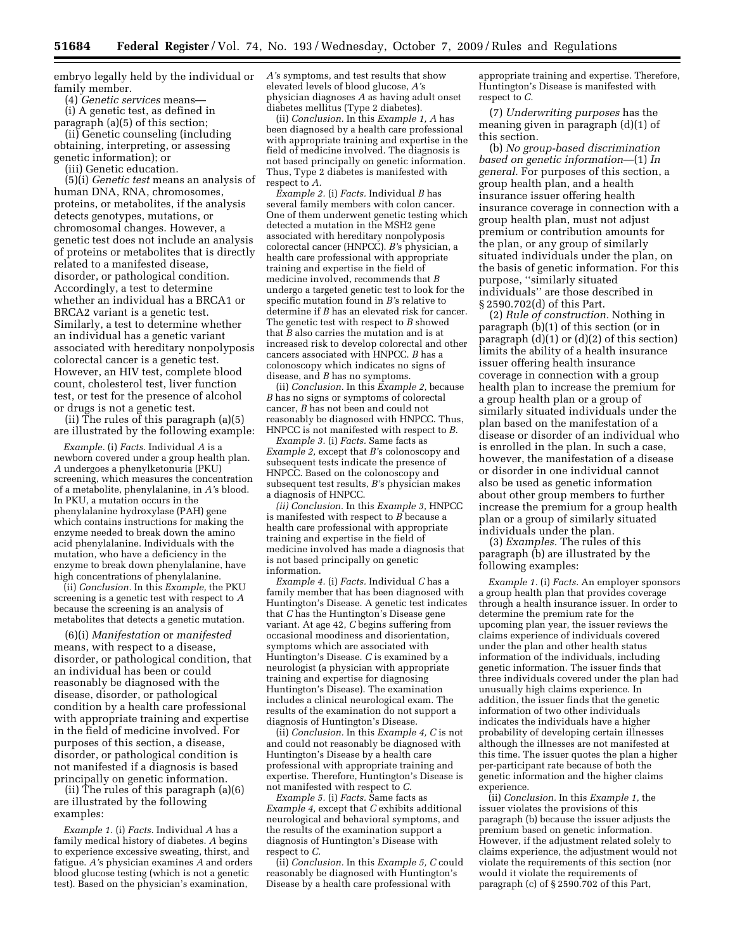embryo legally held by the individual or family member.

(4) *Genetic services* means—

(i) A genetic test, as defined in paragraph (a)(5) of this section;

(ii) Genetic counseling (including obtaining, interpreting, or assessing genetic information); or

(iii) Genetic education.

(5)(i) *Genetic test* means an analysis of human DNA, RNA, chromosomes, proteins, or metabolites, if the analysis detects genotypes, mutations, or chromosomal changes. However, a genetic test does not include an analysis of proteins or metabolites that is directly related to a manifested disease, disorder, or pathological condition. Accordingly, a test to determine whether an individual has a BRCA1 or BRCA2 variant is a genetic test. Similarly, a test to determine whether an individual has a genetic variant associated with hereditary nonpolyposis colorectal cancer is a genetic test. However, an HIV test, complete blood count, cholesterol test, liver function test, or test for the presence of alcohol or drugs is not a genetic test.

(ii) The rules of this paragraph (a)(5) are illustrated by the following example:

*Example.* (i) *Facts.* Individual *A* is a newborn covered under a group health plan. *A* undergoes a phenylketonuria (PKU) screening, which measures the concentration of a metabolite, phenylalanine, in *A'*s blood. In PKU, a mutation occurs in the phenylalanine hydroxylase (PAH) gene which contains instructions for making the enzyme needed to break down the amino acid phenylalanine. Individuals with the mutation, who have a deficiency in the enzyme to break down phenylalanine, have high concentrations of phenylalanine.

(ii) *Conclusion.* In this *Example,* the PKU screening is a genetic test with respect to *A*  because the screening is an analysis of metabolites that detects a genetic mutation.

(6)(i) *Manifestation* or *manifested*  means, with respect to a disease, disorder, or pathological condition, that an individual has been or could reasonably be diagnosed with the disease, disorder, or pathological condition by a health care professional with appropriate training and expertise in the field of medicine involved. For purposes of this section, a disease, disorder, or pathological condition is not manifested if a diagnosis is based principally on genetic information.

(ii) The rules of this paragraph (a)(6) are illustrated by the following examples:

*Example 1.* (i) *Facts.* Individual *A* has a family medical history of diabetes. *A* begins to experience excessive sweating, thirst, and fatigue. *A'*s physician examines *A* and orders blood glucose testing (which is not a genetic test). Based on the physician's examination,

*A'*s symptoms, and test results that show elevated levels of blood glucose, *A'*s physician diagnoses *A* as having adult onset diabetes mellitus (Type 2 diabetes).

(ii) *Conclusion.* In this *Example 1, A* has been diagnosed by a health care professional with appropriate training and expertise in the field of medicine involved. The diagnosis is not based principally on genetic information. Thus, Type 2 diabetes is manifested with respect to *A.* 

*Example 2.* (i) *Facts.* Individual *B* has several family members with colon cancer. One of them underwent genetic testing which detected a mutation in the MSH2 gene associated with hereditary nonpolyposis colorectal cancer (HNPCC). *B'*s physician, a health care professional with appropriate training and expertise in the field of medicine involved, recommends that *B*  undergo a targeted genetic test to look for the specific mutation found in *B'*s relative to determine if *B* has an elevated risk for cancer. The genetic test with respect to *B* showed that *B* also carries the mutation and is at increased risk to develop colorectal and other cancers associated with HNPCC. *B* has a colonoscopy which indicates no signs of disease, and *B* has no symptoms.

(ii) *Conclusion.* In this *Example 2,* because *B* has no signs or symptoms of colorectal cancer, *B* has not been and could not reasonably be diagnosed with HNPCC. Thus, HNPCC is not manifested with respect to *B.* 

*Example 3.* (i) *Facts.* Same facts as *Example 2,* except that *B'*s colonoscopy and subsequent tests indicate the presence of HNPCC. Based on the colonoscopy and subsequent test results, *B'*s physician makes a diagnosis of HNPCC.

*(ii) Conclusion.* In this *Example 3,* HNPCC is manifested with respect to *B* because a health care professional with appropriate training and expertise in the field of medicine involved has made a diagnosis that is not based principally on genetic information.

*Example 4.* (i) *Facts.* Individual *C* has a family member that has been diagnosed with Huntington's Disease. A genetic test indicates that *C* has the Huntington's Disease gene variant. At age 42, *C* begins suffering from occasional moodiness and disorientation, symptoms which are associated with Huntington's Disease. *C* is examined by a neurologist (a physician with appropriate training and expertise for diagnosing Huntington's Disease). The examination includes a clinical neurological exam. The results of the examination do not support a diagnosis of Huntington's Disease.

(ii) *Conclusion.* In this *Example 4, C* is not and could not reasonably be diagnosed with Huntington's Disease by a health care professional with appropriate training and expertise. Therefore, Huntington's Disease is not manifested with respect to *C.* 

*Example 5.* (i) *Facts.* Same facts as *Example 4,* except that *C* exhibits additional neurological and behavioral symptoms, and the results of the examination support a diagnosis of Huntington's Disease with respect to *C.* 

(ii) *Conclusion.* In this *Example 5, C* could reasonably be diagnosed with Huntington's Disease by a health care professional with

appropriate training and expertise. Therefore, Huntington's Disease is manifested with respect to *C.* 

(7) *Underwriting purposes* has the meaning given in paragraph (d)(1) of this section.

(b) *No group-based discrimination based on genetic information*—(1) *In general.* For purposes of this section, a group health plan, and a health insurance issuer offering health insurance coverage in connection with a group health plan, must not adjust premium or contribution amounts for the plan, or any group of similarly situated individuals under the plan, on the basis of genetic information. For this purpose, ''similarly situated individuals'' are those described in § 2590.702(d) of this Part.

(2) *Rule of construction.* Nothing in paragraph (b)(1) of this section (or in paragraph (d)(1) or (d)(2) of this section) limits the ability of a health insurance issuer offering health insurance coverage in connection with a group health plan to increase the premium for a group health plan or a group of similarly situated individuals under the plan based on the manifestation of a disease or disorder of an individual who is enrolled in the plan. In such a case, however, the manifestation of a disease or disorder in one individual cannot also be used as genetic information about other group members to further increase the premium for a group health plan or a group of similarly situated individuals under the plan.

(3) *Examples.* The rules of this paragraph (b) are illustrated by the following examples:

*Example 1.* (i) *Facts.* An employer sponsors a group health plan that provides coverage through a health insurance issuer. In order to determine the premium rate for the upcoming plan year, the issuer reviews the claims experience of individuals covered under the plan and other health status information of the individuals, including genetic information. The issuer finds that three individuals covered under the plan had unusually high claims experience. In addition, the issuer finds that the genetic information of two other individuals indicates the individuals have a higher probability of developing certain illnesses although the illnesses are not manifested at this time. The issuer quotes the plan a higher per-participant rate because of both the genetic information and the higher claims experience.

(ii) *Conclusion.* In this *Example 1,* the issuer violates the provisions of this paragraph (b) because the issuer adjusts the premium based on genetic information. However, if the adjustment related solely to claims experience, the adjustment would not violate the requirements of this section (nor would it violate the requirements of paragraph (c) of § 2590.702 of this Part,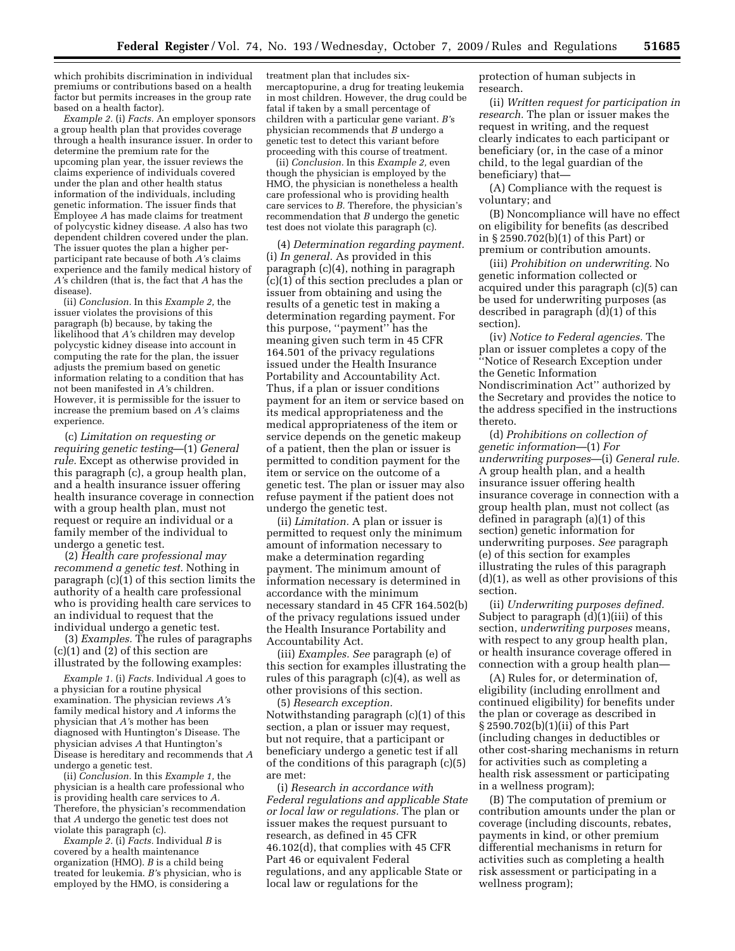which prohibits discrimination in individual premiums or contributions based on a health factor but permits increases in the group rate based on a health factor).

*Example 2.* (i) *Facts.* An employer sponsors a group health plan that provides coverage through a health insurance issuer. In order to determine the premium rate for the upcoming plan year, the issuer reviews the claims experience of individuals covered under the plan and other health status information of the individuals, including genetic information. The issuer finds that Employee *A* has made claims for treatment of polycystic kidney disease. *A* also has two dependent children covered under the plan. The issuer quotes the plan a higher perparticipant rate because of both *A'*s claims experience and the family medical history of *A'*s children (that is, the fact that *A* has the disease).

(ii) *Conclusion.* In this *Example 2,* the issuer violates the provisions of this paragraph (b) because, by taking the likelihood that *A'*s children may develop polycystic kidney disease into account in computing the rate for the plan, the issuer adjusts the premium based on genetic information relating to a condition that has not been manifested in *A'*s children. However, it is permissible for the issuer to increase the premium based on *A'*s claims experience.

(c) *Limitation on requesting or requiring genetic testing*—(1) *General rule.* Except as otherwise provided in this paragraph (c), a group health plan, and a health insurance issuer offering health insurance coverage in connection with a group health plan, must not request or require an individual or a family member of the individual to undergo a genetic test.

(2) *Health care professional may recommend a genetic test.* Nothing in paragraph (c)(1) of this section limits the authority of a health care professional who is providing health care services to an individual to request that the individual undergo a genetic test.

(3) *Examples.* The rules of paragraphs (c)(1) and (2) of this section are illustrated by the following examples:

*Example 1.* (i) *Facts.* Individual *A* goes to a physician for a routine physical examination. The physician reviews *A'*s family medical history and *A* informs the physician that *A'*s mother has been diagnosed with Huntington's Disease. The physician advises *A* that Huntington's Disease is hereditary and recommends that *A*  undergo a genetic test.

(ii) *Conclusion.* In this *Example 1,* the physician is a health care professional who is providing health care services to *A.*  Therefore, the physician's recommendation that *A* undergo the genetic test does not violate this paragraph (c).

*Example 2.* (i) *Facts.* Individual *B* is covered by a health maintenance organization (HMO). *B* is a child being treated for leukemia. *B'*s physician, who is employed by the HMO, is considering a

treatment plan that includes sixmercaptopurine, a drug for treating leukemia in most children. However, the drug could be fatal if taken by a small percentage of children with a particular gene variant. *B'*s physician recommends that *B* undergo a genetic test to detect this variant before proceeding with this course of treatment.

(ii) *Conclusion.* In this *Example 2,* even though the physician is employed by the HMO, the physician is nonetheless a health care professional who is providing health care services to *B.* Therefore, the physician's recommendation that *B* undergo the genetic test does not violate this paragraph (c).

(4) *Determination regarding payment.*  (i) *In general.* As provided in this paragraph (c)(4), nothing in paragraph (c)(1) of this section precludes a plan or issuer from obtaining and using the results of a genetic test in making a determination regarding payment. For this purpose, ''payment'' has the meaning given such term in 45 CFR 164.501 of the privacy regulations issued under the Health Insurance Portability and Accountability Act. Thus, if a plan or issuer conditions payment for an item or service based on its medical appropriateness and the medical appropriateness of the item or service depends on the genetic makeup of a patient, then the plan or issuer is permitted to condition payment for the item or service on the outcome of a genetic test. The plan or issuer may also refuse payment if the patient does not undergo the genetic test.

(ii) *Limitation.* A plan or issuer is permitted to request only the minimum amount of information necessary to make a determination regarding payment. The minimum amount of information necessary is determined in accordance with the minimum necessary standard in 45 CFR 164.502(b) of the privacy regulations issued under the Health Insurance Portability and Accountability Act.

(iii) *Examples. See* paragraph (e) of this section for examples illustrating the rules of this paragraph (c)(4), as well as other provisions of this section.

(5) *Research exception.*  Notwithstanding paragraph (c)(1) of this section, a plan or issuer may request, but not require, that a participant or beneficiary undergo a genetic test if all of the conditions of this paragraph (c)(5) are met:

(i) *Research in accordance with Federal regulations and applicable State or local law or regulations.* The plan or issuer makes the request pursuant to research, as defined in 45 CFR 46.102(d), that complies with 45 CFR Part 46 or equivalent Federal regulations, and any applicable State or local law or regulations for the

protection of human subjects in research.

(ii) *Written request for participation in research.* The plan or issuer makes the request in writing, and the request clearly indicates to each participant or beneficiary (or, in the case of a minor child, to the legal guardian of the beneficiary) that—

(A) Compliance with the request is voluntary; and

(B) Noncompliance will have no effect on eligibility for benefits (as described in § 2590.702(b)(1) of this Part) or premium or contribution amounts.

(iii) *Prohibition on underwriting.* No genetic information collected or acquired under this paragraph (c)(5) can be used for underwriting purposes (as described in paragraph (d)(1) of this section).

(iv) *Notice to Federal agencies.* The plan or issuer completes a copy of the ''Notice of Research Exception under the Genetic Information Nondiscrimination Act'' authorized by the Secretary and provides the notice to the address specified in the instructions thereto.

(d) *Prohibitions on collection of genetic information*—(1) *For underwriting purposes*—(i) *General rule.*  A group health plan, and a health insurance issuer offering health insurance coverage in connection with a group health plan, must not collect (as defined in paragraph (a)(1) of this section) genetic information for underwriting purposes. *See* paragraph (e) of this section for examples illustrating the rules of this paragraph (d)(1), as well as other provisions of this section.

(ii) *Underwriting purposes defined.*  Subject to paragraph (d)(1)(iii) of this section, *underwriting purposes* means, with respect to any group health plan, or health insurance coverage offered in connection with a group health plan—

(A) Rules for, or determination of, eligibility (including enrollment and continued eligibility) for benefits under the plan or coverage as described in § 2590.702(b)(1)(ii) of this Part (including changes in deductibles or other cost-sharing mechanisms in return for activities such as completing a health risk assessment or participating in a wellness program);

(B) The computation of premium or contribution amounts under the plan or coverage (including discounts, rebates, payments in kind, or other premium differential mechanisms in return for activities such as completing a health risk assessment or participating in a wellness program);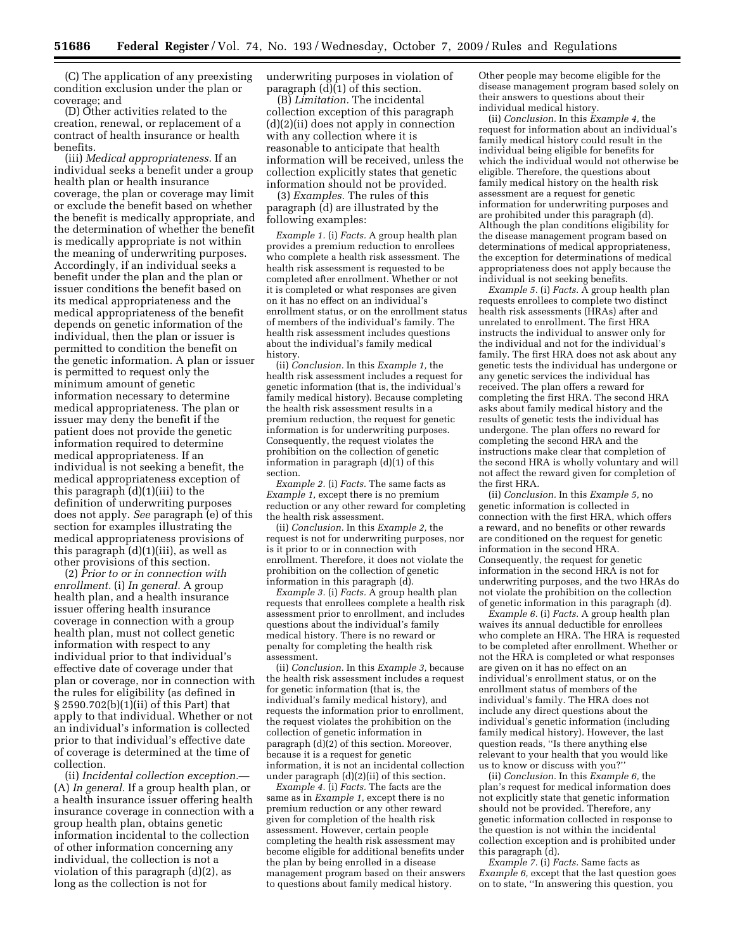(C) The application of any preexisting condition exclusion under the plan or coverage; and

(D) Other activities related to the creation, renewal, or replacement of a contract of health insurance or health benefits.

(iii) *Medical appropriateness.* If an individual seeks a benefit under a group health plan or health insurance coverage, the plan or coverage may limit or exclude the benefit based on whether the benefit is medically appropriate, and the determination of whether the benefit is medically appropriate is not within the meaning of underwriting purposes. Accordingly, if an individual seeks a benefit under the plan and the plan or issuer conditions the benefit based on its medical appropriateness and the medical appropriateness of the benefit depends on genetic information of the individual, then the plan or issuer is permitted to condition the benefit on the genetic information. A plan or issuer is permitted to request only the minimum amount of genetic information necessary to determine medical appropriateness. The plan or issuer may deny the benefit if the patient does not provide the genetic information required to determine medical appropriateness. If an individual is not seeking a benefit, the medical appropriateness exception of this paragraph (d)(1)(iii) to the definition of underwriting purposes does not apply. *See* paragraph (e) of this section for examples illustrating the medical appropriateness provisions of this paragraph (d)(1)(iii), as well as other provisions of this section.

(2) *Prior to or in connection with enrollment.* (i) *In general.* A group health plan, and a health insurance issuer offering health insurance coverage in connection with a group health plan, must not collect genetic information with respect to any individual prior to that individual's effective date of coverage under that plan or coverage, nor in connection with the rules for eligibility (as defined in § 2590.702(b)(1)(ii) of this Part) that apply to that individual. Whether or not an individual's information is collected prior to that individual's effective date of coverage is determined at the time of collection.

(ii) *Incidental collection exception.*— (A) *In general.* If a group health plan, or a health insurance issuer offering health insurance coverage in connection with a group health plan, obtains genetic information incidental to the collection of other information concerning any individual, the collection is not a violation of this paragraph (d)(2), as long as the collection is not for

underwriting purposes in violation of paragraph (d)(1) of this section.

(B) *Limitation.* The incidental collection exception of this paragraph (d)(2)(ii) does not apply in connection with any collection where it is reasonable to anticipate that health information will be received, unless the collection explicitly states that genetic information should not be provided.

(3) *Examples.* The rules of this paragraph (d) are illustrated by the following examples:

*Example 1.* (i) *Facts.* A group health plan provides a premium reduction to enrollees who complete a health risk assessment. The health risk assessment is requested to be completed after enrollment. Whether or not it is completed or what responses are given on it has no effect on an individual's enrollment status, or on the enrollment status of members of the individual's family. The health risk assessment includes questions about the individual's family medical history.

(ii) *Conclusion.* In this *Example 1,* the health risk assessment includes a request for genetic information (that is, the individual's family medical history). Because completing the health risk assessment results in a premium reduction, the request for genetic information is for underwriting purposes. Consequently, the request violates the prohibition on the collection of genetic information in paragraph (d)(1) of this section.

*Example 2.* (i) *Facts.* The same facts as *Example 1,* except there is no premium reduction or any other reward for completing the health risk assessment.

(ii) *Conclusion.* In this *Example 2,* the request is not for underwriting purposes, nor is it prior to or in connection with enrollment. Therefore, it does not violate the prohibition on the collection of genetic information in this paragraph (d).

*Example 3.* (i) *Facts.* A group health plan requests that enrollees complete a health risk assessment prior to enrollment, and includes questions about the individual's family medical history. There is no reward or penalty for completing the health risk assessment.

(ii) *Conclusion.* In this *Example 3,* because the health risk assessment includes a request for genetic information (that is, the individual's family medical history), and requests the information prior to enrollment, the request violates the prohibition on the collection of genetic information in paragraph (d)(2) of this section. Moreover, because it is a request for genetic information, it is not an incidental collection under paragraph (d)(2)(ii) of this section.

*Example 4.* (i) *Facts.* The facts are the same as in *Example 1,* except there is no premium reduction or any other reward given for completion of the health risk assessment. However, certain people completing the health risk assessment may become eligible for additional benefits under the plan by being enrolled in a disease management program based on their answers to questions about family medical history.

Other people may become eligible for the disease management program based solely on their answers to questions about their individual medical history.

(ii) *Conclusion.* In this *Example 4,* the request for information about an individual's family medical history could result in the individual being eligible for benefits for which the individual would not otherwise be eligible. Therefore, the questions about family medical history on the health risk assessment are a request for genetic information for underwriting purposes and are prohibited under this paragraph (d). Although the plan conditions eligibility for the disease management program based on determinations of medical appropriateness, the exception for determinations of medical appropriateness does not apply because the individual is not seeking benefits.

*Example 5.* (i) *Facts.* A group health plan requests enrollees to complete two distinct health risk assessments (HRAs) after and unrelated to enrollment. The first HRA instructs the individual to answer only for the individual and not for the individual's family. The first HRA does not ask about any genetic tests the individual has undergone or any genetic services the individual has received. The plan offers a reward for completing the first HRA. The second HRA asks about family medical history and the results of genetic tests the individual has undergone. The plan offers no reward for completing the second HRA and the instructions make clear that completion of the second HRA is wholly voluntary and will not affect the reward given for completion of the first HRA.

(ii) *Conclusion.* In this *Example 5,* no genetic information is collected in connection with the first HRA, which offers a reward, and no benefits or other rewards are conditioned on the request for genetic information in the second HRA. Consequently, the request for genetic information in the second HRA is not for underwriting purposes, and the two HRAs do not violate the prohibition on the collection of genetic information in this paragraph (d).

*Example 6.* (i) *Facts.* A group health plan waives its annual deductible for enrollees who complete an HRA. The HRA is requested to be completed after enrollment. Whether or not the HRA is completed or what responses are given on it has no effect on an individual's enrollment status, or on the enrollment status of members of the individual's family. The HRA does not include any direct questions about the individual's genetic information (including family medical history). However, the last question reads, ''Is there anything else relevant to your health that you would like us to know or discuss with you?''

(ii) *Conclusion.* In this *Example 6,* the plan's request for medical information does not explicitly state that genetic information should not be provided. Therefore, any genetic information collected in response to the question is not within the incidental collection exception and is prohibited under this paragraph (d).

*Example 7.* (i) *Facts.* Same facts as *Example 6,* except that the last question goes on to state, ''In answering this question, you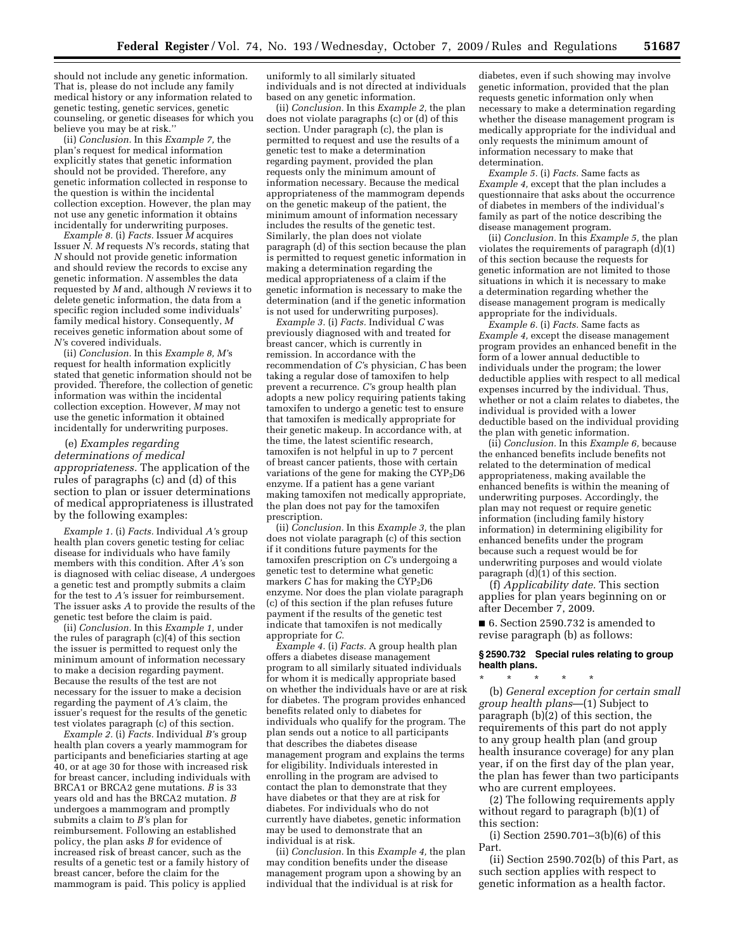should not include any genetic information. That is, please do not include any family medical history or any information related to genetic testing, genetic services, genetic counseling, or genetic diseases for which you believe you may be at risk.''

(ii) *Conclusion.* In this *Example 7,* the plan's request for medical information explicitly states that genetic information should not be provided. Therefore, any genetic information collected in response to the question is within the incidental collection exception. However, the plan may not use any genetic information it obtains incidentally for underwriting purposes.

*Example 8.* (i) *Facts.* Issuer *M* acquires Issuer *N. M* requests *N'*s records, stating that *N* should not provide genetic information and should review the records to excise any genetic information. *N* assembles the data requested by *M* and, although *N* reviews it to delete genetic information, the data from a specific region included some individuals' family medical history. Consequently, *M*  receives genetic information about some of *N'*s covered individuals.

(ii) *Conclusion.* In this *Example 8, M'*s request for health information explicitly stated that genetic information should not be provided. Therefore, the collection of genetic information was within the incidental collection exception. However, *M* may not use the genetic information it obtained incidentally for underwriting purposes.

(e) *Examples regarding determinations of medical appropriateness.* The application of the rules of paragraphs (c) and (d) of this section to plan or issuer determinations of medical appropriateness is illustrated by the following examples:

*Example 1.* (i) *Facts.* Individual *A'*s group health plan covers genetic testing for celiac disease for individuals who have family members with this condition. After *A'*s son is diagnosed with celiac disease, *A* undergoes a genetic test and promptly submits a claim for the test to *A'*s issuer for reimbursement. The issuer asks *A* to provide the results of the genetic test before the claim is paid.

(ii) *Conclusion.* In this *Example 1,* under the rules of paragraph (c)(4) of this section the issuer is permitted to request only the minimum amount of information necessary to make a decision regarding payment. Because the results of the test are not necessary for the issuer to make a decision regarding the payment of *A'*s claim, the issuer's request for the results of the genetic test violates paragraph (c) of this section.

*Example 2.* (i) *Facts.* Individual *B'*s group health plan covers a yearly mammogram for participants and beneficiaries starting at age 40, or at age 30 for those with increased risk for breast cancer, including individuals with BRCA1 or BRCA2 gene mutations. *B* is 33 years old and has the BRCA2 mutation. *B*  undergoes a mammogram and promptly submits a claim to *B'*s plan for reimbursement. Following an established policy, the plan asks *B* for evidence of increased risk of breast cancer, such as the results of a genetic test or a family history of breast cancer, before the claim for the mammogram is paid. This policy is applied

uniformly to all similarly situated individuals and is not directed at individuals based on any genetic information.

(ii) *Conclusion.* In this *Example 2,* the plan does not violate paragraphs (c) or (d) of this section. Under paragraph (c), the plan is permitted to request and use the results of a genetic test to make a determination regarding payment, provided the plan requests only the minimum amount of information necessary. Because the medical appropriateness of the mammogram depends on the genetic makeup of the patient, the minimum amount of information necessary includes the results of the genetic test. Similarly, the plan does not violate paragraph (d) of this section because the plan is permitted to request genetic information in making a determination regarding the medical appropriateness of a claim if the genetic information is necessary to make the determination (and if the genetic information is not used for underwriting purposes).

*Example 3.* (i) *Facts.* Individual *C* was previously diagnosed with and treated for breast cancer, which is currently in remission. In accordance with the recommendation of *C'*s physician, *C* has been taking a regular dose of tamoxifen to help prevent a recurrence. *C'*s group health plan adopts a new policy requiring patients taking tamoxifen to undergo a genetic test to ensure that tamoxifen is medically appropriate for their genetic makeup. In accordance with, at the time, the latest scientific research, tamoxifen is not helpful in up to 7 percent of breast cancer patients, those with certain variations of the gene for making the CYP2D6 enzyme. If a patient has a gene variant making tamoxifen not medically appropriate, the plan does not pay for the tamoxifen prescription.

(ii) *Conclusion.* In this *Example 3,* the plan does not violate paragraph (c) of this section if it conditions future payments for the tamoxifen prescription on *C'*s undergoing a genetic test to determine what genetic markers *C* has for making the CYP<sub>2</sub>D6 enzyme. Nor does the plan violate paragraph (c) of this section if the plan refuses future payment if the results of the genetic test indicate that tamoxifen is not medically appropriate for *C.* 

*Example 4.* (i) *Facts.* A group health plan offers a diabetes disease management program to all similarly situated individuals for whom it is medically appropriate based on whether the individuals have or are at risk for diabetes. The program provides enhanced benefits related only to diabetes for individuals who qualify for the program. The plan sends out a notice to all participants that describes the diabetes disease management program and explains the terms for eligibility. Individuals interested in enrolling in the program are advised to contact the plan to demonstrate that they have diabetes or that they are at risk for diabetes. For individuals who do not currently have diabetes, genetic information may be used to demonstrate that an individual is at risk.

(ii) *Conclusion.* In this *Example 4,* the plan may condition benefits under the disease management program upon a showing by an individual that the individual is at risk for

diabetes, even if such showing may involve genetic information, provided that the plan requests genetic information only when necessary to make a determination regarding whether the disease management program is medically appropriate for the individual and only requests the minimum amount of information necessary to make that determination.

*Example 5.* (i) *Facts.* Same facts as *Example 4,* except that the plan includes a questionnaire that asks about the occurrence of diabetes in members of the individual's family as part of the notice describing the disease management program.

(ii) *Conclusion.* In this *Example 5,* the plan violates the requirements of paragraph (d)(1) of this section because the requests for genetic information are not limited to those situations in which it is necessary to make a determination regarding whether the disease management program is medically appropriate for the individuals.

*Example 6.* (i) *Facts.* Same facts as *Example 4,* except the disease management program provides an enhanced benefit in the form of a lower annual deductible to individuals under the program; the lower deductible applies with respect to all medical expenses incurred by the individual. Thus, whether or not a claim relates to diabetes, the individual is provided with a lower deductible based on the individual providing the plan with genetic information.

(ii) *Conclusion.* In this *Example 6,* because the enhanced benefits include benefits not related to the determination of medical appropriateness, making available the enhanced benefits is within the meaning of underwriting purposes. Accordingly, the plan may not request or require genetic information (including family history information) in determining eligibility for enhanced benefits under the program because such a request would be for underwriting purposes and would violate paragraph  $(d)(1)$  of this section.

(f) *Applicability date.* This section applies for plan years beginning on or after December 7, 2009.

■ 6. Section 2590.732 is amended to revise paragraph (b) as follows:

### **§ 2590.732 Special rules relating to group health plans.**

\* \* \* \* \* (b) *General exception for certain small group health plans*—(1) Subject to paragraph (b)(2) of this section, the requirements of this part do not apply to any group health plan (and group health insurance coverage) for any plan year, if on the first day of the plan year, the plan has fewer than two participants who are current employees.

(2) The following requirements apply without regard to paragraph (b)(1) of this section:

(i) Section 2590.701–3(b)(6) of this Part.

(ii) Section 2590.702(b) of this Part, as such section applies with respect to genetic information as a health factor.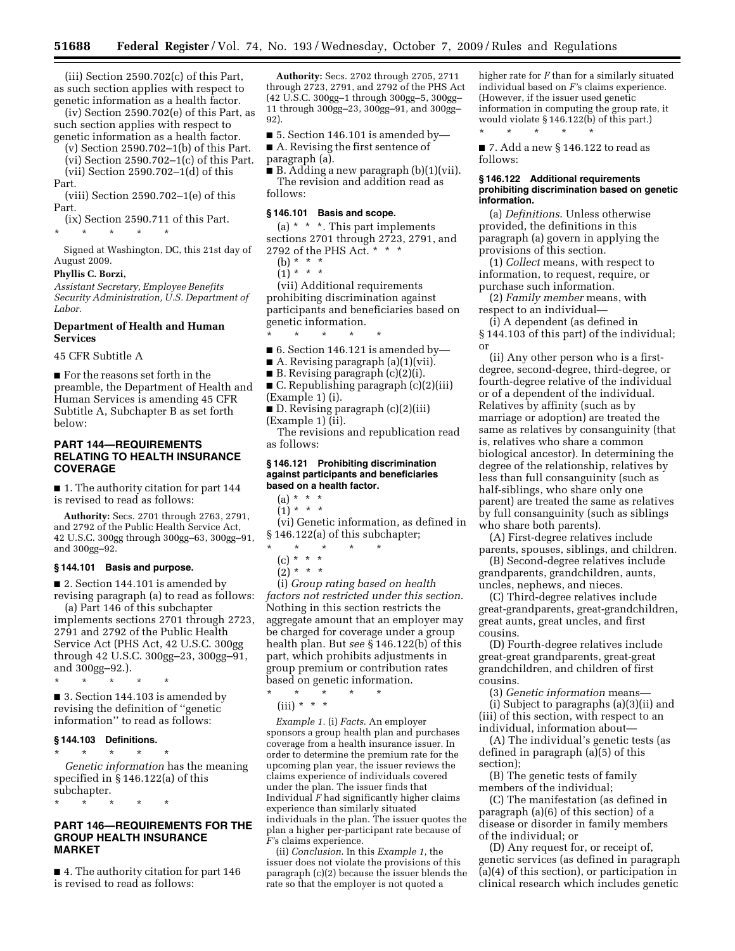(iii) Section 2590.702(c) of this Part, as such section applies with respect to genetic information as a health factor.

(iv) Section 2590.702(e) of this Part, as such section applies with respect to genetic information as a health factor.

(v) Section 2590.702–1(b) of this Part.

(vi) Section 2590.702–1(c) of this Part.

(vii) Section 2590.702–1(d) of this

Part.

(viii) Section 2590.702–1(e) of this Part.

(ix) Section 2590.711 of this Part.

\* \* \* \* \*

Signed at Washington, DC, this 21st day of August 2009.

# **Phyllis C. Borzi,**

*Assistant Secretary, Employee Benefits Security Administration, U.S. Department of Labor.* 

### **Department of Health and Human Services**

45 CFR Subtitle A

■ For the reasons set forth in the preamble, the Department of Health and Human Services is amending 45 CFR Subtitle A, Subchapter B as set forth below:

# **PART 144—REQUIREMENTS RELATING TO HEALTH INSURANCE COVERAGE**

■ 1. The authority citation for part 144 is revised to read as follows:

**Authority:** Secs. 2701 through 2763, 2791, and 2792 of the Public Health Service Act, 42 U.S.C. 300gg through 300gg–63, 300gg–91, and 300gg–92.

#### **§ 144.101 Basis and purpose.**

■ 2. Section 144.101 is amended by revising paragraph (a) to read as follows:

(a) Part 146 of this subchapter implements sections 2701 through 2723, 2791 and 2792 of the Public Health Service Act (PHS Act, 42 U.S.C. 300gg through 42 U.S.C. 300gg–23, 300gg–91, and 300gg–92.).

\* \* \* \* \*

■ 3. Section 144.103 is amended by revising the definition of ''genetic information'' to read as follows:

### **§ 144.103 Definitions.**

\* \* \* \* \*

*Genetic information* has the meaning specified in § 146.122(a) of this subchapter.

\* \* \* \* \*

# **PART 146—REQUIREMENTS FOR THE GROUP HEALTH INSURANCE MARKET**

■ 4. The authority citation for part 146 is revised to read as follows:

**Authority:** Secs. 2702 through 2705, 2711 through 2723, 2791, and 2792 of the PHS Act (42 U.S.C. 300gg–1 through 300gg–5, 300gg– 11 through 300gg–23, 300gg–91, and 300gg– 92).

■ 5. Section 146.101 is amended by— ■ A. Revising the first sentence of paragraph (a).

 $\blacksquare$  B. Adding a new paragraph (b)(1)(vii). The revision and addition read as follows:

#### **§ 146.101 Basis and scope.**

(a)  $* * *$ . This part implements sections 2701 through 2723, 2791, and 2792 of the PHS Act. \* \* \*

(b) \* \* \*

 $(1) * * * *$ 

(vii) Additional requirements prohibiting discrimination against participants and beneficiaries based on genetic information.

\* \* \* \* \*  $\blacksquare$  6. Section 146.121 is amended by—

■ A. Revising paragraph (a)(1)(vii).

■ B. Revising paragraph (c)(2)(i).

■ C. Republishing paragraph (c)(2)(iii)

(Example 1) (i).

■ D. Revising paragraph (c)(2)(iii) (Example 1) (ii).

The revisions and republication read as follows:

#### **§ 146.121 Prohibiting discrimination against participants and beneficiaries based on a health factor.**

- $(a) * * * *$
- $(1) * * * *$

(vi) Genetic information, as defined in § 146.122(a) of this subchapter;

- \* \* \* \* \* (c) \* \* \*
	- $(2) * * * *$

(i) *Group rating based on health factors not restricted under this section*. Nothing in this section restricts the aggregate amount that an employer may be charged for coverage under a group health plan. But *see* § 146.122(b) of this part, which prohibits adjustments in group premium or contribution rates based on genetic information.

\* \* \* \* \*  $(iii) * * * *$ 

*Example 1.* (i) *Facts*. An employer sponsors a group health plan and purchases coverage from a health insurance issuer. In order to determine the premium rate for the upcoming plan year, the issuer reviews the claims experience of individuals covered under the plan. The issuer finds that Individual *F* had significantly higher claims experience than similarly situated individuals in the plan. The issuer quotes the plan a higher per-participant rate because of *F'*s claims experience.

(ii) *Conclusion*. In this *Example 1*, the issuer does not violate the provisions of this paragraph (c)(2) because the issuer blends the rate so that the employer is not quoted a

higher rate for *F* than for a similarly situated individual based on *F'*s claims experience. (However, if the issuer used genetic information in computing the group rate, it would violate § 146.122(b) of this part.) \* \* \* \* \*

■ 7. Add a new § 146.122 to read as follows:

### **§ 146.122 Additional requirements prohibiting discrimination based on genetic information.**

(a) *Definitions*. Unless otherwise provided, the definitions in this paragraph (a) govern in applying the provisions of this section.

(1) *Collect* means, with respect to information, to request, require, or purchase such information.

(2) *Family member* means, with respect to an individual—

(i) A dependent (as defined in § 144.103 of this part) of the individual; or

(ii) Any other person who is a firstdegree, second-degree, third-degree, or fourth-degree relative of the individual or of a dependent of the individual. Relatives by affinity (such as by marriage or adoption) are treated the same as relatives by consanguinity (that is, relatives who share a common biological ancestor). In determining the degree of the relationship, relatives by less than full consanguinity (such as half-siblings, who share only one parent) are treated the same as relatives by full consanguinity (such as siblings who share both parents).

(A) First-degree relatives include parents, spouses, siblings, and children.

(B) Second-degree relatives include grandparents, grandchildren, aunts, uncles, nephews, and nieces.

(C) Third-degree relatives include great-grandparents, great-grandchildren, great aunts, great uncles, and first cousins.

(D) Fourth-degree relatives include great-great grandparents, great-great grandchildren, and children of first cousins.

(3) *Genetic information* means—

(i) Subject to paragraphs (a)(3)(ii) and (iii) of this section, with respect to an individual, information about—

(A) The individual's genetic tests (as defined in paragraph (a)(5) of this section);

(B) The genetic tests of family members of the individual;

(C) The manifestation (as defined in paragraph (a)(6) of this section) of a disease or disorder in family members of the individual; or

(D) Any request for, or receipt of, genetic services (as defined in paragraph (a)(4) of this section), or participation in clinical research which includes genetic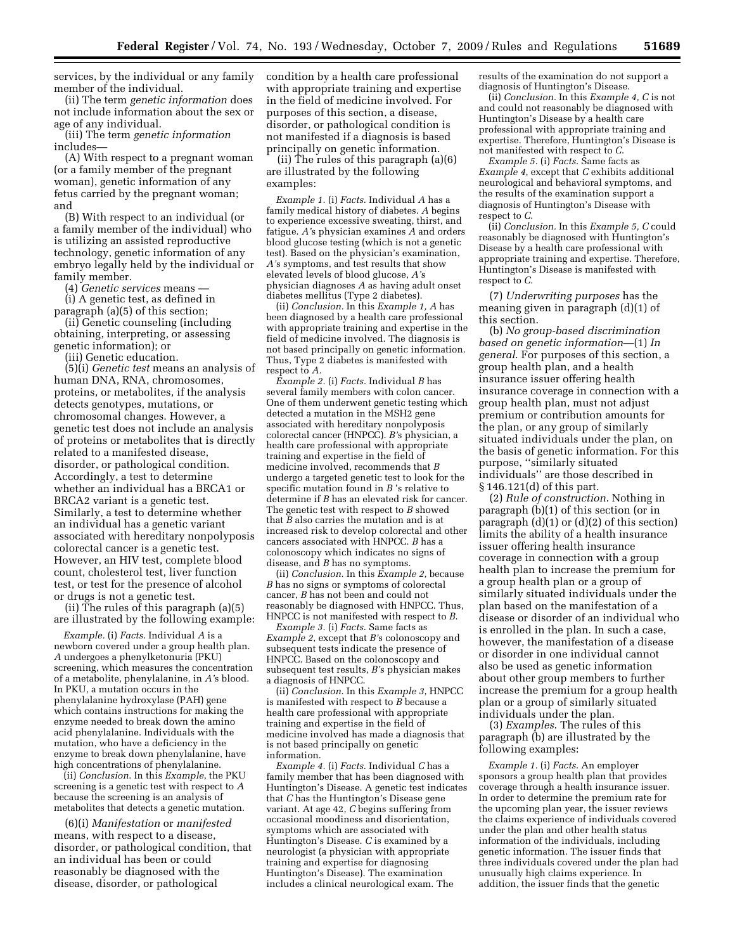services, by the individual or any family member of the individual.

(ii) The term *genetic information* does not include information about the sex or age of any individual.

(iii) The term *genetic information*  includes—

(A) With respect to a pregnant woman (or a family member of the pregnant woman), genetic information of any fetus carried by the pregnant woman; and

(B) With respect to an individual (or a family member of the individual) who is utilizing an assisted reproductive technology, genetic information of any embryo legally held by the individual or family member.

(4) *Genetic services* means —

(i) A genetic test, as defined in paragraph (a)(5) of this section;

(ii) Genetic counseling (including obtaining, interpreting, or assessing genetic information); or

(iii) Genetic education.

(5)(i) *Genetic test* means an analysis of human DNA, RNA, chromosomes, proteins, or metabolites, if the analysis detects genotypes, mutations, or chromosomal changes. However, a genetic test does not include an analysis of proteins or metabolites that is directly related to a manifested disease, disorder, or pathological condition. Accordingly, a test to determine whether an individual has a BRCA1 or BRCA2 variant is a genetic test. Similarly, a test to determine whether an individual has a genetic variant associated with hereditary nonpolyposis colorectal cancer is a genetic test. However, an HIV test, complete blood count, cholesterol test, liver function test, or test for the presence of alcohol or drugs is not a genetic test.

(ii) The rules of this paragraph (a)(5) are illustrated by the following example:

*Example.* (i) *Facts*. Individual *A* is a newborn covered under a group health plan. *A* undergoes a phenylketonuria (PKU) screening, which measures the concentration of a metabolite, phenylalanine, in *A'*s blood. In PKU, a mutation occurs in the phenylalanine hydroxylase (PAH) gene which contains instructions for making the enzyme needed to break down the amino acid phenylalanine. Individuals with the mutation, who have a deficiency in the enzyme to break down phenylalanine, have high concentrations of phenylalanine.

(ii) *Conclusion*. In this *Example*, the PKU screening is a genetic test with respect to *A*  because the screening is an analysis of metabolites that detects a genetic mutation.

(6)(i) *Manifestation* or *manifested*  means, with respect to a disease, disorder, or pathological condition, that an individual has been or could reasonably be diagnosed with the disease, disorder, or pathological

condition by a health care professional with appropriate training and expertise in the field of medicine involved. For purposes of this section, a disease, disorder, or pathological condition is not manifested if a diagnosis is based principally on genetic information.

(ii) The rules of this paragraph (a)(6) are illustrated by the following examples:

*Example 1.* (i) *Facts*. Individual *A* has a family medical history of diabetes. *A* begins to experience excessive sweating, thirst, and fatigue. *A'*s physician examines *A* and orders blood glucose testing (which is not a genetic test). Based on the physician's examination, *A'*s symptoms, and test results that show elevated levels of blood glucose, *A'*s physician diagnoses *A* as having adult onset diabetes mellitus (Type 2 diabetes).

(ii) *Conclusion.* In this *Example 1, A* has been diagnosed by a health care professional with appropriate training and expertise in the field of medicine involved. The diagnosis is not based principally on genetic information. Thus, Type 2 diabetes is manifested with respect to *A.* 

*Example 2.* (i) *Facts.* Individual *B* has several family members with colon cancer. One of them underwent genetic testing which detected a mutation in the MSH2 gene associated with hereditary nonpolyposis colorectal cancer (HNPCC). *B'*s physician, a health care professional with appropriate training and expertise in the field of medicine involved, recommends that *B*  undergo a targeted genetic test to look for the specific mutation found in *B* 's relative to determine if *B* has an elevated risk for cancer. The genetic test with respect to *B* showed that *B* also carries the mutation and is at increased risk to develop colorectal and other cancers associated with HNPCC. *B* has a colonoscopy which indicates no signs of disease, and *B* has no symptoms.

(ii) *Conclusion*. In this *Example 2,* because *B* has no signs or symptoms of colorectal cancer, *B* has not been and could not reasonably be diagnosed with HNPCC. Thus, HNPCC is not manifested with respect to *B*.

*Example 3.* (i) *Facts*. Same facts as *Example 2*, except that *B'*s colonoscopy and subsequent tests indicate the presence of HNPCC. Based on the colonoscopy and subsequent test results, *B'*s physician makes a diagnosis of HNPCC.

(ii) *Conclusion*. In this *Example 3*, HNPCC is manifested with respect to *B* because a health care professional with appropriate training and expertise in the field of medicine involved has made a diagnosis that is not based principally on genetic information.

*Example 4.* (i) *Facts*. Individual *C* has a family member that has been diagnosed with Huntington's Disease. A genetic test indicates that *C* has the Huntington's Disease gene variant. At age 42, *C* begins suffering from occasional moodiness and disorientation, symptoms which are associated with Huntington's Disease. *C* is examined by a neurologist (a physician with appropriate training and expertise for diagnosing Huntington's Disease). The examination includes a clinical neurological exam. The

results of the examination do not support a diagnosis of Huntington's Disease.

(ii) *Conclusion.* In this *Example 4, C* is not and could not reasonably be diagnosed with Huntington's Disease by a health care professional with appropriate training and expertise. Therefore, Huntington's Disease is not manifested with respect to *C*.

*Example 5.* (i) *Facts*. Same facts as *Example 4*, except that *C* exhibits additional neurological and behavioral symptoms, and the results of the examination support a diagnosis of Huntington's Disease with respect to *C*.

(ii) *Conclusion.* In this *Example 5, C* could reasonably be diagnosed with Huntington's Disease by a health care professional with appropriate training and expertise. Therefore, Huntington's Disease is manifested with respect to *C*.

(7) *Underwriting purposes* has the meaning given in paragraph (d)(1) of this section.

(b) *No group-based discrimination based on genetic information*—(1) *In general*. For purposes of this section, a group health plan, and a health insurance issuer offering health insurance coverage in connection with a group health plan, must not adjust premium or contribution amounts for the plan, or any group of similarly situated individuals under the plan, on the basis of genetic information. For this purpose, ''similarly situated individuals'' are those described in § 146.121(d) of this part.

(2) *Rule of construction*. Nothing in paragraph (b)(1) of this section (or in paragraph (d)(1) or (d)(2) of this section) limits the ability of a health insurance issuer offering health insurance coverage in connection with a group health plan to increase the premium for a group health plan or a group of similarly situated individuals under the plan based on the manifestation of a disease or disorder of an individual who is enrolled in the plan. In such a case, however, the manifestation of a disease or disorder in one individual cannot also be used as genetic information about other group members to further increase the premium for a group health plan or a group of similarly situated individuals under the plan.

(3) *Examples*. The rules of this paragraph (b) are illustrated by the following examples:

*Example 1.* (i) *Facts*. An employer sponsors a group health plan that provides coverage through a health insurance issuer. In order to determine the premium rate for the upcoming plan year, the issuer reviews the claims experience of individuals covered under the plan and other health status information of the individuals, including genetic information. The issuer finds that three individuals covered under the plan had unusually high claims experience. In addition, the issuer finds that the genetic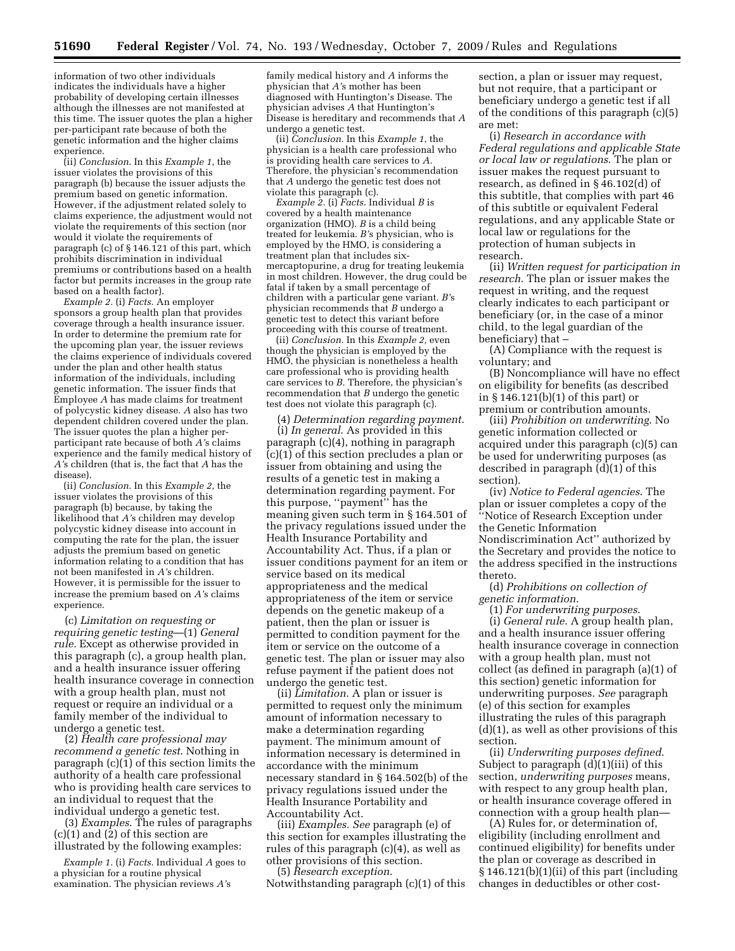information of two other individuals indicates the individuals have a higher probability of developing certain illnesses although the illnesses are not manifested at this time. The issuer quotes the plan a higher per-participant rate because of both the genetic information and the higher claims experience.

(ii) *Conclusion*. In this *Example 1*, the issuer violates the provisions of this paragraph (b) because the issuer adjusts the premium based on genetic information. However, if the adjustment related solely to claims experience, the adjustment would not violate the requirements of this section (nor would it violate the requirements of paragraph (c) of § 146.121 of this part, which prohibits discrimination in individual premiums or contributions based on a health factor but permits increases in the group rate based on a health factor).

*Example 2.* (i) *Facts*. An employer sponsors a group health plan that provides coverage through a health insurance issuer. In order to determine the premium rate for the upcoming plan year, the issuer reviews the claims experience of individuals covered under the plan and other health status information of the individuals, including genetic information. The issuer finds that Employee *A* has made claims for treatment of polycystic kidney disease. *A* also has two dependent children covered under the plan. The issuer quotes the plan a higher perparticipant rate because of both *A'*s claims experience and the family medical history of *A'*s children (that is, the fact that *A* has the disease).

(ii) *Conclusion*. In this *Example 2*, the issuer violates the provisions of this paragraph (b) because, by taking the likelihood that *A'*s children may develop polycystic kidney disease into account in computing the rate for the plan, the issuer adjusts the premium based on genetic information relating to a condition that has not been manifested in *A'*s children. However, it is permissible for the issuer to increase the premium based on *A'*s claims experience.

(c) *Limitation on requesting or requiring genetic testing*—(1) *General rule.* Except as otherwise provided in this paragraph (c), a group health plan, and a health insurance issuer offering health insurance coverage in connection with a group health plan, must not request or require an individual or a family member of the individual to undergo a genetic test.

(2) *Health care professional may recommend a genetic test*. Nothing in paragraph (c)(1) of this section limits the authority of a health care professional who is providing health care services to an individual to request that the individual undergo a genetic test.

(3) *Examples*. The rules of paragraphs (c)(1) and (2) of this section are illustrated by the following examples:

*Example 1.* (i) *Facts*. Individual *A* goes to a physician for a routine physical examination. The physician reviews *A'*s

family medical history and *A* informs the physician that *A'*s mother has been diagnosed with Huntington's Disease. The physician advises *A* that Huntington's Disease is hereditary and recommends that *A*  undergo a genetic test.

(ii) *Conclusion*. In this *Example 1*, the physician is a health care professional who is providing health care services to *A.*  Therefore, the physician's recommendation that *A* undergo the genetic test does not violate this paragraph (c).

*Example 2.* (i) *Facts*. Individual *B* is covered by a health maintenance organization (HMO). *B* is a child being treated for leukemia. *B'*s physician, who is employed by the HMO, is considering a treatment plan that includes sixmercaptopurine, a drug for treating leukemia in most children. However, the drug could be fatal if taken by a small percentage of children with a particular gene variant. *B'*s physician recommends that *B* undergo a genetic test to detect this variant before proceeding with this course of treatment.

(ii) *Conclusion*. In this *Example 2,* even though the physician is employed by the HMO, the physician is nonetheless a health care professional who is providing health care services to *B.* Therefore, the physician's recommendation that *B* undergo the genetic test does not violate this paragraph (c).

(4) *Determination regarding payment*. (i) *In general*. As provided in this paragraph (c)(4), nothing in paragraph (c)(1) of this section precludes a plan or issuer from obtaining and using the results of a genetic test in making a determination regarding payment. For this purpose, ''payment'' has the meaning given such term in § 164.501 of the privacy regulations issued under the Health Insurance Portability and Accountability Act. Thus, if a plan or issuer conditions payment for an item or service based on its medical appropriateness and the medical appropriateness of the item or service depends on the genetic makeup of a patient, then the plan or issuer is permitted to condition payment for the item or service on the outcome of a genetic test. The plan or issuer may also refuse payment if the patient does not undergo the genetic test.

(ii) *Limitation*. A plan or issuer is permitted to request only the minimum amount of information necessary to make a determination regarding payment. The minimum amount of information necessary is determined in accordance with the minimum necessary standard in § 164.502(b) of the privacy regulations issued under the Health Insurance Portability and Accountability Act.

(iii) *Examples. See* paragraph (e) of this section for examples illustrating the rules of this paragraph (c)(4), as well as other provisions of this section. (5) *Research exception*.

Notwithstanding paragraph (c)(1) of this

section, a plan or issuer may request, but not require, that a participant or beneficiary undergo a genetic test if all of the conditions of this paragraph (c)(5) are met:

(i) *Research in accordance with Federal regulations and applicable State or local law or regulations*. The plan or issuer makes the request pursuant to research, as defined in § 46.102(d) of this subtitle, that complies with part 46 of this subtitle or equivalent Federal regulations, and any applicable State or local law or regulations for the protection of human subjects in research.

(ii) *Written request for participation in research*. The plan or issuer makes the request in writing, and the request clearly indicates to each participant or beneficiary (or, in the case of a minor child, to the legal guardian of the beneficiary) that –

(A) Compliance with the request is voluntary; and

(B) Noncompliance will have no effect on eligibility for benefits (as described in § 146.121(b)(1) of this part) or premium or contribution amounts.

(iii) *Prohibition on underwriting*. No genetic information collected or acquired under this paragraph (c)(5) can be used for underwriting purposes (as described in paragraph (d)(1) of this section).

(iv) *Notice to Federal agencies*. The plan or issuer completes a copy of the ''Notice of Research Exception under the Genetic Information Nondiscrimination Act'' authorized by the Secretary and provides the notice to the address specified in the instructions thereto.

(d) *Prohibitions on collection of genetic information*.

(1) *For underwriting purposes*.

(i) *General rule*. A group health plan, and a health insurance issuer offering health insurance coverage in connection with a group health plan, must not collect (as defined in paragraph (a)(1) of this section) genetic information for underwriting purposes. *See* paragraph (e) of this section for examples illustrating the rules of this paragraph  $(d)(1)$ , as well as other provisions of this section.

(ii) *Underwriting purposes defined*. Subject to paragraph (d)(1)(iii) of this section, *underwriting purposes* means, with respect to any group health plan, or health insurance coverage offered in connection with a group health plan—

(A) Rules for, or determination of, eligibility (including enrollment and continued eligibility) for benefits under the plan or coverage as described in  $§ 146.121(b)(1)(ii)$  of this part (including changes in deductibles or other cost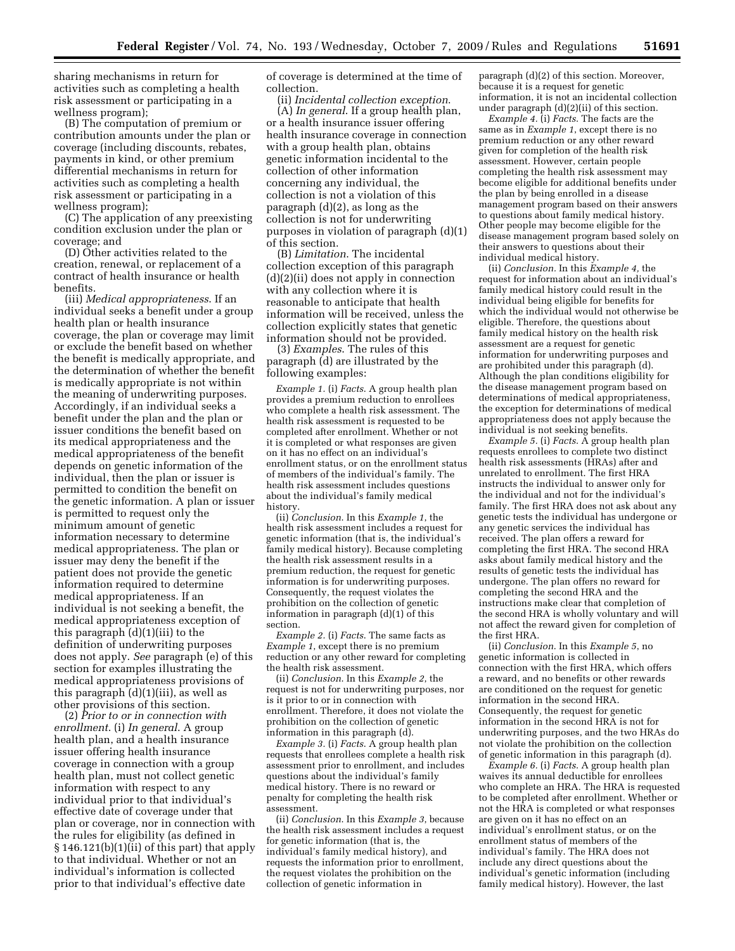sharing mechanisms in return for activities such as completing a health risk assessment or participating in a wellness program);

(B) The computation of premium or contribution amounts under the plan or coverage (including discounts, rebates, payments in kind, or other premium differential mechanisms in return for activities such as completing a health risk assessment or participating in a wellness program);

(C) The application of any preexisting condition exclusion under the plan or coverage; and

(D) Other activities related to the creation, renewal, or replacement of a contract of health insurance or health benefits.

(iii) *Medical appropriateness*. If an individual seeks a benefit under a group health plan or health insurance coverage, the plan or coverage may limit or exclude the benefit based on whether the benefit is medically appropriate, and the determination of whether the benefit is medically appropriate is not within the meaning of underwriting purposes. Accordingly, if an individual seeks a benefit under the plan and the plan or issuer conditions the benefit based on its medical appropriateness and the medical appropriateness of the benefit depends on genetic information of the individual, then the plan or issuer is permitted to condition the benefit on the genetic information. A plan or issuer is permitted to request only the minimum amount of genetic information necessary to determine medical appropriateness. The plan or issuer may deny the benefit if the patient does not provide the genetic information required to determine medical appropriateness. If an individual is not seeking a benefit, the medical appropriateness exception of this paragraph (d)(1)(iii) to the definition of underwriting purposes does not apply. *See* paragraph (e) of this section for examples illustrating the medical appropriateness provisions of this paragraph (d)(1)(iii), as well as other provisions of this section.

(2) *Prior to or in connection with enrollment*. (i) *In general*. A group health plan, and a health insurance issuer offering health insurance coverage in connection with a group health plan, must not collect genetic information with respect to any individual prior to that individual's effective date of coverage under that plan or coverage, nor in connection with the rules for eligibility (as defined in  $\S 146.121(b)(1)(ii)$  of this part) that apply to that individual. Whether or not an individual's information is collected prior to that individual's effective date

of coverage is determined at the time of collection.

(ii) *Incidental collection exception*. (A) *In general*. If a group health plan, or a health insurance issuer offering health insurance coverage in connection with a group health plan, obtains genetic information incidental to the collection of other information concerning any individual, the collection is not a violation of this paragraph (d)(2), as long as the collection is not for underwriting purposes in violation of paragraph (d)(1) of this section.

(B) *Limitation*. The incidental collection exception of this paragraph (d)(2)(ii) does not apply in connection with any collection where it is reasonable to anticipate that health information will be received, unless the collection explicitly states that genetic information should not be provided.

(3) *Examples*. The rules of this paragraph (d) are illustrated by the following examples:

*Example 1.* (i) *Facts*. A group health plan provides a premium reduction to enrollees who complete a health risk assessment. The health risk assessment is requested to be completed after enrollment. Whether or not it is completed or what responses are given on it has no effect on an individual's enrollment status, or on the enrollment status of members of the individual's family. The health risk assessment includes questions about the individual's family medical history.

(ii) *Conclusion*. In this *Example 1*, the health risk assessment includes a request for genetic information (that is, the individual's family medical history). Because completing the health risk assessment results in a premium reduction, the request for genetic information is for underwriting purposes. Consequently, the request violates the prohibition on the collection of genetic information in paragraph (d)(1) of this section.

*Example 2.* (i) *Facts*. The same facts as *Example 1*, except there is no premium reduction or any other reward for completing the health risk assessment.

(ii) *Conclusion*. In this *Example 2*, the request is not for underwriting purposes, nor is it prior to or in connection with enrollment. Therefore, it does not violate the prohibition on the collection of genetic information in this paragraph (d).

*Example 3.* (i) *Facts*. A group health plan requests that enrollees complete a health risk assessment prior to enrollment, and includes questions about the individual's family medical history. There is no reward or penalty for completing the health risk assessment.

(ii) *Conclusion*. In this *Example 3*, because the health risk assessment includes a request for genetic information (that is, the individual's family medical history), and requests the information prior to enrollment, the request violates the prohibition on the collection of genetic information in

paragraph (d)(2) of this section. Moreover, because it is a request for genetic information, it is not an incidental collection under paragraph (d)(2)(ii) of this section.

*Example 4.* (i) *Facts*. The facts are the same as in *Example 1*, except there is no premium reduction or any other reward given for completion of the health risk assessment. However, certain people completing the health risk assessment may become eligible for additional benefits under the plan by being enrolled in a disease management program based on their answers to questions about family medical history. Other people may become eligible for the disease management program based solely on their answers to questions about their individual medical history.

(ii) *Conclusion.* In this *Example 4,* the request for information about an individual's family medical history could result in the individual being eligible for benefits for which the individual would not otherwise be eligible. Therefore, the questions about family medical history on the health risk assessment are a request for genetic information for underwriting purposes and are prohibited under this paragraph (d). Although the plan conditions eligibility for the disease management program based on determinations of medical appropriateness, the exception for determinations of medical appropriateness does not apply because the individual is not seeking benefits.

*Example 5.* (i) *Facts*. A group health plan requests enrollees to complete two distinct health risk assessments (HRAs) after and unrelated to enrollment. The first HRA instructs the individual to answer only for the individual and not for the individual's family. The first HRA does not ask about any genetic tests the individual has undergone or any genetic services the individual has received. The plan offers a reward for completing the first HRA. The second HRA asks about family medical history and the results of genetic tests the individual has undergone. The plan offers no reward for completing the second HRA and the instructions make clear that completion of the second HRA is wholly voluntary and will not affect the reward given for completion of the first HRA.

(ii) *Conclusion*. In this *Example 5*, no genetic information is collected in connection with the first HRA, which offers a reward, and no benefits or other rewards are conditioned on the request for genetic information in the second HRA. Consequently, the request for genetic information in the second HRA is not for underwriting purposes, and the two HRAs do not violate the prohibition on the collection of genetic information in this paragraph (d).

*Example 6.* (i) *Facts*. A group health plan waives its annual deductible for enrollees who complete an HRA. The HRA is requested to be completed after enrollment. Whether or not the HRA is completed or what responses are given on it has no effect on an individual's enrollment status, or on the enrollment status of members of the individual's family. The HRA does not include any direct questions about the individual's genetic information (including family medical history). However, the last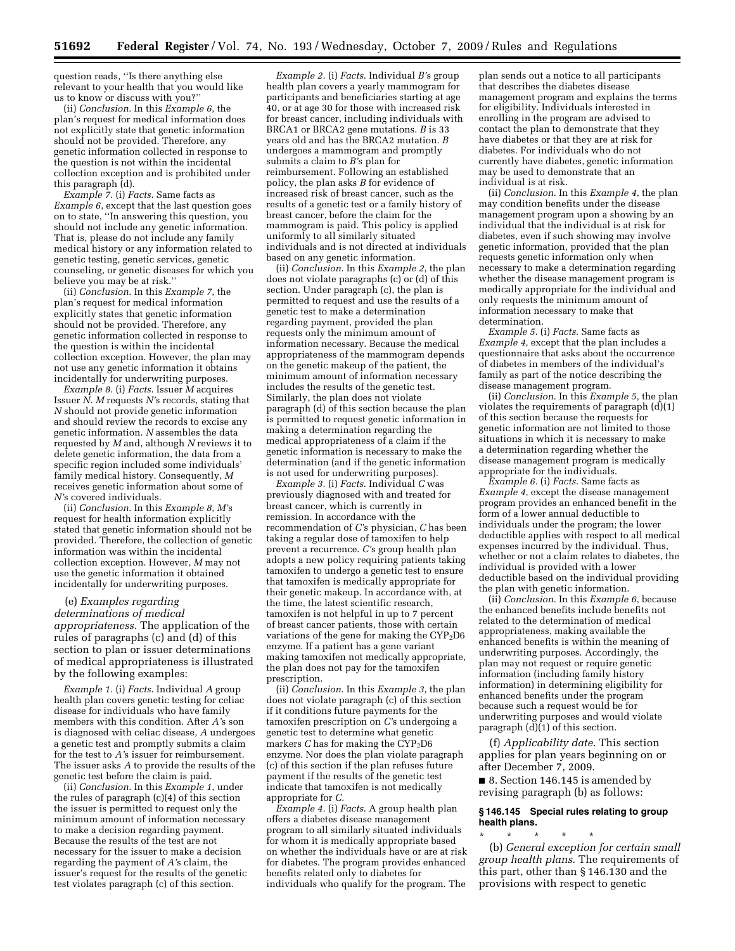question reads, ''Is there anything else relevant to your health that you would like us to know or discuss with you?''

(ii) *Conclusion*. In this *Example 6*, the plan's request for medical information does not explicitly state that genetic information should not be provided. Therefore, any genetic information collected in response to the question is not within the incidental collection exception and is prohibited under this paragraph (d).

*Example 7.* (i) *Facts*. Same facts as *Example 6*, except that the last question goes on to state, ''In answering this question, you should not include any genetic information. That is, please do not include any family medical history or any information related to genetic testing, genetic services, genetic counseling, or genetic diseases for which you believe you may be at risk.''

(ii) *Conclusion*. In this *Example 7*, the plan's request for medical information explicitly states that genetic information should not be provided. Therefore, any genetic information collected in response to the question is within the incidental collection exception. However, the plan may not use any genetic information it obtains incidentally for underwriting purposes.

*Example 8.* (i) *Facts*. Issuer *M* acquires Issuer *N. M* requests *N'*s records, stating that *N* should not provide genetic information and should review the records to excise any genetic information. *N* assembles the data requested by *M* and, although *N* reviews it to delete genetic information, the data from a specific region included some individuals' family medical history. Consequently, *M*  receives genetic information about some of *N'*s covered individuals.

(ii) *Conclusion*. In this *Example 8, M'*s request for health information explicitly stated that genetic information should not be provided. Therefore, the collection of genetic information was within the incidental collection exception. However, *M* may not use the genetic information it obtained incidentally for underwriting purposes.

(e) *Examples regarding determinations of medical appropriateness*. The application of the rules of paragraphs (c) and (d) of this section to plan or issuer determinations of medical appropriateness is illustrated by the following examples:

*Example 1.* (i) *Facts*. Individual *A* group health plan covers genetic testing for celiac disease for individuals who have family members with this condition. After *A'*s son is diagnosed with celiac disease, *A* undergoes a genetic test and promptly submits a claim for the test to *A'*s issuer for reimbursement. The issuer asks *A* to provide the results of the genetic test before the claim is paid.

(ii) *Conclusion*. In this *Example 1*, under the rules of paragraph (c)(4) of this section the issuer is permitted to request only the minimum amount of information necessary to make a decision regarding payment. Because the results of the test are not necessary for the issuer to make a decision regarding the payment of *A'*s claim, the issuer's request for the results of the genetic test violates paragraph (c) of this section.

*Example 2.* (i) *Facts*. Individual *B'*s group health plan covers a yearly mammogram for participants and beneficiaries starting at age 40, or at age 30 for those with increased risk for breast cancer, including individuals with BRCA1 or BRCA2 gene mutations. *B* is 33 years old and has the BRCA2 mutation. *B*  undergoes a mammogram and promptly submits a claim to *B'*s plan for reimbursement. Following an established policy, the plan asks *B* for evidence of increased risk of breast cancer, such as the results of a genetic test or a family history of breast cancer, before the claim for the mammogram is paid. This policy is applied uniformly to all similarly situated individuals and is not directed at individuals based on any genetic information.

(ii) *Conclusion*. In this *Example 2*, the plan does not violate paragraphs (c) or (d) of this section. Under paragraph (c), the plan is permitted to request and use the results of a genetic test to make a determination regarding payment, provided the plan requests only the minimum amount of information necessary. Because the medical appropriateness of the mammogram depends on the genetic makeup of the patient, the minimum amount of information necessary includes the results of the genetic test. Similarly, the plan does not violate paragraph (d) of this section because the plan is permitted to request genetic information in making a determination regarding the medical appropriateness of a claim if the genetic information is necessary to make the determination (and if the genetic information is not used for underwriting purposes).

*Example 3.* (i) *Facts*. Individual *C* was previously diagnosed with and treated for breast cancer, which is currently in remission. In accordance with the recommendation of *C'*s physician, *C* has been taking a regular dose of tamoxifen to help prevent a recurrence. *C'*s group health plan adopts a new policy requiring patients taking tamoxifen to undergo a genetic test to ensure that tamoxifen is medically appropriate for their genetic makeup. In accordance with, at the time, the latest scientific research, tamoxifen is not helpful in up to 7 percent of breast cancer patients, those with certain variations of the gene for making the CYP<sub>2</sub>D6 enzyme. If a patient has a gene variant making tamoxifen not medically appropriate, the plan does not pay for the tamoxifen prescription.

(ii) *Conclusion*. In this *Example 3*, the plan does not violate paragraph (c) of this section if it conditions future payments for the tamoxifen prescription on *C'*s undergoing a genetic test to determine what genetic markers *C* has for making the CYP<sub>2</sub>D6 enzyme. Nor does the plan violate paragraph (c) of this section if the plan refuses future payment if the results of the genetic test indicate that tamoxifen is not medically appropriate for *C.* 

*Example 4.* (i) *Facts*. A group health plan offers a diabetes disease management program to all similarly situated individuals for whom it is medically appropriate based on whether the individuals have or are at risk for diabetes. The program provides enhanced benefits related only to diabetes for individuals who qualify for the program. The

plan sends out a notice to all participants that describes the diabetes disease management program and explains the terms for eligibility. Individuals interested in enrolling in the program are advised to contact the plan to demonstrate that they have diabetes or that they are at risk for diabetes. For individuals who do not currently have diabetes, genetic information may be used to demonstrate that an individual is at risk.

(ii) *Conclusion*. In this *Example 4*, the plan may condition benefits under the disease management program upon a showing by an individual that the individual is at risk for diabetes, even if such showing may involve genetic information, provided that the plan requests genetic information only when necessary to make a determination regarding whether the disease management program is medically appropriate for the individual and only requests the minimum amount of information necessary to make that determination.

*Example 5.* (i) *Facts*. Same facts as *Example 4*, except that the plan includes a questionnaire that asks about the occurrence of diabetes in members of the individual's family as part of the notice describing the disease management program.

(ii) *Conclusion*. In this *Example 5*, the plan violates the requirements of paragraph  $(d)(1)$ of this section because the requests for genetic information are not limited to those situations in which it is necessary to make a determination regarding whether the disease management program is medically appropriate for the individuals.

*Example 6.* (i) *Facts*. Same facts as *Example 4*, except the disease management program provides an enhanced benefit in the form of a lower annual deductible to individuals under the program; the lower deductible applies with respect to all medical expenses incurred by the individual. Thus, whether or not a claim relates to diabetes, the individual is provided with a lower deductible based on the individual providing the plan with genetic information.

(ii) *Conclusion*. In this *Example 6*, because the enhanced benefits include benefits not related to the determination of medical appropriateness, making available the enhanced benefits is within the meaning of underwriting purposes. Accordingly, the plan may not request or require genetic information (including family history information) in determining eligibility for enhanced benefits under the program because such a request would be for underwriting purposes and would violate paragraph (d)(1) of this section.

(f) *Applicability date*. This section applies for plan years beginning on or after December 7, 2009.

■ 8. Section 146.145 is amended by revising paragraph (b) as follows:

### **§ 146.145 Special rules relating to group health plans.**

\* \* \* \* \* (b) *General exception for certain small group health plans*. The requirements of this part, other than § 146.130 and the provisions with respect to genetic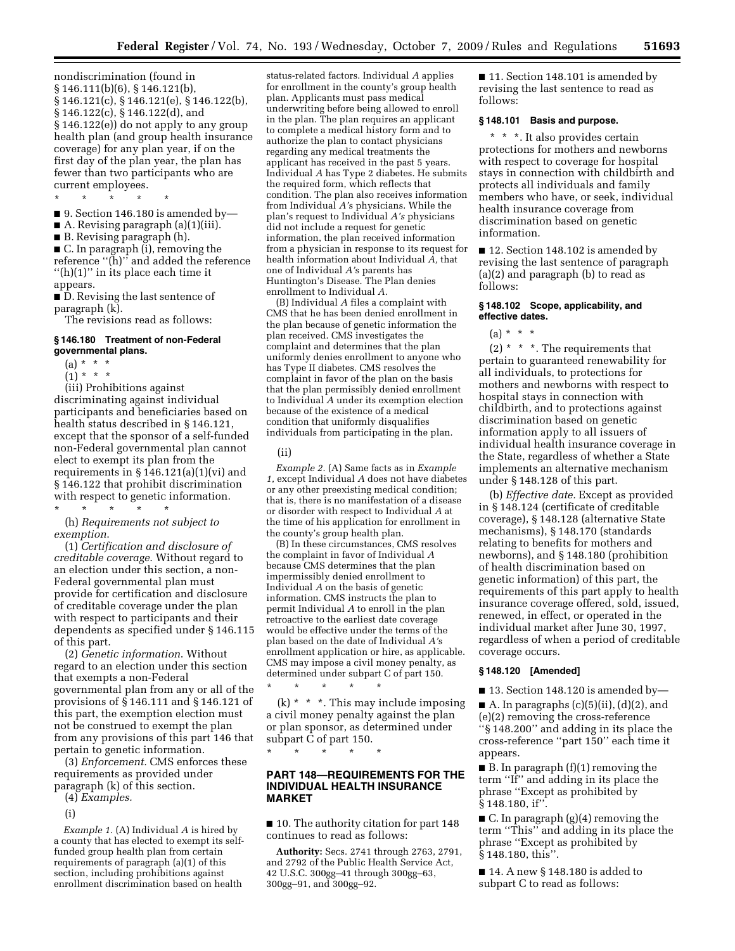nondiscrimination (found in § 146.111(b)(6), § 146.121(b), § 146.121(c), § 146.121(e), § 146.122(b), § 146.122(c), § 146.122(d), and § 146.122(e)) do not apply to any group health plan (and group health insurance coverage) for any plan year, if on the first day of the plan year, the plan has fewer than two participants who are current employees.

\* \* \* \* \*

■ 9. Section 146.180 is amended by—

■ A. Revising paragraph (a)(1)(iii).

■ B. Revising paragraph (h).

■ C. In paragraph (i), removing the reference ''(h)'' and added the reference ''(h)(1)'' in its place each time it appears.

■ D. Revising the last sentence of paragraph (k).

The revisions read as follows:

#### **§ 146.180 Treatment of non-Federal governmental plans.**

- $(a) * * * *$
- $(1) * * * *$

(iii) Prohibitions against discriminating against individual participants and beneficiaries based on health status described in § 146.121, except that the sponsor of a self-funded non-Federal governmental plan cannot elect to exempt its plan from the requirements in  $§ 146.121(a)(1)(vi)$  and § 146.122 that prohibit discrimination with respect to genetic information.

\* \* \* \* \* (h) *Requirements not subject to exemption*.

(1) *Certification and disclosure of creditable coverage*. Without regard to an election under this section, a non-Federal governmental plan must provide for certification and disclosure of creditable coverage under the plan with respect to participants and their dependents as specified under § 146.115 of this part.

(2) *Genetic information*. Without regard to an election under this section that exempts a non-Federal governmental plan from any or all of the provisions of § 146.111 and § 146.121 of this part, the exemption election must not be construed to exempt the plan from any provisions of this part 146 that pertain to genetic information.

(3) *Enforcement.* CMS enforces these requirements as provided under paragraph (k) of this section.

(4) *Examples.* 

(i)

*Example 1.* (A) Individual *A* is hired by a county that has elected to exempt its selffunded group health plan from certain requirements of paragraph (a)(1) of this section, including prohibitions against enrollment discrimination based on health

status-related factors. Individual *A* applies for enrollment in the county's group health plan. Applicants must pass medical underwriting before being allowed to enroll in the plan. The plan requires an applicant to complete a medical history form and to authorize the plan to contact physicians regarding any medical treatments the applicant has received in the past 5 years. Individual *A* has Type 2 diabetes. He submits the required form, which reflects that condition. The plan also receives information from Individual *A'*s physicians. While the plan's request to Individual *A's* physicians did not include a request for genetic information, the plan received information from a physician in response to its request for health information about Individual *A,* that one of Individual *A'*s parents has Huntington's Disease. The Plan denies enrollment to Individual *A.* 

(B) Individual *A* files a complaint with CMS that he has been denied enrollment in the plan because of genetic information the plan received. CMS investigates the complaint and determines that the plan uniformly denies enrollment to anyone who has Type II diabetes. CMS resolves the complaint in favor of the plan on the basis that the plan permissibly denied enrollment to Individual *A* under its exemption election because of the existence of a medical condition that uniformly disqualifies individuals from participating in the plan.

#### (ii)

*Example 2.* (A) Same facts as in *Example 1,* except Individual *A* does not have diabetes or any other preexisting medical condition; that is, there is no manifestation of a disease or disorder with respect to Individual *A* at the time of his application for enrollment in the county's group health plan.

(B) In these circumstances, CMS resolves the complaint in favor of Individual *A*  because CMS determines that the plan impermissibly denied enrollment to Individual *A* on the basis of genetic information. CMS instructs the plan to permit Individual *A* to enroll in the plan retroactive to the earliest date coverage would be effective under the terms of the plan based on the date of Individual *A'*s enrollment application or hire, as applicable. CMS may impose a civil money penalty, as determined under subpart C of part 150.

 $(k)$  \* \* \*. This may include imposing a civil money penalty against the plan or plan sponsor, as determined under subpart C of part 150. \* \* \* \* \*

\* \* \* \* \*

### **PART 148—REQUIREMENTS FOR THE INDIVIDUAL HEALTH INSURANCE MARKET**

■ 10. The authority citation for part 148 continues to read as follows:

**Authority:** Secs. 2741 through 2763, 2791, and 2792 of the Public Health Service Act, 42 U.S.C. 300gg–41 through 300gg–63, 300gg–91, and 300gg–92.

■ 11. Section 148.101 is amended by revising the last sentence to read as follows:

#### **§ 148.101 Basis and purpose.**

\* \* \*. It also provides certain protections for mothers and newborns with respect to coverage for hospital stays in connection with childbirth and protects all individuals and family members who have, or seek, individual health insurance coverage from discrimination based on genetic information.

■ 12. Section 148.102 is amended by revising the last sentence of paragraph (a)(2) and paragraph (b) to read as follows:

### **§ 148.102 Scope, applicability, and effective dates.**

(a) \* \* \*

(2)  $*$   $*$   $*$ . The requirements that pertain to guaranteed renewability for all individuals, to protections for mothers and newborns with respect to hospital stays in connection with childbirth, and to protections against discrimination based on genetic information apply to all issuers of individual health insurance coverage in the State, regardless of whether a State implements an alternative mechanism under § 148.128 of this part.

(b) *Effective date.* Except as provided in § 148.124 (certificate of creditable coverage), § 148.128 (alternative State mechanisms), § 148.170 (standards relating to benefits for mothers and newborns), and § 148.180 (prohibition of health discrimination based on genetic information) of this part, the requirements of this part apply to health insurance coverage offered, sold, issued, renewed, in effect, or operated in the individual market after June 30, 1997, regardless of when a period of creditable coverage occurs.

#### **§ 148.120 [Amended]**

 $\blacksquare$  13. Section 148.120 is amended by—

 $\blacksquare$  A. In paragraphs (c)(5)(ii), (d)(2), and (e)(2) removing the cross-reference ''§ 148.200'' and adding in its place the cross-reference ''part 150'' each time it appears.

■ B. In paragraph (f)(1) removing the term ''If'' and adding in its place the phrase ''Except as prohibited by § 148.180, if''.

■ C. In paragraph (g)(4) removing the term ''This'' and adding in its place the phrase ''Except as prohibited by § 148.180, this''.

■ 14. A new § 148.180 is added to subpart C to read as follows: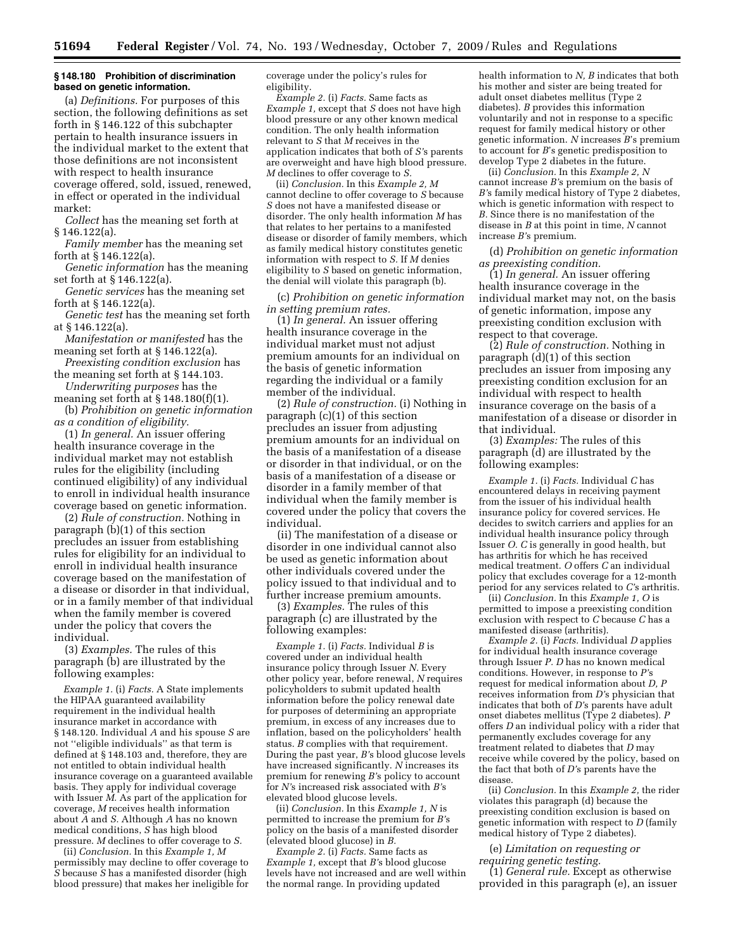#### **§ 148.180 Prohibition of discrimination based on genetic information.**

(a) *Definitions.* For purposes of this section, the following definitions as set forth in § 146.122 of this subchapter pertain to health insurance issuers in the individual market to the extent that those definitions are not inconsistent with respect to health insurance coverage offered, sold, issued, renewed, in effect or operated in the individual market:

*Collect* has the meaning set forth at § 146.122(a).

*Family member* has the meaning set forth at § 146.122(a).

*Genetic information* has the meaning set forth at § 146.122(a).

*Genetic services* has the meaning set forth at § 146.122(a).

*Genetic test* has the meaning set forth at § 146.122(a).

*Manifestation or manifested* has the meaning set forth at § 146.122(a).

*Preexisting condition exclusion* has the meaning set forth at § 144.103.

*Underwriting purposes* has the meaning set forth at  $\S 148.180(f)(1)$ .

(b) *Prohibition on genetic information as a condition of eligibility.* 

(1) *In general.* An issuer offering health insurance coverage in the individual market may not establish rules for the eligibility (including continued eligibility) of any individual to enroll in individual health insurance coverage based on genetic information.

(2) *Rule of construction.* Nothing in paragraph (b)(1) of this section precludes an issuer from establishing rules for eligibility for an individual to enroll in individual health insurance coverage based on the manifestation of a disease or disorder in that individual, or in a family member of that individual when the family member is covered under the policy that covers the individual.

(3) *Examples.* The rules of this paragraph (b) are illustrated by the following examples:

*Example 1.* (i) *Facts.* A State implements the HIPAA guaranteed availability requirement in the individual health insurance market in accordance with § 148.120. Individual *A* and his spouse *S* are not ''eligible individuals'' as that term is defined at § 148.103 and, therefore, they are not entitled to obtain individual health insurance coverage on a guaranteed available basis. They apply for individual coverage with Issuer *M.* As part of the application for coverage, *M* receives health information about *A* and *S.* Although *A* has no known medical conditions, *S* has high blood pressure. *M* declines to offer coverage to *S.* 

(ii) *Conclusion.* In this *Example 1, M*  permissibly may decline to offer coverage to *S* because *S* has a manifested disorder (high blood pressure) that makes her ineligible for

coverage under the policy's rules for eligibility.

*Example 2.* (i) *Facts.* Same facts as *Example 1,* except that *S* does not have high blood pressure or any other known medical condition. The only health information relevant to *S* that *M* receives in the application indicates that both of *S'*s parents are overweight and have high blood pressure. *M* declines to offer coverage to *S.* 

(ii) *Conclusion.* In this *Example 2, M*  cannot decline to offer coverage to *S* because *S* does not have a manifested disease or disorder. The only health information *M* has that relates to her pertains to a manifested disease or disorder of family members, which as family medical history constitutes genetic information with respect to *S.* If *M* denies eligibility to *S* based on genetic information, the denial will violate this paragraph (b).

(c) *Prohibition on genetic information in setting premium rates.* 

(1) *In general.* An issuer offering health insurance coverage in the individual market must not adjust premium amounts for an individual on the basis of genetic information regarding the individual or a family member of the individual.

(2) *Rule of construction.* (i) Nothing in paragraph (c)(1) of this section precludes an issuer from adjusting premium amounts for an individual on the basis of a manifestation of a disease or disorder in that individual, or on the basis of a manifestation of a disease or disorder in a family member of that individual when the family member is covered under the policy that covers the individual.

(ii) The manifestation of a disease or disorder in one individual cannot also be used as genetic information about other individuals covered under the policy issued to that individual and to further increase premium amounts.

(3) *Examples.* The rules of this paragraph (c) are illustrated by the following examples:

*Example 1.* (i) *Facts.* Individual *B* is covered under an individual health insurance policy through Issuer *N.* Every other policy year, before renewal, *N* requires policyholders to submit updated health information before the policy renewal date for purposes of determining an appropriate premium, in excess of any increases due to inflation, based on the policyholders' health status. *B* complies with that requirement. During the past year, *B'*s blood glucose levels have increased significantly. *N* increases its premium for renewing *B'*s policy to account for *N'*s increased risk associated with *B'*s elevated blood glucose levels.

(ii) *Conclusion.* In this *Example 1, N* is permitted to increase the premium for *B'*s policy on the basis of a manifested disorder (elevated blood glucose) in *B.* 

*Example 2.* (i) *Facts.* Same facts as *Example 1,* except that *B'*s blood glucose levels have not increased and are well within the normal range. In providing updated

health information to *N, B* indicates that both his mother and sister are being treated for adult onset diabetes mellitus (Type 2 diabetes). *B* provides this information voluntarily and not in response to a specific request for family medical history or other genetic information. *N* increases *B*'s premium to account for *B*'s genetic predisposition to develop Type 2 diabetes in the future.

(ii) *Conclusion.* In this *Example 2, N*  cannot increase *B'*s premium on the basis of *B'*s family medical history of Type 2 diabetes, which is genetic information with respect to *B.* Since there is no manifestation of the disease in *B* at this point in time, *N* cannot increase *B'*s premium.

(d) *Prohibition on genetic information as preexisting condition.* 

(1) *In general.* An issuer offering health insurance coverage in the individual market may not, on the basis of genetic information, impose any preexisting condition exclusion with respect to that coverage.

(2) *Rule of construction.* Nothing in paragraph (d)(1) of this section precludes an issuer from imposing any preexisting condition exclusion for an individual with respect to health insurance coverage on the basis of a manifestation of a disease or disorder in that individual.

(3) *Examples:* The rules of this paragraph (d) are illustrated by the following examples:

*Example 1.* (i) *Facts.* Individual *C* has encountered delays in receiving payment from the issuer of his individual health insurance policy for covered services. He decides to switch carriers and applies for an individual health insurance policy through Issuer *O. C* is generally in good health, but has arthritis for which he has received medical treatment. *O* offers *C* an individual policy that excludes coverage for a 12-month period for any services related to *C'*s arthritis.

(ii) *Conclusion.* In this *Example 1, O* is permitted to impose a preexisting condition exclusion with respect to *C* because *C* has a manifested disease (arthritis).

*Example 2.* (i) *Facts.* Individual *D* applies for individual health insurance coverage through Issuer *P. D* has no known medical conditions. However, in response to *P'*s request for medical information about *D, P*  receives information from *D'*s physician that indicates that both of *D'*s parents have adult onset diabetes mellitus (Type 2 diabetes). *P*  offers *D* an individual policy with a rider that permanently excludes coverage for any treatment related to diabetes that *D* may receive while covered by the policy, based on the fact that both of *D'*s parents have the disease.

(ii) *Conclusion.* In this *Example 2,* the rider violates this paragraph (d) because the preexisting condition exclusion is based on genetic information with respect to *D* (family medical history of Type 2 diabetes).

(e) *Limitation on requesting or requiring genetic testing.* 

(1) *General rule.* Except as otherwise provided in this paragraph (e), an issuer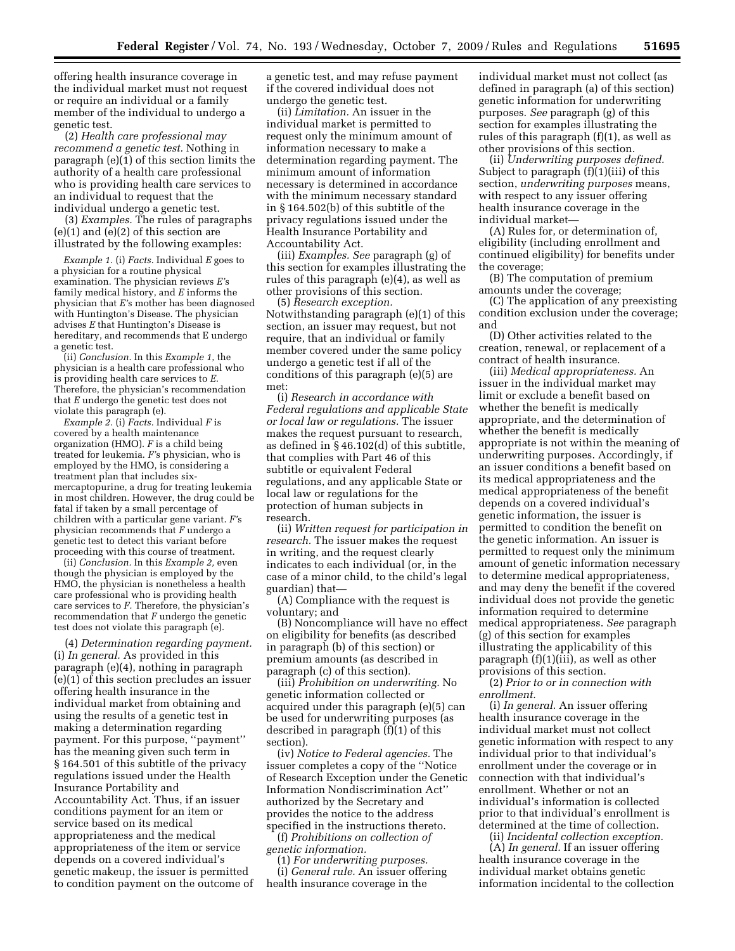offering health insurance coverage in the individual market must not request or require an individual or a family member of the individual to undergo a genetic test.

(2) *Health care professional may recommend a genetic test.* Nothing in paragraph (e)(1) of this section limits the authority of a health care professional who is providing health care services to an individual to request that the individual undergo a genetic test.

(3) *Examples.* The rules of paragraphs (e)(1) and (e)(2) of this section are illustrated by the following examples:

*Example 1.* (i) *Facts.* Individual *E* goes to a physician for a routine physical examination. The physician reviews *E'*s family medical history, and *E* informs the physician that *E'*s mother has been diagnosed with Huntington's Disease. The physician advises *E* that Huntington's Disease is hereditary, and recommends that E undergo a genetic test.

(ii) *Conclusion.* In this *Example 1,* the physician is a health care professional who is providing health care services to *E.*  Therefore, the physician's recommendation that *E* undergo the genetic test does not violate this paragraph (e).

*Example 2.* (i) *Facts.* Individual *F* is covered by a health maintenance organization (HMO). *F* is a child being treated for leukemia. *F'*s physician, who is employed by the HMO, is considering a treatment plan that includes sixmercaptopurine, a drug for treating leukemia in most children. However, the drug could be fatal if taken by a small percentage of children with a particular gene variant. *F'*s physician recommends that *F* undergo a genetic test to detect this variant before proceeding with this course of treatment.

(ii) *Conclusion.* In this *Example 2,* even though the physician is employed by the HMO, the physician is nonetheless a health care professional who is providing health care services to *F.* Therefore, the physician's recommendation that *F* undergo the genetic test does not violate this paragraph (e).

(4) *Determination regarding payment.*  (i) *In general.* As provided in this paragraph (e)(4), nothing in paragraph (e)(1) of this section precludes an issuer offering health insurance in the individual market from obtaining and using the results of a genetic test in making a determination regarding payment. For this purpose, ''payment'' has the meaning given such term in § 164.501 of this subtitle of the privacy regulations issued under the Health Insurance Portability and Accountability Act. Thus, if an issuer conditions payment for an item or service based on its medical appropriateness and the medical appropriateness of the item or service depends on a covered individual's genetic makeup, the issuer is permitted to condition payment on the outcome of a genetic test, and may refuse payment if the covered individual does not undergo the genetic test.

(ii) *Limitation.* An issuer in the individual market is permitted to request only the minimum amount of information necessary to make a determination regarding payment. The minimum amount of information necessary is determined in accordance with the minimum necessary standard in § 164.502(b) of this subtitle of the privacy regulations issued under the Health Insurance Portability and Accountability Act.

(iii) *Examples. See* paragraph (g) of this section for examples illustrating the rules of this paragraph (e)(4), as well as other provisions of this section.

(5) *Research exception.*  Notwithstanding paragraph (e)(1) of this section, an issuer may request, but not require, that an individual or family member covered under the same policy undergo a genetic test if all of the conditions of this paragraph (e)(5) are met:

(i) *Research in accordance with Federal regulations and applicable State or local law or regulations.* The issuer makes the request pursuant to research, as defined in § 46.102(d) of this subtitle, that complies with Part 46 of this subtitle or equivalent Federal regulations, and any applicable State or local law or regulations for the protection of human subjects in research.

(ii) *Written request for participation in research.* The issuer makes the request in writing, and the request clearly indicates to each individual (or, in the case of a minor child, to the child's legal guardian) that—

(A) Compliance with the request is voluntary; and

(B) Noncompliance will have no effect on eligibility for benefits (as described in paragraph (b) of this section) or premium amounts (as described in paragraph (c) of this section).

(iii) *Prohibition on underwriting.* No genetic information collected or acquired under this paragraph (e)(5) can be used for underwriting purposes (as described in paragraph (f)(1) of this section).

(iv) *Notice to Federal agencies.* The issuer completes a copy of the ''Notice of Research Exception under the Genetic Information Nondiscrimination Act'' authorized by the Secretary and provides the notice to the address specified in the instructions thereto.

(f) *Prohibitions on collection of genetic information.* 

(1) *For underwriting purposes.*  (i) *General rule.* An issuer offering health insurance coverage in the

individual market must not collect (as defined in paragraph (a) of this section) genetic information for underwriting purposes. *See* paragraph (g) of this section for examples illustrating the rules of this paragraph (f)(1), as well as other provisions of this section.

(ii) *Underwriting purposes defined.*  Subject to paragraph (f)(1)(iii) of this section, *underwriting purposes* means, with respect to any issuer offering health insurance coverage in the individual market—

(A) Rules for, or determination of, eligibility (including enrollment and continued eligibility) for benefits under the coverage;

(B) The computation of premium amounts under the coverage;

(C) The application of any preexisting condition exclusion under the coverage; and

(D) Other activities related to the creation, renewal, or replacement of a contract of health insurance.

(iii) *Medical appropriateness.* An issuer in the individual market may limit or exclude a benefit based on whether the benefit is medically appropriate, and the determination of whether the benefit is medically appropriate is not within the meaning of underwriting purposes. Accordingly, if an issuer conditions a benefit based on its medical appropriateness and the medical appropriateness of the benefit depends on a covered individual's genetic information, the issuer is permitted to condition the benefit on the genetic information. An issuer is permitted to request only the minimum amount of genetic information necessary to determine medical appropriateness, and may deny the benefit if the covered individual does not provide the genetic information required to determine medical appropriateness. *See* paragraph (g) of this section for examples illustrating the applicability of this paragraph (f)(1)(iii), as well as other provisions of this section.

(2) *Prior to or in connection with enrollment.* 

(i) *In general.* An issuer offering health insurance coverage in the individual market must not collect genetic information with respect to any individual prior to that individual's enrollment under the coverage or in connection with that individual's enrollment. Whether or not an individual's information is collected prior to that individual's enrollment is determined at the time of collection.

(ii) *Incidental collection exception.*  (A) *In general.* If an issuer offering health insurance coverage in the individual market obtains genetic information incidental to the collection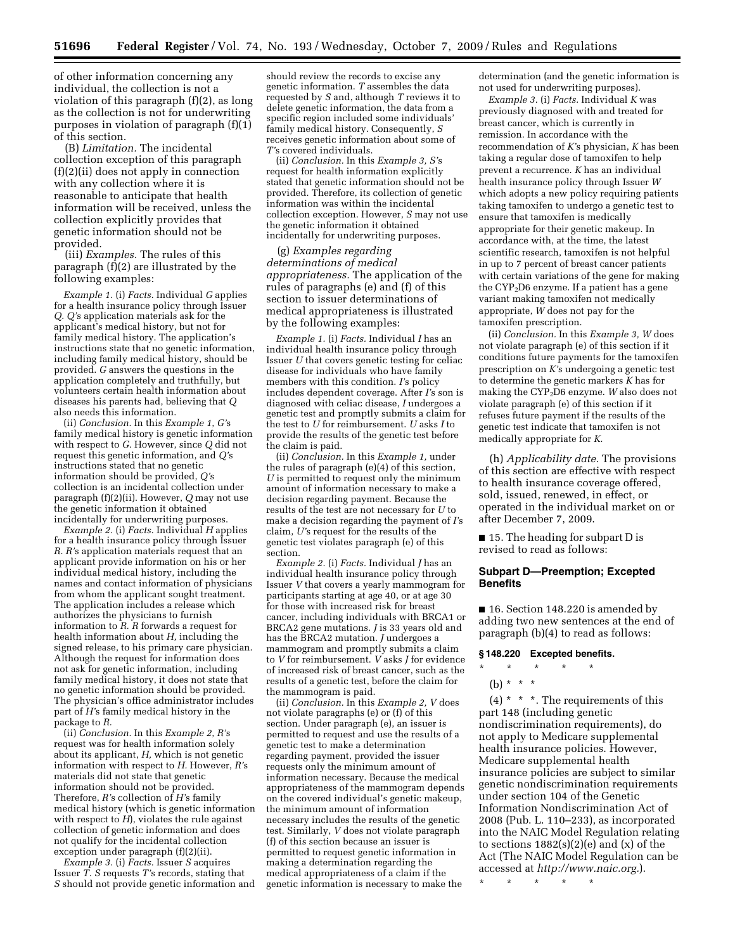of other information concerning any individual, the collection is not a violation of this paragraph (f)(2), as long as the collection is not for underwriting purposes in violation of paragraph (f)(1) of this section.

(B) *Limitation.* The incidental collection exception of this paragraph (f)(2)(ii) does not apply in connection with any collection where it is reasonable to anticipate that health information will be received, unless the collection explicitly provides that genetic information should not be provided.

(iii) *Examples.* The rules of this paragraph (f)(2) are illustrated by the following examples:

*Example 1.* (i) *Facts.* Individual *G* applies for a health insurance policy through Issuer *Q. Q'*s application materials ask for the applicant's medical history, but not for family medical history. The application's instructions state that no genetic information, including family medical history, should be provided. *G* answers the questions in the application completely and truthfully, but volunteers certain health information about diseases his parents had, believing that *Q*  also needs this information.

(ii) *Conclusion.* In this *Example 1, G'*s family medical history is genetic information with respect to *G.* However, since *Q* did not request this genetic information, and *Q'*s instructions stated that no genetic information should be provided, *Q'*s collection is an incidental collection under paragraph (f)(2)(ii). However, *Q* may not use the genetic information it obtained incidentally for underwriting purposes.

*Example 2.* (i) *Facts.* Individual *H* applies for a health insurance policy through Issuer *R. R'*s application materials request that an applicant provide information on his or her individual medical history, including the names and contact information of physicians from whom the applicant sought treatment. The application includes a release which authorizes the physicians to furnish information to *R. R* forwards a request for health information about *H,* including the signed release, to his primary care physician. Although the request for information does not ask for genetic information, including family medical history, it does not state that no genetic information should be provided. The physician's office administrator includes part of *H'*s family medical history in the package to *R.* 

(ii) *Conclusion.* In this *Example 2, R'*s request was for health information solely about its applicant, *H,* which is not genetic information with respect to *H.* However, *R'*s materials did not state that genetic information should not be provided. Therefore, *R'*s collection of *H'*s family medical history (which is genetic information with respect to *H*), violates the rule against collection of genetic information and does not qualify for the incidental collection exception under paragraph (f)(2)(ii).

*Example 3.* (i) *Facts.* Issuer *S* acquires Issuer *T. S* requests *T'*s records, stating that *S* should not provide genetic information and should review the records to excise any genetic information. *T* assembles the data requested by *S* and, although *T* reviews it to delete genetic information, the data from a specific region included some individuals' family medical history. Consequently, *S*  receives genetic information about some of *T'*s covered individuals.

(ii) *Conclusion.* In this *Example 3, S'*s request for health information explicitly stated that genetic information should not be provided. Therefore, its collection of genetic information was within the incidental collection exception. However, *S* may not use the genetic information it obtained incidentally for underwriting purposes.

(g) *Examples regarding determinations of medical appropriateness.* The application of the rules of paragraphs (e) and (f) of this section to issuer determinations of medical appropriateness is illustrated by the following examples:

*Example 1.* (i) *Facts.* Individual *I* has an individual health insurance policy through Issuer *U* that covers genetic testing for celiac disease for individuals who have family members with this condition. *I'*s policy includes dependent coverage. After *I'*s son is diagnosed with celiac disease, *I* undergoes a genetic test and promptly submits a claim for the test to *U* for reimbursement. *U* asks *I* to provide the results of the genetic test before the claim is paid.

(ii) *Conclusion.* In this *Example 1,* under the rules of paragraph (e)(4) of this section, *U* is permitted to request only the minimum amount of information necessary to make a decision regarding payment. Because the results of the test are not necessary for *U* to make a decision regarding the payment of *I'*s claim, *U'*s request for the results of the genetic test violates paragraph (e) of this section.

*Example 2.* (i) *Facts.* Individual *J* has an individual health insurance policy through Issuer *V* that covers a yearly mammogram for participants starting at age 40, or at age 30 for those with increased risk for breast cancer, including individuals with BRCA1 or BRCA2 gene mutations. *J* is 33 years old and has the BRCA2 mutation. *J* undergoes a mammogram and promptly submits a claim to *V* for reimbursement. *V* asks *J* for evidence of increased risk of breast cancer, such as the results of a genetic test, before the claim for the mammogram is paid.

(ii) *Conclusion.* In this *Example 2, V* does not violate paragraphs (e) or (f) of this section. Under paragraph (e), an issuer is permitted to request and use the results of a genetic test to make a determination regarding payment, provided the issuer requests only the minimum amount of information necessary. Because the medical appropriateness of the mammogram depends on the covered individual's genetic makeup, the minimum amount of information necessary includes the results of the genetic test. Similarly, *V* does not violate paragraph (f) of this section because an issuer is permitted to request genetic information in making a determination regarding the medical appropriateness of a claim if the genetic information is necessary to make the

determination (and the genetic information is not used for underwriting purposes).

*Example 3.* (i) *Facts.* Individual *K* was previously diagnosed with and treated for breast cancer, which is currently in remission. In accordance with the recommendation of *K'*s physician, *K* has been taking a regular dose of tamoxifen to help prevent a recurrence. *K* has an individual health insurance policy through Issuer *W*  which adopts a new policy requiring patients taking tamoxifen to undergo a genetic test to ensure that tamoxifen is medically appropriate for their genetic makeup. In accordance with, at the time, the latest scientific research, tamoxifen is not helpful in up to 7 percent of breast cancer patients with certain variations of the gene for making the CYP2D6 enzyme. If a patient has a gene variant making tamoxifen not medically appropriate, *W* does not pay for the tamoxifen prescription.

(ii) *Conclusion.* In this *Example 3, W* does not violate paragraph (e) of this section if it conditions future payments for the tamoxifen prescription on *K'*s undergoing a genetic test to determine the genetic markers *K* has for making the CYP2D6 enzyme. *W* also does not violate paragraph (e) of this section if it refuses future payment if the results of the genetic test indicate that tamoxifen is not medically appropriate for *K.* 

(h) *Applicability date.* The provisions of this section are effective with respect to health insurance coverage offered, sold, issued, renewed, in effect, or operated in the individual market on or after December 7, 2009.

■ 15. The heading for subpart D is revised to read as follows:

### **Subpart D—Preemption; Excepted Benefits**

■ 16. Section 148.220 is amended by adding two new sentences at the end of paragraph (b)(4) to read as follows:

# **§ 148.220 Excepted benefits.**

- \* \* \* \* \*
	- (b) \* \* \*

 $(4)$  \* \* \*. The requirements of this part 148 (including genetic nondiscrimination requirements), do not apply to Medicare supplemental health insurance policies. However, Medicare supplemental health insurance policies are subject to similar genetic nondiscrimination requirements under section 104 of the Genetic Information Nondiscrimination Act of 2008 (Pub. L. 110–233), as incorporated into the NAIC Model Regulation relating to sections  $1882(s)(2)(e)$  and  $(x)$  of the Act (The NAIC Model Regulation can be accessed at *http://www.naic.org.*).

\* \* \* \* \*